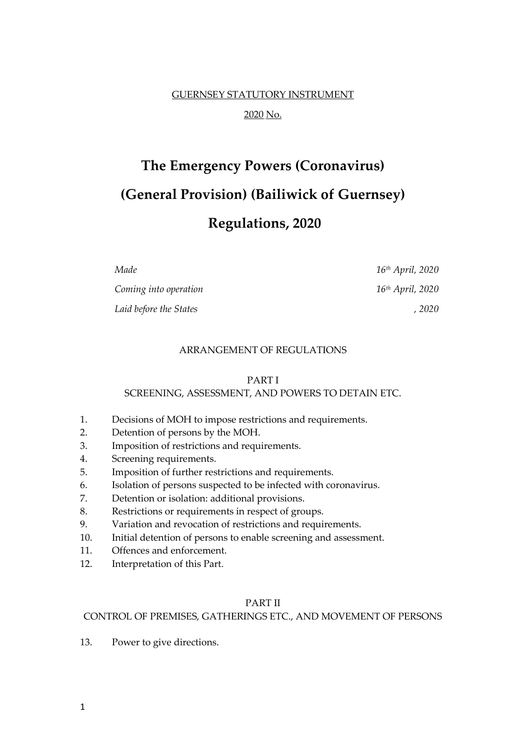## GUERNSEY STATUTORY INSTRUMENT 2020 No.

# **The Emergency Powers (Coronavirus) (General Provision) (Bailiwick of Guernsey)**

## **Regulations, 2020**

| Made                   | 16 <sup>th</sup> April, 2020 |
|------------------------|------------------------------|
| Coming into operation  | 16 <sup>th</sup> April, 2020 |
| Laid before the States | , 2020                       |

#### ARRANGEMENT OF REGULATIONS

#### PART I

#### SCREENING, ASSESSMENT, AND POWERS TO DETAIN ETC.

- 1. Decisions of MOH to impose restrictions and requirements.
- 2. Detention of persons by the MOH.
- 3. Imposition of restrictions and requirements.
- 4. Screening requirements.
- 5. Imposition of further restrictions and requirements.
- 6. Isolation of persons suspected to be infected with coronavirus.
- 7. Detention or isolation: additional provisions.
- 8. Restrictions or requirements in respect of groups.
- 9. Variation and revocation of restrictions and requirements.
- 10. Initial detention of persons to enable screening and assessment.
- 11. Offences and enforcement.
- 12. Interpretation of this Part.

#### PART II

#### CONTROL OF PREMISES, GATHERINGS ETC., AND MOVEMENT OF PERSONS

13. Power to give directions.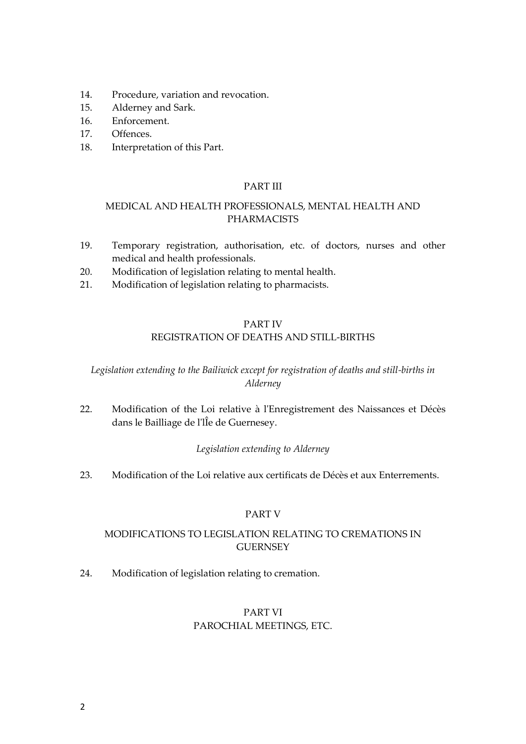- 14. Procedure, variation and revocation.
- 15. Alderney and Sark.
- 16. Enforcement.
- 17. Offences.
- 18. Interpretation of this Part.

#### PART III

#### MEDICAL AND HEALTH PROFESSIONALS, MENTAL HEALTH AND PHARMACISTS

- 19. Temporary registration, authorisation, etc. of doctors, nurses and other medical and health professionals.
- 20. Modification of legislation relating to mental health.
- 21. Modification of legislation relating to pharmacists.

#### PART IV

#### REGISTRATION OF DEATHS AND STILL-BIRTHS

#### *Legislation extending to the Bailiwick except for registration of deaths and still-births in Alderney*

22. Modification of the Loi relative à l'Enregistrement des Naissances et Décès dans le Bailliage de l'lÎe de Guernesey.

#### *Legislation extending to Alderney*

23. Modification of the Loi relative aux certificats de Décès et aux Enterrements.

#### PART V

#### MODIFICATIONS TO LEGISLATION RELATING TO CREMATIONS IN **GUERNSEY**

24. Modification of legislation relating to cremation.

#### PART VI PAROCHIAL MEETINGS, ETC.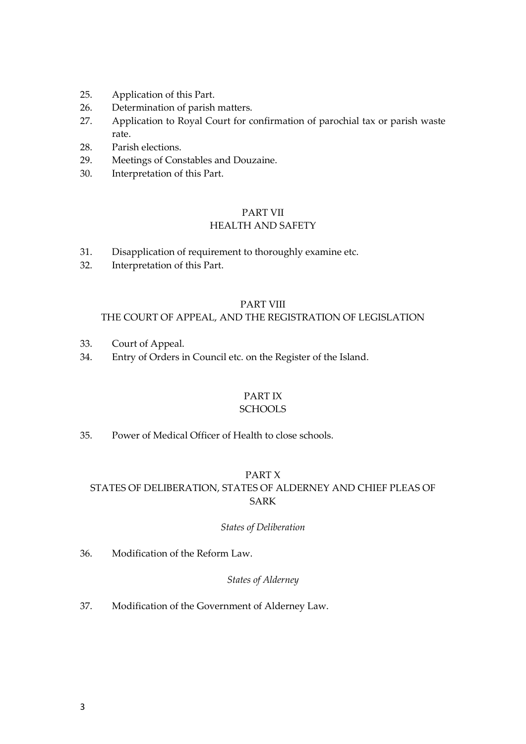- 25. Application of this Part.
- 26. Determination of parish matters.
- 27. Application to Royal Court for confirmation of parochial tax or parish waste rate.
- 28. Parish elections.
- 29. Meetings of Constables and Douzaine.
- 30. Interpretation of this Part.

#### PART VII HEALTH AND SAFETY

- 31. Disapplication of requirement to thoroughly examine etc.
- 32. Interpretation of this Part.

#### PART VIII

#### THE COURT OF APPEAL, AND THE REGISTRATION OF LEGISLATION

- 33. Court of Appeal.
- 34. Entry of Orders in Council etc. on the Register of the Island.

#### PART IX

#### **SCHOOLS**

35. Power of Medical Officer of Health to close schools.

#### PART X

#### STATES OF DELIBERATION, STATES OF ALDERNEY AND CHIEF PLEAS OF SARK

#### *States of Deliberation*

36. Modification of the Reform Law.

#### *States of Alderney*

37. Modification of the Government of Alderney Law.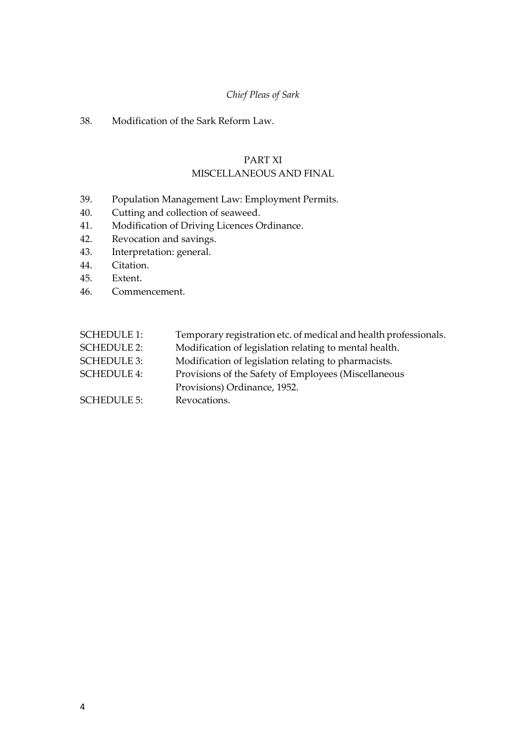#### *Chief Pleas of Sark*

#### 38. Modification of the Sark Reform Law.

#### PART XI MISCELLANEOUS AND FINAL

- 39. Population Management Law: Employment Permits.
- 40. Cutting and collection of seaweed.
- 41. Modification of Driving Licences Ordinance.
- 42. Revocation and savings.
- 43. Interpretation: general.
- 44. Citation.
- 45. Extent.
- 46. Commencement.

| <b>SCHEDULE 1:</b> | Temporary registration etc. of medical and health professionals. |
|--------------------|------------------------------------------------------------------|
| <b>SCHEDULE 2:</b> | Modification of legislation relating to mental health.           |
| <b>SCHEDULE 3:</b> | Modification of legislation relating to pharmacists.             |
| <b>SCHEDULE 4:</b> | Provisions of the Safety of Employees (Miscellaneous             |
|                    | Provisions) Ordinance, 1952.                                     |
| <b>SCHEDULE 5:</b> | Revocations.                                                     |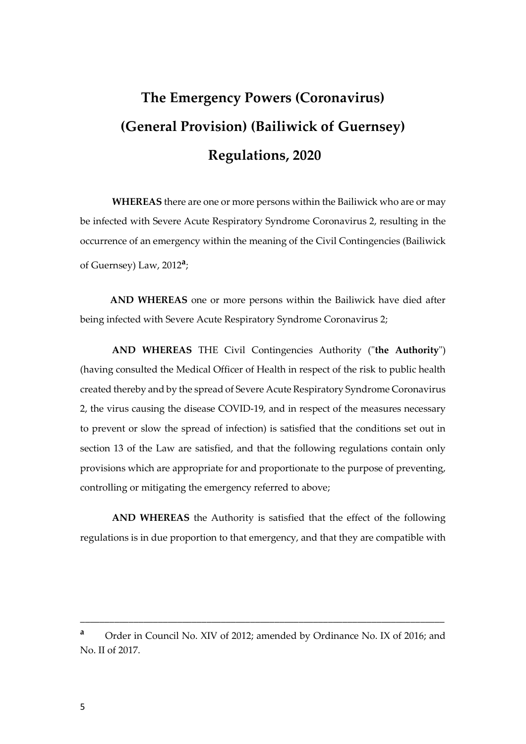## **The Emergency Powers (Coronavirus) (General Provision) (Bailiwick of Guernsey) Regulations, 2020**

**WHEREAS** there are one or more persons within the Bailiwick who are or may be infected with Severe Acute Respiratory Syndrome Coronavirus 2, resulting in the occurrence of an emergency within the meaning of the Civil Contingencies (Bailiwick of Guernsey) Law, 2012**<sup>a</sup>** ;

**AND WHEREAS** one or more persons within the Bailiwick have died after being infected with Severe Acute Respiratory Syndrome Coronavirus 2;

**AND WHEREAS** THE Civil Contingencies Authority ("**the Authority**") (having consulted the Medical Officer of Health in respect of the risk to public health created thereby and by the spread of Severe Acute Respiratory Syndrome Coronavirus 2, the virus causing the disease COVID-19, and in respect of the measures necessary to prevent or slow the spread of infection) is satisfied that the conditions set out in section 13 of the Law are satisfied, and that the following regulations contain only provisions which are appropriate for and proportionate to the purpose of preventing, controlling or mitigating the emergency referred to above;

**AND WHEREAS** the Authority is satisfied that the effect of the following regulations is in due proportion to that emergency, and that they are compatible with

**<sup>a</sup>** Order in Council No. XIV of 2012; amended by Ordinance No. IX of 2016; and No. II of 2017.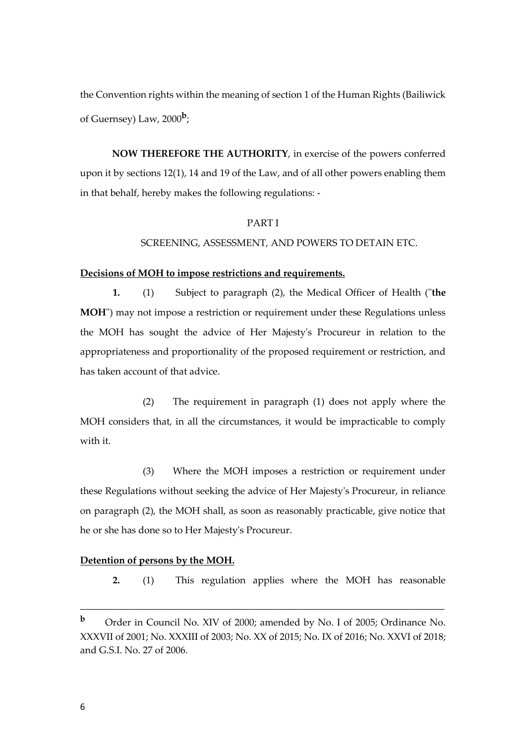the Convention rights within the meaning of section 1 of the Human Rights (Bailiwick of Guernsey) Law, 2000**<sup>b</sup>** ;

**NOW THEREFORE THE AUTHORITY**, in exercise of the powers conferred upon it by sections 12(1), 14 and 19 of the Law, and of all other powers enabling them in that behalf, hereby makes the following regulations: -

#### PART I

#### SCREENING, ASSESSMENT, AND POWERS TO DETAIN ETC.

#### **Decisions of MOH to impose restrictions and requirements.**

**1.** (1) Subject to paragraph (2), the Medical Officer of Health ("**the MOH**") may not impose a restriction or requirement under these Regulations unless the MOH has sought the advice of Her Majesty's Procureur in relation to the appropriateness and proportionality of the proposed requirement or restriction, and has taken account of that advice.

(2) The requirement in paragraph (1) does not apply where the MOH considers that, in all the circumstances, it would be impracticable to comply with it.

(3) Where the MOH imposes a restriction or requirement under these Regulations without seeking the advice of Her Majesty's Procureur, in reliance on paragraph (2), the MOH shall, as soon as reasonably practicable, give notice that he or she has done so to Her Majesty's Procureur.

#### **Detention of persons by the MOH.**

**2.** (1) This regulation applies where the MOH has reasonable

**<sup>b</sup>** Order in Council No. XIV of 2000; amended by No. I of 2005; Ordinance No. XXXVII of 2001; No. XXXIII of 2003; No. XX of 2015; No. IX of 2016; No. XXVI of 2018; and G.S.I. No. 27 of 2006.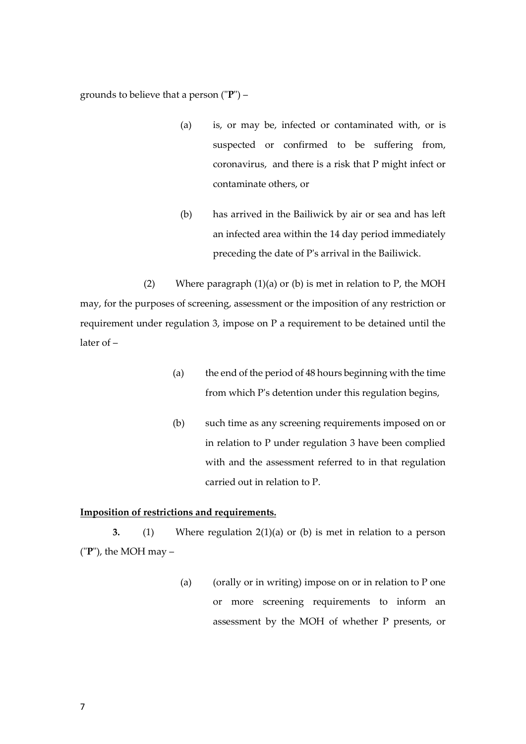grounds to believe that a person ("**P**") –

- (a) is, or may be, infected or contaminated with, or is suspected or confirmed to be suffering from, coronavirus, and there is a risk that P might infect or contaminate others, or
- (b) has arrived in the Bailiwick by air or sea and has left an infected area within the 14 day period immediately preceding the date of P's arrival in the Bailiwick.

(2) Where paragraph  $(1)(a)$  or  $(b)$  is met in relation to P, the MOH may, for the purposes of screening, assessment or the imposition of any restriction or requirement under regulation 3, impose on P a requirement to be detained until the later of –

- (a) the end of the period of 48 hours beginning with the time from which P's detention under this regulation begins,
- (b) such time as any screening requirements imposed on or in relation to P under regulation 3 have been complied with and the assessment referred to in that regulation carried out in relation to P.

#### **Imposition of restrictions and requirements.**

**3.** (1) Where regulation 2(1)(a) or (b) is met in relation to a person ("**P**"), the MOH may –

> (a) (orally or in writing) impose on or in relation to P one or more screening requirements to inform an assessment by the MOH of whether P presents, or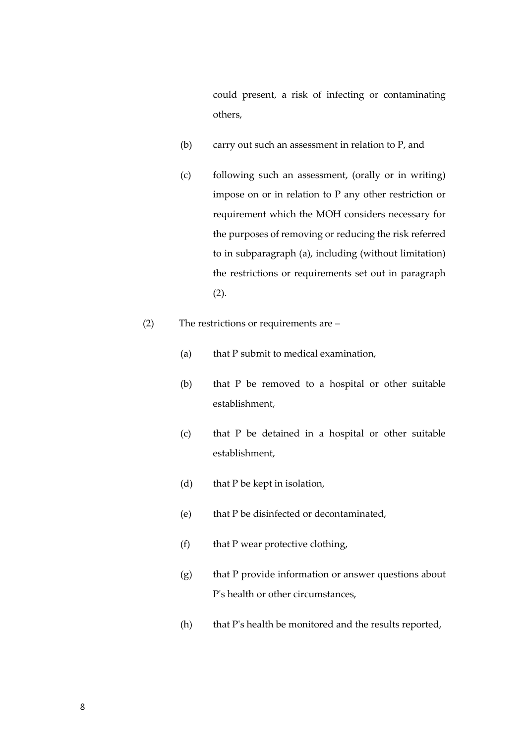could present, a risk of infecting or contaminating others,

- (b) carry out such an assessment in relation to P, and
- (c) following such an assessment, (orally or in writing) impose on or in relation to P any other restriction or requirement which the MOH considers necessary for the purposes of removing or reducing the risk referred to in subparagraph (a), including (without limitation) the restrictions or requirements set out in paragraph (2).
- (2) The restrictions or requirements are
	- (a) that P submit to medical examination,
	- (b) that P be removed to a hospital or other suitable establishment,
	- (c) that P be detained in a hospital or other suitable establishment,
	- (d) that P be kept in isolation,
	- (e) that P be disinfected or decontaminated,
	- (f) that P wear protective clothing,
	- (g) that P provide information or answer questions about P's health or other circumstances,
	- (h) that P's health be monitored and the results reported,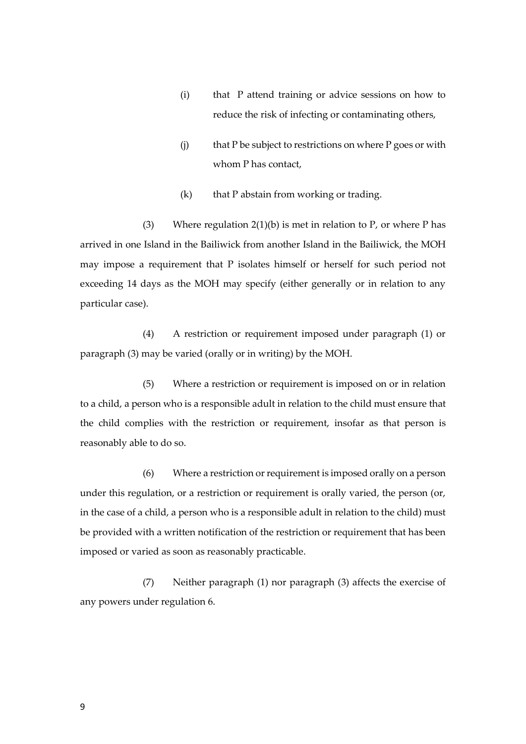- (i) that P attend training or advice sessions on how to reduce the risk of infecting or contaminating others,
- (j) that P be subject to restrictions on where P goes or with whom P has contact,
- $(k)$  that P abstain from working or trading.

(3) Where regulation  $2(1)(b)$  is met in relation to P, or where P has arrived in one Island in the Bailiwick from another Island in the Bailiwick, the MOH may impose a requirement that P isolates himself or herself for such period not exceeding 14 days as the MOH may specify (either generally or in relation to any particular case).

(4) A restriction or requirement imposed under paragraph (1) or paragraph (3) may be varied (orally or in writing) by the MOH.

(5) Where a restriction or requirement is imposed on or in relation to a child, a person who is a responsible adult in relation to the child must ensure that the child complies with the restriction or requirement, insofar as that person is reasonably able to do so.

(6) Where a restriction or requirement is imposed orally on a person under this regulation, or a restriction or requirement is orally varied, the person (or, in the case of a child, a person who is a responsible adult in relation to the child) must be provided with a written notification of the restriction or requirement that has been imposed or varied as soon as reasonably practicable.

(7) Neither paragraph (1) nor paragraph (3) affects the exercise of any powers under regulation 6.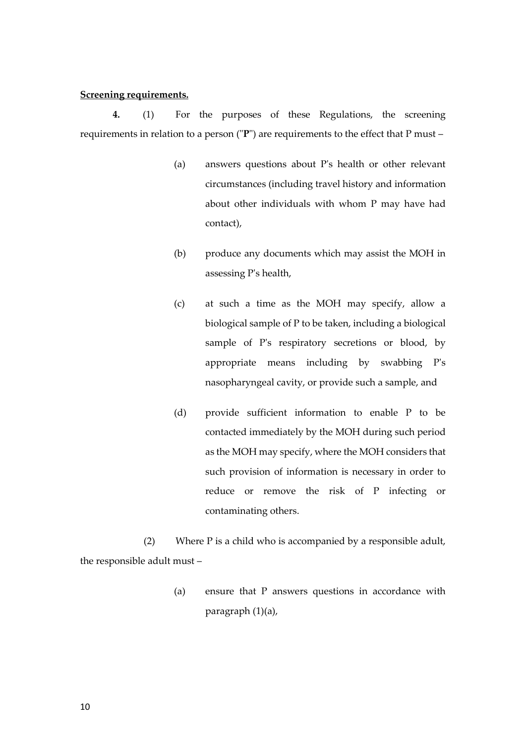#### **Screening requirements.**

**4.** (1) For the purposes of these Regulations, the screening requirements in relation to a person ("**P**") are requirements to the effect that P must –

- (a) answers questions about P's health or other relevant circumstances (including travel history and information about other individuals with whom P may have had contact),
- (b) produce any documents which may assist the MOH in assessing P's health,
- (c) at such a time as the MOH may specify, allow a biological sample of P to be taken, including a biological sample of P's respiratory secretions or blood, by appropriate means including by swabbing P's nasopharyngeal cavity, or provide such a sample, and
- (d) provide sufficient information to enable P to be contacted immediately by the MOH during such period as the MOH may specify, where the MOH considers that such provision of information is necessary in order to reduce or remove the risk of P infecting or contaminating others.

(2) Where P is a child who is accompanied by a responsible adult, the responsible adult must –

> (a) ensure that P answers questions in accordance with paragraph (1)(a),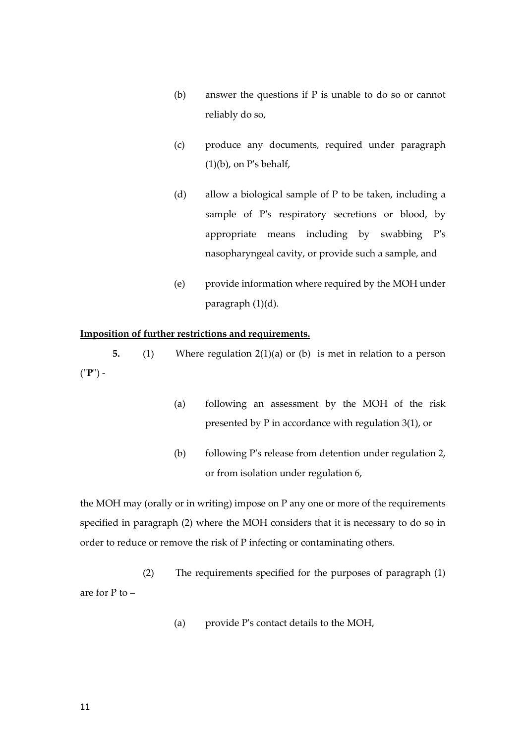- (b) answer the questions if P is unable to do so or cannot reliably do so,
- (c) produce any documents, required under paragraph  $(1)(b)$ , on P's behalf,
- (d) allow a biological sample of P to be taken, including a sample of P's respiratory secretions or blood, by appropriate means including by swabbing P's nasopharyngeal cavity, or provide such a sample, and
- (e) provide information where required by the MOH under paragraph (1)(d).

#### **Imposition of further restrictions and requirements.**

**5.** (1) Where regulation 2(1)(a) or (b) is met in relation to a person ("**P**") -

- (a) following an assessment by the MOH of the risk presented by P in accordance with regulation 3(1), or
- (b) following P's release from detention under regulation 2, or from isolation under regulation 6,

the MOH may (orally or in writing) impose on P any one or more of the requirements specified in paragraph (2) where the MOH considers that it is necessary to do so in order to reduce or remove the risk of P infecting or contaminating others.

(2) The requirements specified for the purposes of paragraph (1) are for P to –

(a) provide P's contact details to the MOH,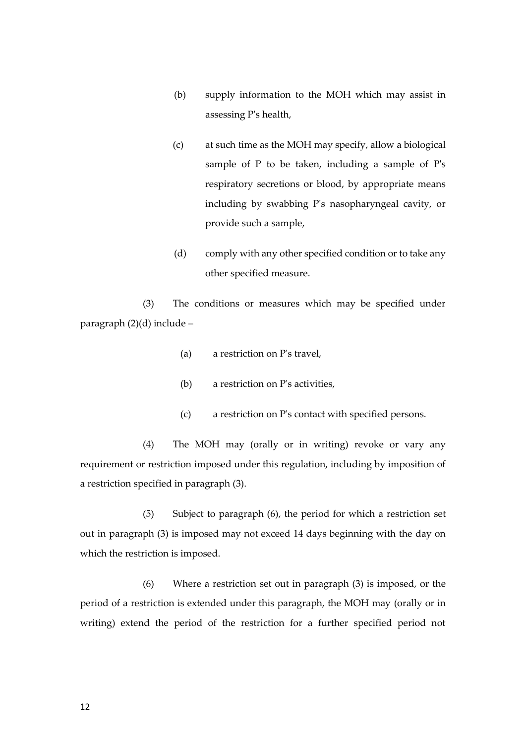- (b) supply information to the MOH which may assist in assessing P's health,
- (c) at such time as the MOH may specify, allow a biological sample of P to be taken, including a sample of P's respiratory secretions or blood, by appropriate means including by swabbing P's nasopharyngeal cavity, or provide such a sample,
- (d) comply with any other specified condition or to take any other specified measure.

(3) The conditions or measures which may be specified under paragraph (2)(d) include –

- (a) a restriction on P's travel,
- (b) a restriction on P's activities,
- (c) a restriction on P's contact with specified persons.

(4) The MOH may (orally or in writing) revoke or vary any requirement or restriction imposed under this regulation, including by imposition of a restriction specified in paragraph (3).

(5) Subject to paragraph (6), the period for which a restriction set out in paragraph (3) is imposed may not exceed 14 days beginning with the day on which the restriction is imposed.

(6) Where a restriction set out in paragraph (3) is imposed, or the period of a restriction is extended under this paragraph, the MOH may (orally or in writing) extend the period of the restriction for a further specified period not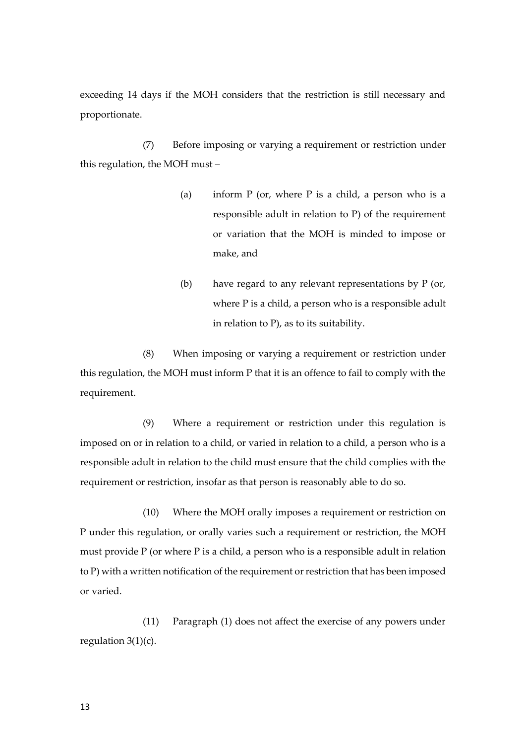exceeding 14 days if the MOH considers that the restriction is still necessary and proportionate.

(7) Before imposing or varying a requirement or restriction under this regulation, the MOH must –

- (a) inform  $P$  (or, where  $P$  is a child, a person who is a responsible adult in relation to P) of the requirement or variation that the MOH is minded to impose or make, and
- (b) have regard to any relevant representations by P (or, where P is a child, a person who is a responsible adult in relation to P), as to its suitability.

(8) When imposing or varying a requirement or restriction under this regulation, the MOH must inform P that it is an offence to fail to comply with the requirement.

(9) Where a requirement or restriction under this regulation is imposed on or in relation to a child, or varied in relation to a child, a person who is a responsible adult in relation to the child must ensure that the child complies with the requirement or restriction, insofar as that person is reasonably able to do so.

(10) Where the MOH orally imposes a requirement or restriction on P under this regulation, or orally varies such a requirement or restriction, the MOH must provide P (or where P is a child, a person who is a responsible adult in relation to P) with a written notification of the requirement or restriction that has been imposed or varied.

(11) Paragraph (1) does not affect the exercise of any powers under regulation 3(1)(c).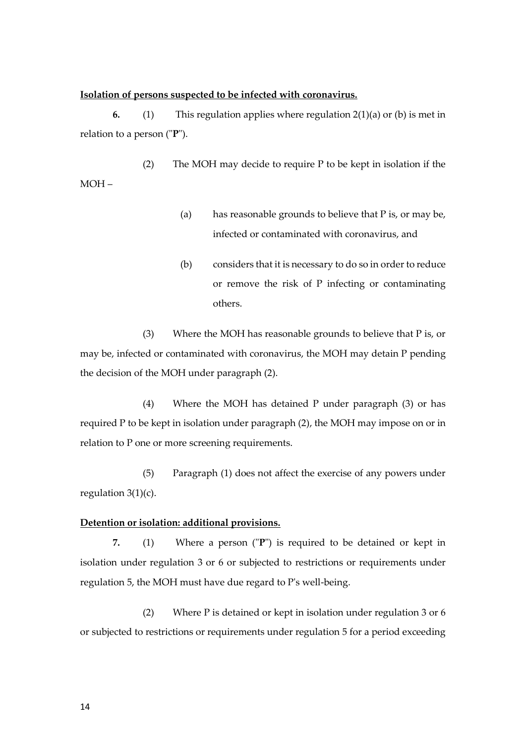#### **Isolation of persons suspected to be infected with coronavirus.**

**6.** (1) This regulation applies where regulation 2(1)(a) or (b) is met in relation to a person ("**P**").

(2) The MOH may decide to require P to be kept in isolation if the MOH –

- (a) has reasonable grounds to believe that P is, or may be, infected or contaminated with coronavirus, and
- (b) considers that it is necessary to do so in order to reduce or remove the risk of P infecting or contaminating others.

(3) Where the MOH has reasonable grounds to believe that P is, or may be, infected or contaminated with coronavirus, the MOH may detain P pending the decision of the MOH under paragraph (2).

(4) Where the MOH has detained P under paragraph (3) or has required P to be kept in isolation under paragraph (2), the MOH may impose on or in relation to P one or more screening requirements.

(5) Paragraph (1) does not affect the exercise of any powers under regulation 3(1)(c).

#### **Detention or isolation: additional provisions.**

**7.** (1) Where a person ("**P**") is required to be detained or kept in isolation under regulation 3 or 6 or subjected to restrictions or requirements under regulation 5, the MOH must have due regard to P's well-being.

(2) Where P is detained or kept in isolation under regulation 3 or 6 or subjected to restrictions or requirements under regulation 5 for a period exceeding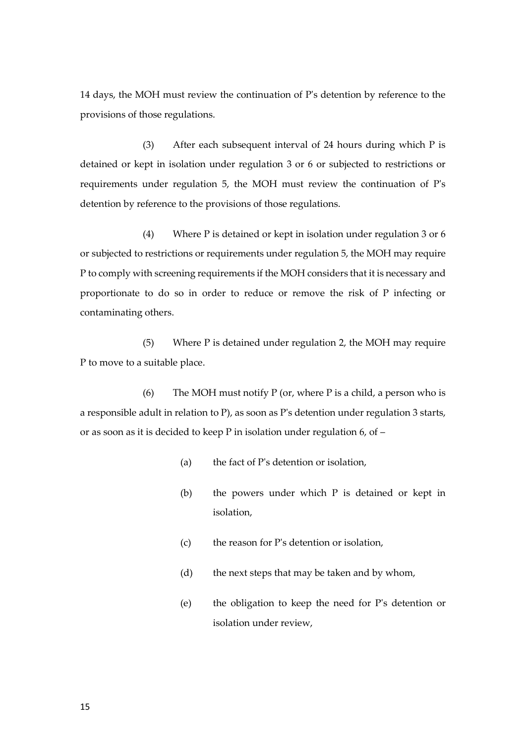14 days, the MOH must review the continuation of P's detention by reference to the provisions of those regulations.

(3) After each subsequent interval of 24 hours during which P is detained or kept in isolation under regulation 3 or 6 or subjected to restrictions or requirements under regulation 5, the MOH must review the continuation of P's detention by reference to the provisions of those regulations.

(4) Where P is detained or kept in isolation under regulation 3 or 6 or subjected to restrictions or requirements under regulation 5, the MOH may require P to comply with screening requirements if the MOH considers that it is necessary and proportionate to do so in order to reduce or remove the risk of P infecting or contaminating others.

(5) Where P is detained under regulation 2, the MOH may require P to move to a suitable place.

(6) The MOH must notify  $P$  (or, where  $P$  is a child, a person who is a responsible adult in relation to P), as soon as P's detention under regulation 3 starts, or as soon as it is decided to keep P in isolation under regulation 6, of –

- (a) the fact of P's detention or isolation,
- (b) the powers under which P is detained or kept in isolation,
- (c) the reason for P's detention or isolation,
- (d) the next steps that may be taken and by whom,
- (e) the obligation to keep the need for P's detention or isolation under review,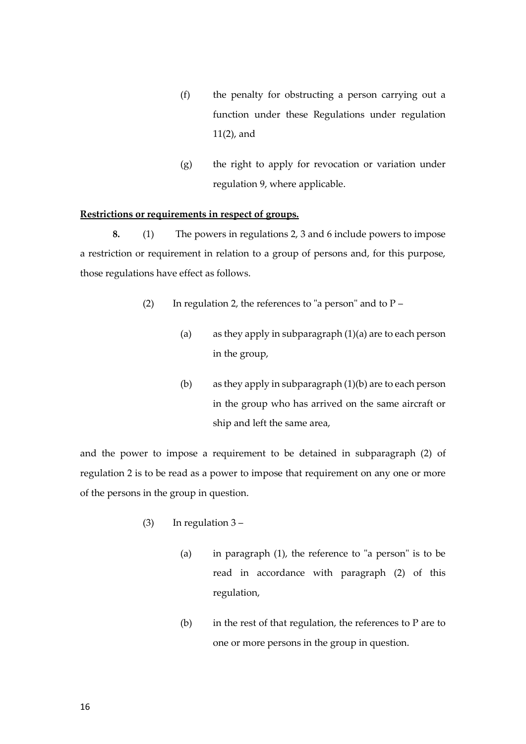- (f) the penalty for obstructing a person carrying out a function under these Regulations under regulation 11(2), and
- (g) the right to apply for revocation or variation under regulation 9, where applicable.

#### **Restrictions or requirements in respect of groups.**

**8.** (1) The powers in regulations 2, 3 and 6 include powers to impose a restriction or requirement in relation to a group of persons and, for this purpose, those regulations have effect as follows.

- (2) In regulation 2, the references to "a person" and to  $P -$ 
	- (a) as they apply in subparagraph  $(1)(a)$  are to each person in the group,
	- (b) as they apply in subparagraph (1)(b) are to each person in the group who has arrived on the same aircraft or ship and left the same area,

and the power to impose a requirement to be detained in subparagraph (2) of regulation 2 is to be read as a power to impose that requirement on any one or more of the persons in the group in question.

- (3) In regulation 3
	- (a) in paragraph (1), the reference to "a person" is to be read in accordance with paragraph (2) of this regulation,
	- (b) in the rest of that regulation, the references to  $P$  are to one or more persons in the group in question.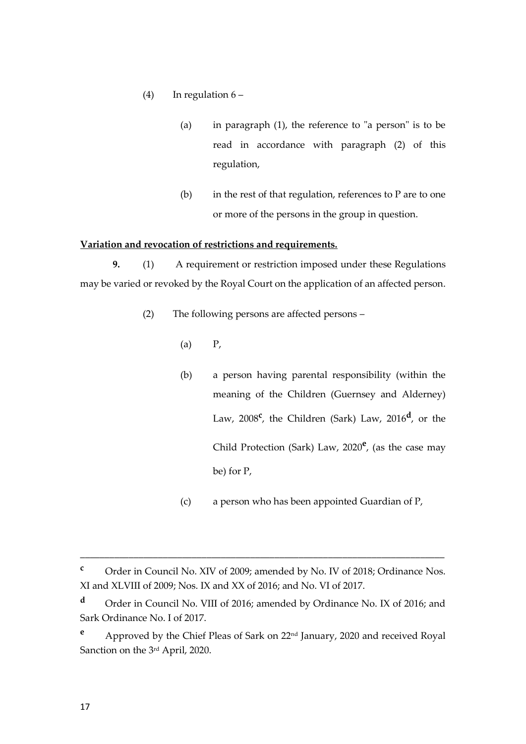- (4) In regulation  $6 -$ 
	- (a) in paragraph (1), the reference to "a person" is to be read in accordance with paragraph (2) of this regulation,
	- $(b)$  in the rest of that regulation, references to P are to one or more of the persons in the group in question.

#### **Variation and revocation of restrictions and requirements.**

**9.** (1) A requirement or restriction imposed under these Regulations may be varied or revoked by the Royal Court on the application of an affected person.

- (2) The following persons are affected persons
	- $(a)$   $P$ ,
	- (b) a person having parental responsibility (within the meaning of the Children (Guernsey and Alderney) Law, 2008<sup>c</sup>, the Children (Sark) Law, 2016<sup>d</sup>, or the Child Protection (Sark) Law, 2020**<sup>e</sup>** , (as the case may be) for P,
	- (c) a person who has been appointed Guardian of P,

**<sup>c</sup>** Order in Council No. XIV of 2009; amended by No. IV of 2018; Ordinance Nos. XI and XLVIII of 2009; Nos. IX and XX of 2016; and No. VI of 2017.

**<sup>d</sup>** Order in Council No. VIII of 2016; amended by Ordinance No. IX of 2016; and Sark Ordinance No. I of 2017.

**<sup>e</sup>** Approved by the Chief Pleas of Sark on 22nd January, 2020 and received Royal Sanction on the 3rd April, 2020.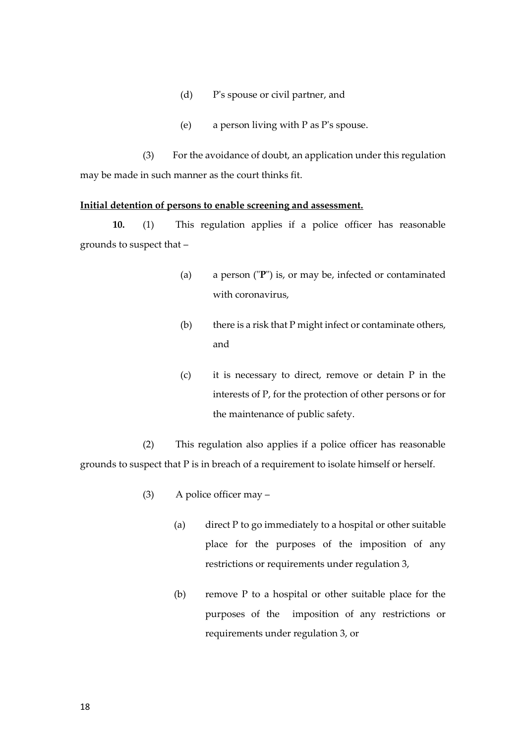- (d) P's spouse or civil partner, and
- (e) a person living with P as P's spouse.

(3) For the avoidance of doubt, an application under this regulation may be made in such manner as the court thinks fit.

#### **Initial detention of persons to enable screening and assessment.**

**10.** (1) This regulation applies if a police officer has reasonable grounds to suspect that –

- (a) a person ("**P**") is, or may be, infected or contaminated with coronavirus,
- (b) there is a risk that P might infect or contaminate others, and
- (c) it is necessary to direct, remove or detain P in the interests of P, for the protection of other persons or for the maintenance of public safety.

(2) This regulation also applies if a police officer has reasonable grounds to suspect that P is in breach of a requirement to isolate himself or herself.

- (3) A police officer may
	- (a) direct P to go immediately to a hospital or other suitable place for the purposes of the imposition of any restrictions or requirements under regulation 3,
	- (b) remove P to a hospital or other suitable place for the purposes of the imposition of any restrictions or requirements under regulation 3, or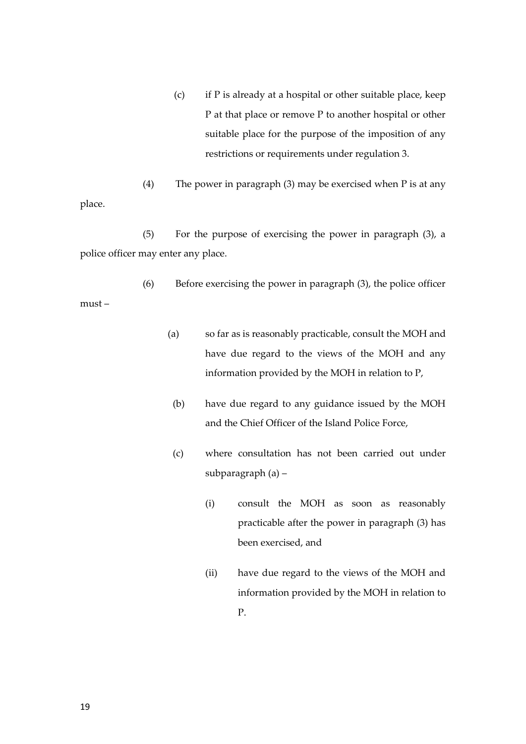(c) if P is already at a hospital or other suitable place, keep P at that place or remove P to another hospital or other suitable place for the purpose of the imposition of any restrictions or requirements under regulation 3.

(4) The power in paragraph (3) may be exercised when P is at any place.

(5) For the purpose of exercising the power in paragraph (3), a police officer may enter any place.

(6) Before exercising the power in paragraph (3), the police officer must –

- (a) so far as is reasonably practicable, consult the MOH and have due regard to the views of the MOH and any information provided by the MOH in relation to P,
- (b) have due regard to any guidance issued by the MOH and the Chief Officer of the Island Police Force,
- (c) where consultation has not been carried out under subparagraph (a) –
	- (i) consult the MOH as soon as reasonably practicable after the power in paragraph (3) has been exercised, and
	- (ii) have due regard to the views of the MOH and information provided by the MOH in relation to P.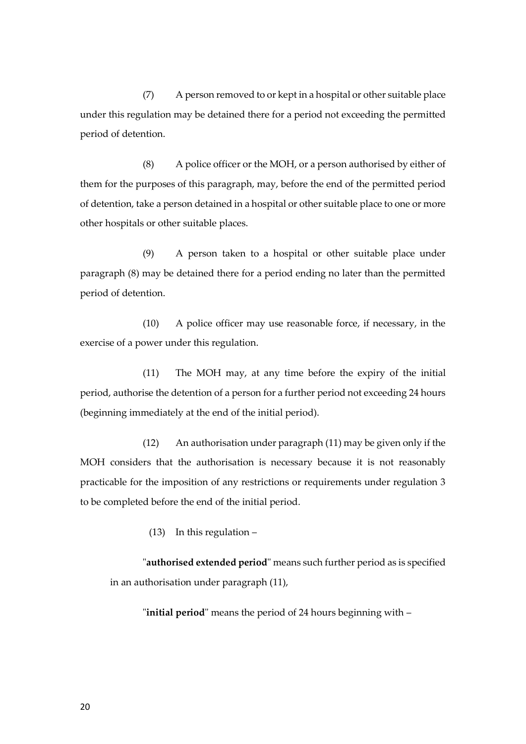(7) A person removed to or kept in a hospital or other suitable place under this regulation may be detained there for a period not exceeding the permitted period of detention.

(8) A police officer or the MOH, or a person authorised by either of them for the purposes of this paragraph, may, before the end of the permitted period of detention, take a person detained in a hospital or other suitable place to one or more other hospitals or other suitable places.

(9) A person taken to a hospital or other suitable place under paragraph (8) may be detained there for a period ending no later than the permitted period of detention.

(10) A police officer may use reasonable force, if necessary, in the exercise of a power under this regulation.

(11) The MOH may, at any time before the expiry of the initial period, authorise the detention of a person for a further period not exceeding 24 hours (beginning immediately at the end of the initial period).

(12) An authorisation under paragraph (11) may be given only if the MOH considers that the authorisation is necessary because it is not reasonably practicable for the imposition of any restrictions or requirements under regulation 3 to be completed before the end of the initial period.

(13) In this regulation –

"**authorised extended period**" means such further period as is specified in an authorisation under paragraph (11),

"**initial period**" means the period of 24 hours beginning with –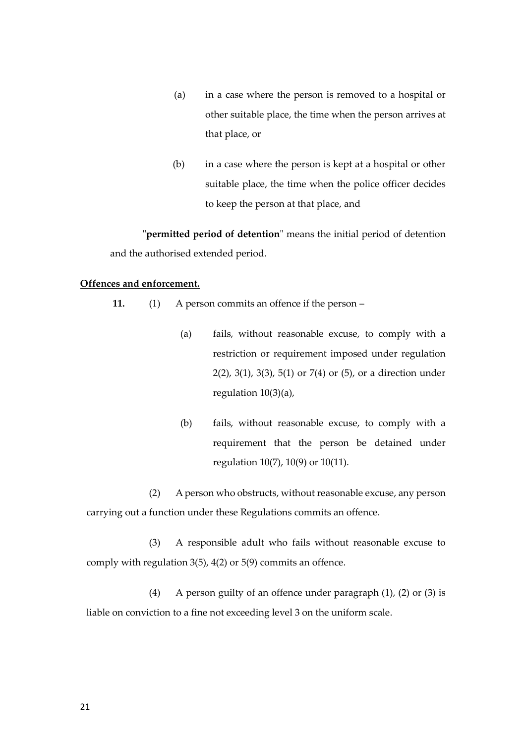- (a) in a case where the person is removed to a hospital or other suitable place, the time when the person arrives at that place, or
- (b) in a case where the person is kept at a hospital or other suitable place, the time when the police officer decides to keep the person at that place, and

"**permitted period of detention**" means the initial period of detention and the authorised extended period.

#### **Offences and enforcement.**

- **11.** (1) A person commits an offence if the person
	- (a) fails, without reasonable excuse, to comply with a restriction or requirement imposed under regulation 2(2), 3(1), 3(3), 5(1) or 7(4) or (5), or a direction under regulation 10(3)(a),
	- (b) fails, without reasonable excuse, to comply with a requirement that the person be detained under regulation 10(7), 10(9) or 10(11).

(2) A person who obstructs, without reasonable excuse, any person carrying out a function under these Regulations commits an offence.

(3) A responsible adult who fails without reasonable excuse to comply with regulation 3(5), 4(2) or 5(9) commits an offence.

(4) A person guilty of an offence under paragraph (1), (2) or (3) is liable on conviction to a fine not exceeding level 3 on the uniform scale.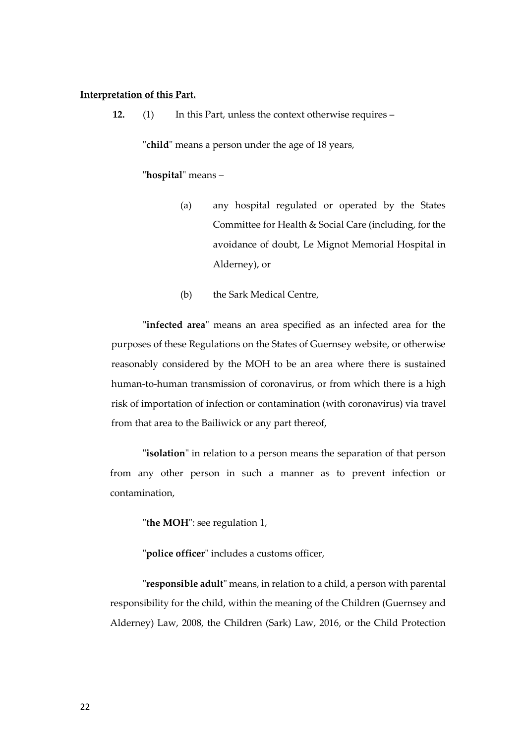#### **Interpretation of this Part.**

**12.** (1) In this Part, unless the context otherwise requires –

"**child**" means a person under the age of 18 years,

#### "**hospital**" means –

- (a) any hospital regulated or operated by the States Committee for Health & Social Care (including, for the avoidance of doubt, Le Mignot Memorial Hospital in Alderney), or
- (b) the Sark Medical Centre,

**"infected area**" means an area specified as an infected area for the purposes of these Regulations on the States of Guernsey website, or otherwise reasonably considered by the MOH to be an area where there is sustained human-to-human transmission of coronavirus, or from which there is a high risk of importation of infection or contamination (with coronavirus) via travel from that area to the Bailiwick or any part thereof,

"**isolation**" in relation to a person means the separation of that person from any other person in such a manner as to prevent infection or contamination,

"**the MOH**": see regulation 1,

"**police officer**" includes a customs officer,

"**responsible adult**" means, in relation to a child, a person with parental responsibility for the child, within the meaning of the Children (Guernsey and Alderney) Law, 2008, the Children (Sark) Law, 2016, or the Child Protection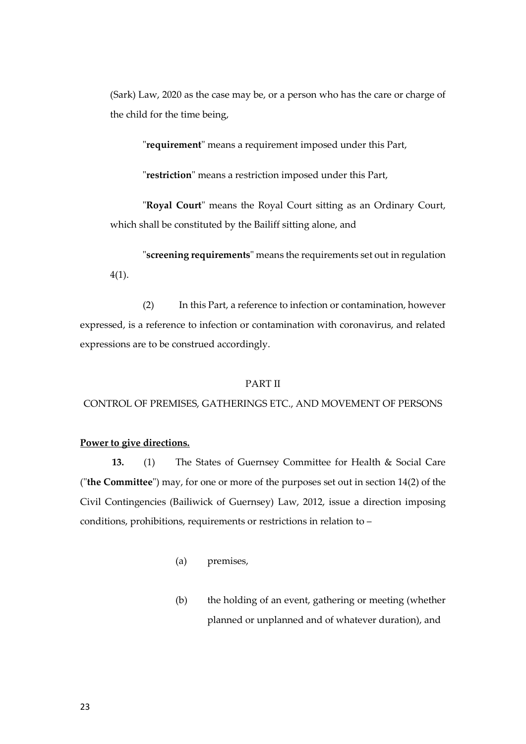(Sark) Law, 2020 as the case may be, or a person who has the care or charge of the child for the time being,

"**requirement**" means a requirement imposed under this Part,

"**restriction**" means a restriction imposed under this Part,

"**Royal Court**" means the Royal Court sitting as an Ordinary Court, which shall be constituted by the Bailiff sitting alone, and

"**screening requirements**" means the requirements set out in regulation 4(1).

(2) In this Part, a reference to infection or contamination, however expressed, is a reference to infection or contamination with coronavirus, and related expressions are to be construed accordingly.

#### PART II

CONTROL OF PREMISES, GATHERINGS ETC., AND MOVEMENT OF PERSONS

#### **Power to give directions.**

**13.** (1) The States of Guernsey Committee for Health & Social Care ("**the Committee**") may, for one or more of the purposes set out in section 14(2) of the Civil Contingencies (Bailiwick of Guernsey) Law, 2012, issue a direction imposing conditions, prohibitions, requirements or restrictions in relation to –

- (a) premises,
- (b) the holding of an event, gathering or meeting (whether planned or unplanned and of whatever duration), and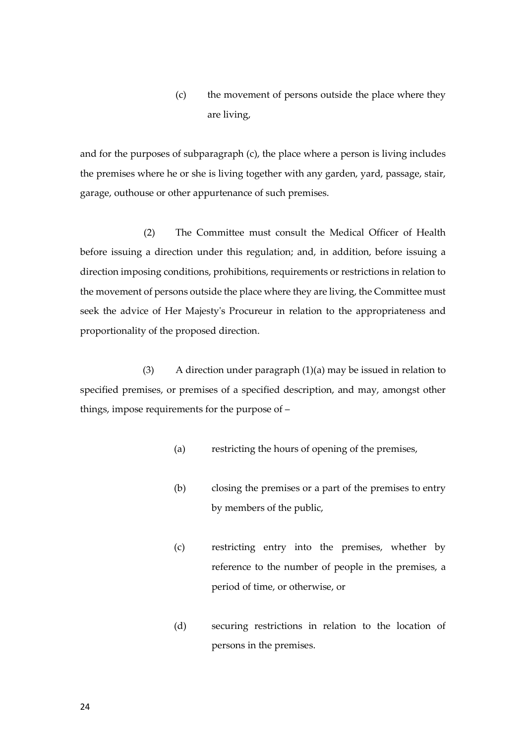### (c) the movement of persons outside the place where they are living,

and for the purposes of subparagraph (c), the place where a person is living includes the premises where he or she is living together with any garden, yard, passage, stair, garage, outhouse or other appurtenance of such premises.

(2) The Committee must consult the Medical Officer of Health before issuing a direction under this regulation; and, in addition, before issuing a direction imposing conditions, prohibitions, requirements or restrictions in relation to the movement of persons outside the place where they are living, the Committee must seek the advice of Her Majesty's Procureur in relation to the appropriateness and proportionality of the proposed direction.

(3) A direction under paragraph (1)(a) may be issued in relation to specified premises, or premises of a specified description, and may, amongst other things, impose requirements for the purpose of –

- (a) restricting the hours of opening of the premises,
- (b) closing the premises or a part of the premises to entry by members of the public,
- (c) restricting entry into the premises, whether by reference to the number of people in the premises, a period of time, or otherwise, or
- (d) securing restrictions in relation to the location of persons in the premises.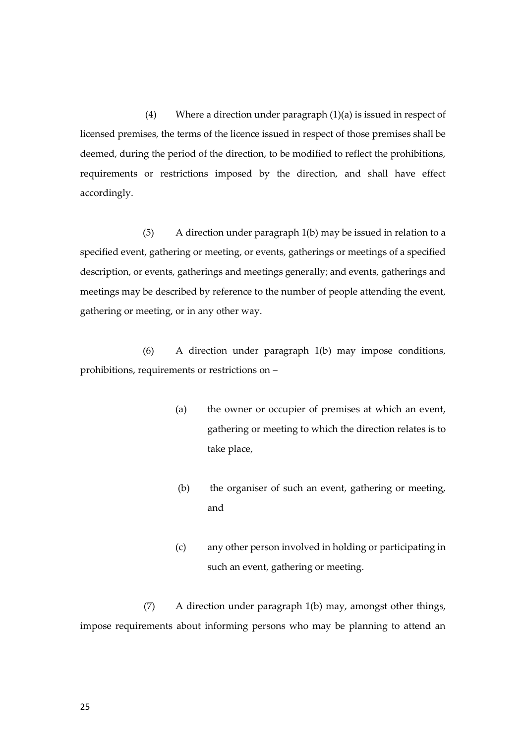(4) Where a direction under paragraph (1)(a) is issued in respect of licensed premises, the terms of the licence issued in respect of those premises shall be deemed, during the period of the direction, to be modified to reflect the prohibitions, requirements or restrictions imposed by the direction, and shall have effect accordingly.

(5) A direction under paragraph 1(b) may be issued in relation to a specified event, gathering or meeting, or events, gatherings or meetings of a specified description, or events, gatherings and meetings generally; and events, gatherings and meetings may be described by reference to the number of people attending the event, gathering or meeting, or in any other way.

(6) A direction under paragraph 1(b) may impose conditions, prohibitions, requirements or restrictions on –

- (a) the owner or occupier of premises at which an event, gathering or meeting to which the direction relates is to take place,
- (b) the organiser of such an event, gathering or meeting, and
- (c) any other person involved in holding or participating in such an event, gathering or meeting.

(7) A direction under paragraph 1(b) may, amongst other things, impose requirements about informing persons who may be planning to attend an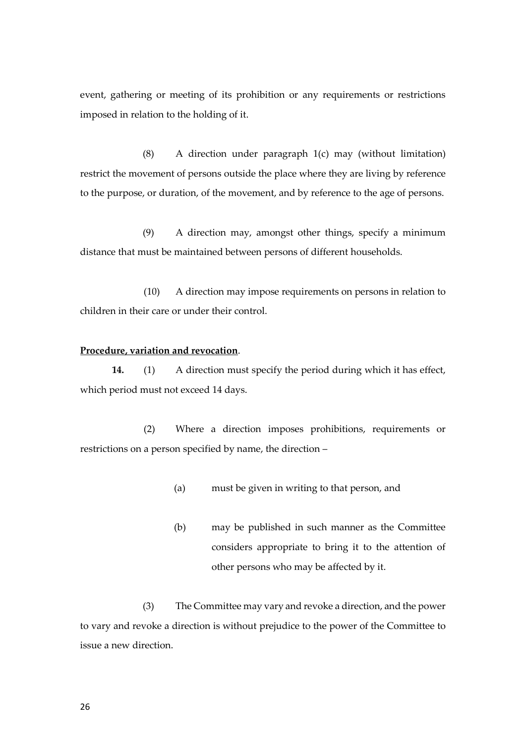event, gathering or meeting of its prohibition or any requirements or restrictions imposed in relation to the holding of it.

(8) A direction under paragraph 1(c) may (without limitation) restrict the movement of persons outside the place where they are living by reference to the purpose, or duration, of the movement, and by reference to the age of persons.

(9) A direction may, amongst other things, specify a minimum distance that must be maintained between persons of different households.

(10) A direction may impose requirements on persons in relation to children in their care or under their control.

#### **Procedure, variation and revocation**.

**14.** (1) A direction must specify the period during which it has effect, which period must not exceed 14 days.

(2) Where a direction imposes prohibitions, requirements or restrictions on a person specified by name, the direction –

- (a) must be given in writing to that person, and
- (b) may be published in such manner as the Committee considers appropriate to bring it to the attention of other persons who may be affected by it.

(3) The Committee may vary and revoke a direction, and the power to vary and revoke a direction is without prejudice to the power of the Committee to issue a new direction.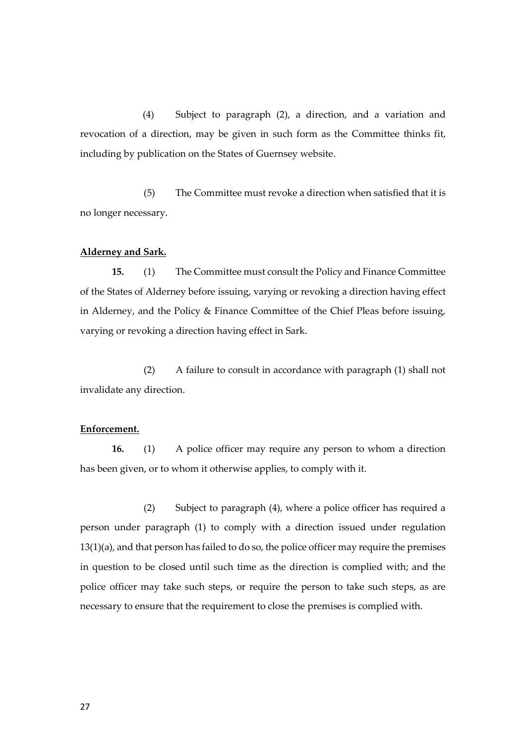(4) Subject to paragraph (2), a direction, and a variation and revocation of a direction, may be given in such form as the Committee thinks fit, including by publication on the States of Guernsey website.

(5) The Committee must revoke a direction when satisfied that it is no longer necessary.

#### **Alderney and Sark.**

**15.** (1) The Committee must consult the Policy and Finance Committee of the States of Alderney before issuing, varying or revoking a direction having effect in Alderney, and the Policy & Finance Committee of the Chief Pleas before issuing, varying or revoking a direction having effect in Sark.

(2) A failure to consult in accordance with paragraph (1) shall not invalidate any direction.

#### **Enforcement.**

**16.** (1) A police officer may require any person to whom a direction has been given, or to whom it otherwise applies, to comply with it.

(2) Subject to paragraph (4), where a police officer has required a person under paragraph (1) to comply with a direction issued under regulation 13(1)(a), and that person has failed to do so, the police officer may require the premises in question to be closed until such time as the direction is complied with; and the police officer may take such steps, or require the person to take such steps, as are necessary to ensure that the requirement to close the premises is complied with.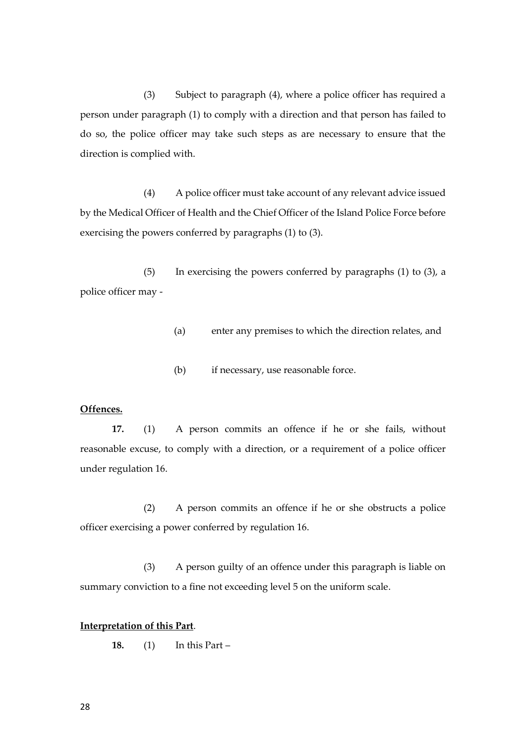(3) Subject to paragraph (4), where a police officer has required a person under paragraph (1) to comply with a direction and that person has failed to do so, the police officer may take such steps as are necessary to ensure that the direction is complied with.

(4) A police officer must take account of any relevant advice issued by the Medical Officer of Health and the Chief Officer of the Island Police Force before exercising the powers conferred by paragraphs (1) to (3).

(5) In exercising the powers conferred by paragraphs (1) to (3), a police officer may -

- (a) enter any premises to which the direction relates, and
- (b) if necessary, use reasonable force.

#### **Offences.**

**17.** (1) A person commits an offence if he or she fails, without reasonable excuse, to comply with a direction, or a requirement of a police officer under regulation 16.

(2) A person commits an offence if he or she obstructs a police officer exercising a power conferred by regulation 16.

(3) A person guilty of an offence under this paragraph is liable on summary conviction to a fine not exceeding level 5 on the uniform scale.

#### **Interpretation of this Part**.

**18.** (1) In this Part –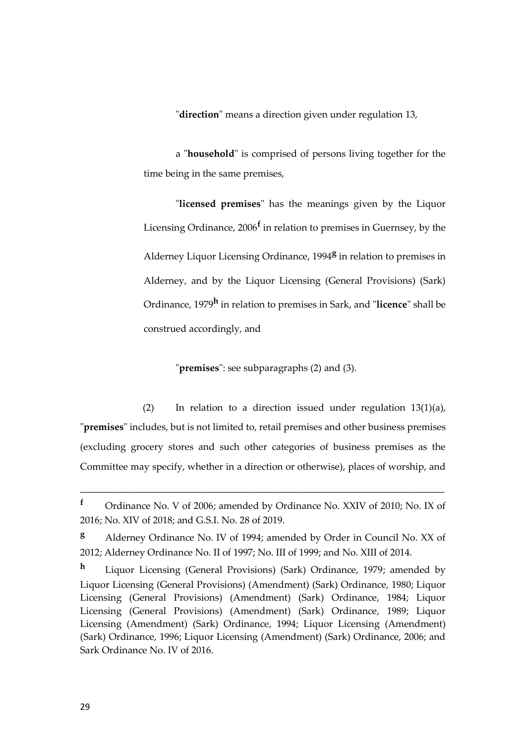"**direction**" means a direction given under regulation 13,

a "**household**" is comprised of persons living together for the time being in the same premises,

"**licensed premises**" has the meanings given by the Liquor Licensing Ordinance, 2006**<sup>f</sup>** in relation to premises in Guernsey, by the Alderney Liquor Licensing Ordinance, 1994**<sup>g</sup>** in relation to premises in Alderney, and by the Liquor Licensing (General Provisions) (Sark) Ordinance, 1979**<sup>h</sup>** in relation to premises in Sark, and "**licence**" shall be construed accordingly, and

"**premises**": see subparagraphs (2) and (3).

(2) In relation to a direction issued under regulation 13(1)(a), "**premises**" includes, but is not limited to, retail premises and other business premises (excluding grocery stores and such other categories of business premises as the Committee may specify, whether in a direction or otherwise), places of worship, and

**<sup>f</sup>** Ordinance No. V of 2006; amended by Ordinance No. XXIV of 2010; No. IX of 2016; No. XIV of 2018; and G.S.I. No. 28 of 2019.

**<sup>g</sup>** Alderney Ordinance No. IV of 1994; amended by Order in Council No. XX of 2012; Alderney Ordinance No. II of 1997; No. III of 1999; and No. XIII of 2014.

**<sup>h</sup>** Liquor Licensing (General Provisions) (Sark) Ordinance, 1979; amended by Liquor Licensing (General Provisions) (Amendment) (Sark) Ordinance, 1980; Liquor Licensing (General Provisions) (Amendment) (Sark) Ordinance, 1984; Liquor Licensing (General Provisions) (Amendment) (Sark) Ordinance, 1989; Liquor Licensing (Amendment) (Sark) Ordinance, 1994; Liquor Licensing (Amendment) (Sark) Ordinance, 1996; Liquor Licensing (Amendment) (Sark) Ordinance, 2006; and Sark Ordinance No. IV of 2016.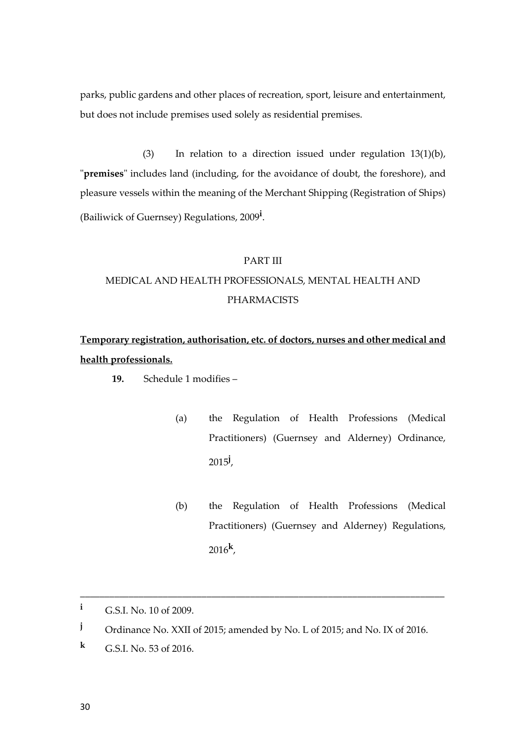parks, public gardens and other places of recreation, sport, leisure and entertainment, but does not include premises used solely as residential premises.

(3) In relation to a direction issued under regulation 13(1)(b), "**premises**" includes land (including, for the avoidance of doubt, the foreshore), and pleasure vessels within the meaning of the Merchant Shipping (Registration of Ships) (Bailiwick of Guernsey) Regulations, 2009**<sup>i</sup>** .

#### PART III

## MEDICAL AND HEALTH PROFESSIONALS, MENTAL HEALTH AND PHARMACISTS

## **Temporary registration, authorisation, etc. of doctors, nurses and other medical and health professionals.**

- **19.** Schedule 1 modifies
	- (a) the Regulation of Health Professions (Medical Practitioners) (Guernsey and Alderney) Ordinance, 2015**<sup>j</sup>** ,
	- (b) the Regulation of Health Professions (Medical Practitioners) (Guernsey and Alderney) Regulations, 2016**<sup>k</sup>** ,

**<sup>i</sup>** G.S.I. No. 10 of 2009.

**<sup>j</sup>** Ordinance No. XXII of 2015; amended by No. L of 2015; and No. IX of 2016.

**<sup>k</sup>** G.S.I. No. 53 of 2016.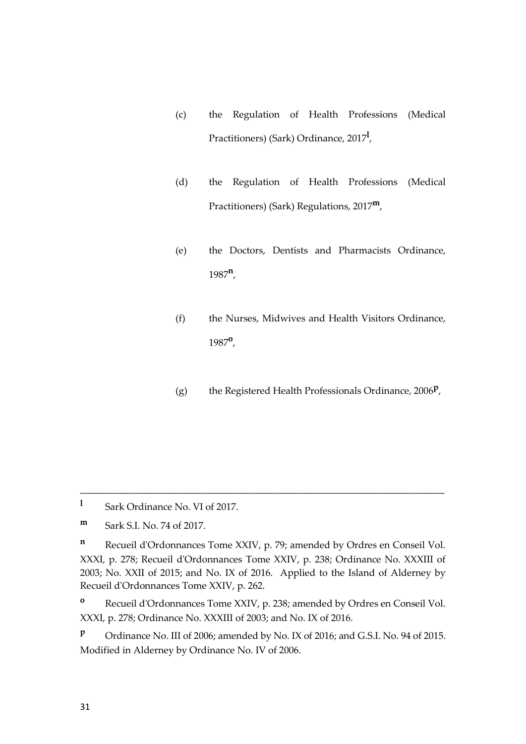- (c) the Regulation of Health Professions (Medical Practitioners) (Sark) Ordinance, 2017**<sup>l</sup>** ,
- (d) the Regulation of Health Professions (Medical Practitioners) (Sark) Regulations, 2017**m**,
- (e) the Doctors, Dentists and Pharmacists Ordinance, 1987**<sup>n</sup>** ,
- (f) the Nurses, Midwives and Health Visitors Ordinance, 1987**<sup>o</sup>** ,
- (g) the Registered Health Professionals Ordinance, 2006**<sup>p</sup>** ,

**l** Sark Ordinance No. VI of 2017.

**m** Sark S.I. No. 74 of 2017.

**<sup>n</sup>** Recueil d'Ordonnances Tome XXIV, p. 79; amended by Ordres en Conseil Vol. XXXI, p. 278; Recueil d'Ordonnances Tome XXIV, p. 238; Ordinance No. XXXIII of 2003; No. XXII of 2015; and No. IX of 2016. Applied to the Island of Alderney by Recueil d'Ordonnances Tome XXIV, p. 262.

\_\_\_\_\_\_\_\_\_\_\_\_\_\_\_\_\_\_\_\_\_\_\_\_\_\_\_\_\_\_\_\_\_\_\_\_\_\_\_\_\_\_\_\_\_\_\_\_\_\_\_\_\_\_\_\_\_\_\_\_\_\_\_\_\_\_\_\_\_\_\_\_\_\_\_

**<sup>o</sup>** Recueil d'Ordonnances Tome XXIV, p. 238; amended by Ordres en Conseil Vol. XXXI, p. 278; Ordinance No. XXXIII of 2003; and No. IX of 2016.

**<sup>p</sup>** Ordinance No. III of 2006; amended by No. IX of 2016; and G.S.I. No. 94 of 2015. Modified in Alderney by Ordinance No. IV of 2006.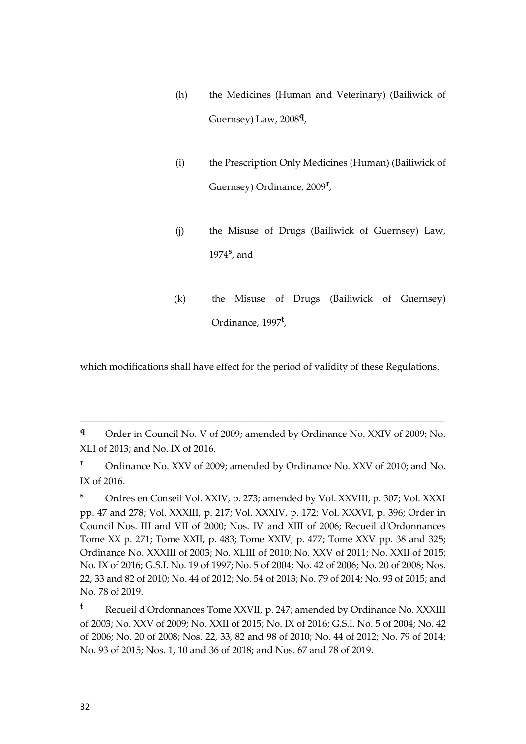- (h) the Medicines (Human and Veterinary) (Bailiwick of Guernsey) Law, 2008**<sup>q</sup>** ,
- (i) the Prescription Only Medicines (Human) (Bailiwick of Guernsey) Ordinance, 2009**<sup>r</sup>** ,
- (j) the Misuse of Drugs (Bailiwick of Guernsey) Law, 1974**<sup>s</sup>** , and
- (k) the Misuse of Drugs (Bailiwick of Guernsey) Ordinance, 1997**<sup>t</sup>** ,

which modifications shall have effect for the period of validity of these Regulations.

\_\_\_\_\_\_\_\_\_\_\_\_\_\_\_\_\_\_\_\_\_\_\_\_\_\_\_\_\_\_\_\_\_\_\_\_\_\_\_\_\_\_\_\_\_\_\_\_\_\_\_\_\_\_\_\_\_\_\_\_\_\_\_\_\_\_\_\_\_\_\_\_\_\_\_

**<sup>r</sup>** Ordinance No. XXV of 2009; amended by Ordinance No. XXV of 2010; and No. IX of 2016.

**<sup>s</sup>** Ordres en Conseil Vol. XXIV, p. 273; amended by Vol. XXVIII, p. 307; Vol. XXXI pp. 47 and 278; Vol. XXXIII, p. 217; Vol. XXXIV, p. 172; Vol. XXXVI, p. 396; Order in Council Nos. III and VII of 2000; Nos. IV and XIII of 2006; Recueil d'Ordonnances Tome XX p. 271; Tome XXII, p. 483; Tome XXIV, p. 477; Tome XXV pp. 38 and 325; Ordinance No. XXXIII of 2003; No. XLIII of 2010; No. XXV of 2011; No. XXII of 2015; No. IX of 2016; G.S.I. No. 19 of 1997; No. 5 of 2004; No. 42 of 2006; No. 20 of 2008; Nos. 22, 33 and 82 of 2010; No. 44 of 2012; No. 54 of 2013; No. 79 of 2014; No. 93 of 2015; and No. 78 of 2019.

**<sup>t</sup>** Recueil d'Ordonnances Tome XXVII, p. 247; amended by Ordinance No. XXXIII of 2003; No. XXV of 2009; No. XXII of 2015; No. IX of 2016; G.S.I. No. 5 of 2004; No. 42 of 2006; No. 20 of 2008; Nos. 22, 33, 82 and 98 of 2010; No. 44 of 2012; No. 79 of 2014; No. 93 of 2015; Nos. 1, 10 and 36 of 2018; and Nos. 67 and 78 of 2019.

**<sup>q</sup>** Order in Council No. V of 2009; amended by Ordinance No. XXIV of 2009; No. XLI of 2013; and No. IX of 2016.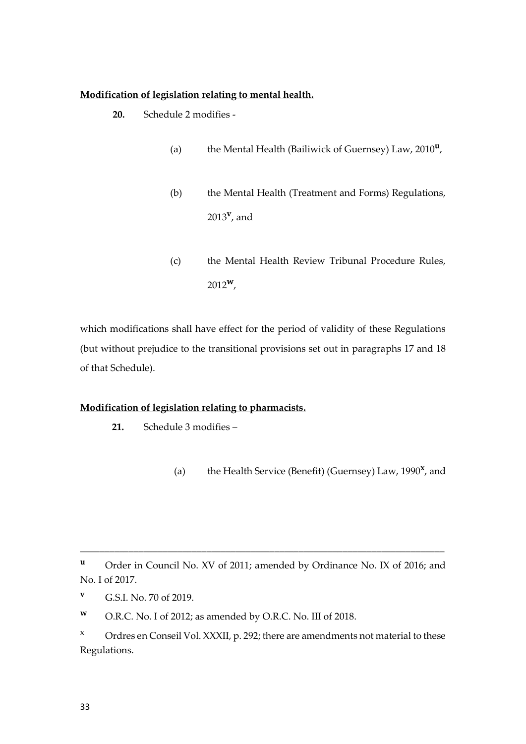#### **Modification of legislation relating to mental health.**

- **20.** Schedule 2 modifies
	- (a) the Mental Health (Bailiwick of Guernsey) Law, 2010**<sup>u</sup>** ,
	- (b) the Mental Health (Treatment and Forms) Regulations, 2013**<sup>v</sup>** , and
	- (c) the Mental Health Review Tribunal Procedure Rules, 2012**w**,

which modifications shall have effect for the period of validity of these Regulations (but without prejudice to the transitional provisions set out in paragraphs 17 and 18 of that Schedule).

#### **Modification of legislation relating to pharmacists.**

- **21.** Schedule 3 modifies
	- (a) the Health Service (Benefit) (Guernsey) Law, 1990<sup>x</sup>, and

**<sup>u</sup>** Order in Council No. XV of 2011; amended by Ordinance No. IX of 2016; and No. I of 2017.

**<sup>v</sup>** G.S.I. No. 70 of 2019.

**<sup>w</sup>** O.R.C. No. I of 2012; as amended by O.R.C. No. III of 2018.

 $x$  Ordres en Conseil Vol. XXXII, p. 292; there are amendments not material to these Regulations.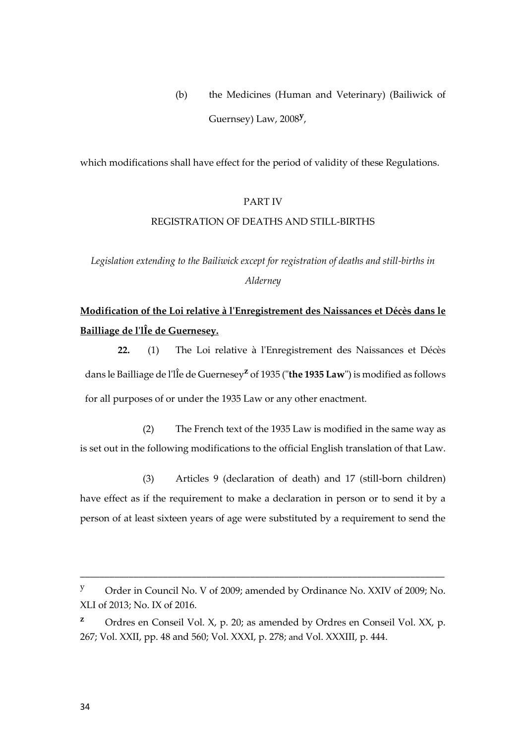(b) the Medicines (Human and Veterinary) (Bailiwick of Guernsey) Law, 2008**<sup>y</sup>** ,

which modifications shall have effect for the period of validity of these Regulations.

#### PART IV

#### REGISTRATION OF DEATHS AND STILL-BIRTHS

*Legislation extending to the Bailiwick except for registration of deaths and still-births in Alderney*

## **Modification of the Loi relative à l'Enregistrement des Naissances et Décès dans le Bailliage de l'lÎe de Guernesey.**

**22.** (1) The Loi relative à l'Enregistrement des Naissances et Décès dans le Bailliage de l'lÎe de Guernesey**<sup>z</sup>** of 1935 ("**the 1935 Law**") is modified as follows for all purposes of or under the 1935 Law or any other enactment.

(2) The French text of the 1935 Law is modified in the same way as is set out in the following modifications to the official English translation of that Law.

(3) Articles 9 (declaration of death) and 17 (still-born children) have effect as if the requirement to make a declaration in person or to send it by a person of at least sixteen years of age were substituted by a requirement to send the

<sup>y</sup> Order in Council No. V of 2009; amended by Ordinance No. XXIV of 2009; No. XLI of 2013; No. IX of 2016.

**z** Ordres en Conseil Vol. X, p. 20; as amended by Ordres en Conseil Vol. XX, p. 267; Vol. XXII, pp. 48 and 560; Vol. XXXI, p. 278; and Vol. XXXIII, p. 444.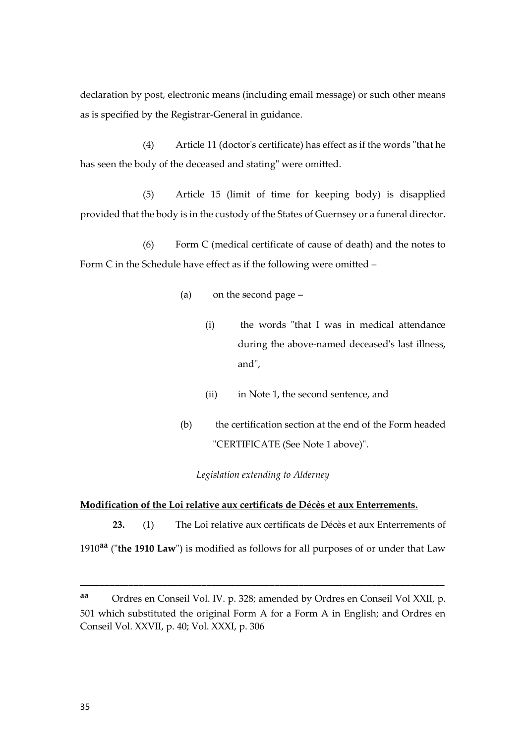declaration by post, electronic means (including email message) or such other means as is specified by the Registrar-General in guidance.

(4) Article 11 (doctor's certificate) has effect as if the words "that he has seen the body of the deceased and stating" were omitted.

(5) Article 15 (limit of time for keeping body) is disapplied provided that the body is in the custody of the States of Guernsey or a funeral director.

(6) Form C (medical certificate of cause of death) and the notes to Form C in the Schedule have effect as if the following were omitted –

- (a) on the second page
	- (i) the words "that I was in medical attendance during the above-named deceased's last illness, and",
	- (ii) in Note 1, the second sentence, and
- (b) the certification section at the end of the Form headed "CERTIFICATE (See Note 1 above)".

#### *Legislation extending to Alderney*

#### **Modification of the Loi relative aux certificats de Décès et aux Enterrements.**

**23.** (1) The Loi relative aux certificats de Décès et aux Enterrements of 1910**aa** ("**the 1910 Law**") is modified as follows for all purposes of or under that Law

**aa** Ordres en Conseil Vol. IV. p. 328; amended by Ordres en Conseil Vol XXII, p. 501 which substituted the original Form A for a Form A in English; and Ordres en Conseil Vol. XXVII, p. 40; Vol. XXXI, p. 306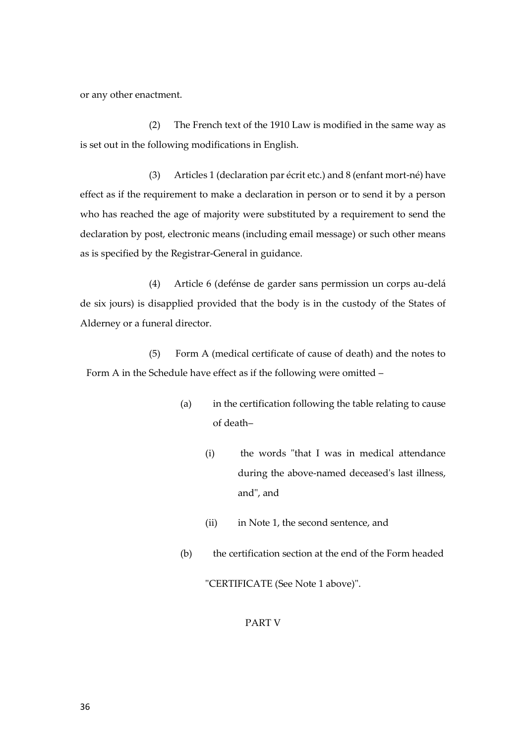or any other enactment.

(2) The French text of the 1910 Law is modified in the same way as is set out in the following modifications in English.

(3) Articles 1 (declaration par écrit etc.) and 8 (enfant mort-né) have effect as if the requirement to make a declaration in person or to send it by a person who has reached the age of majority were substituted by a requirement to send the declaration by post, electronic means (including email message) or such other means as is specified by the Registrar-General in guidance.

(4) Article 6 (defénse de garder sans permission un corps au-delá de six jours) is disapplied provided that the body is in the custody of the States of Alderney or a funeral director.

(5) Form A (medical certificate of cause of death) and the notes to Form A in the Schedule have effect as if the following were omitted –

- (a) in the certification following the table relating to cause of death–
	- (i) the words "that I was in medical attendance during the above-named deceased's last illness, and", and
	- (ii) in Note 1, the second sentence, and
- (b) the certification section at the end of the Form headed

"CERTIFICATE (See Note 1 above)".

PART V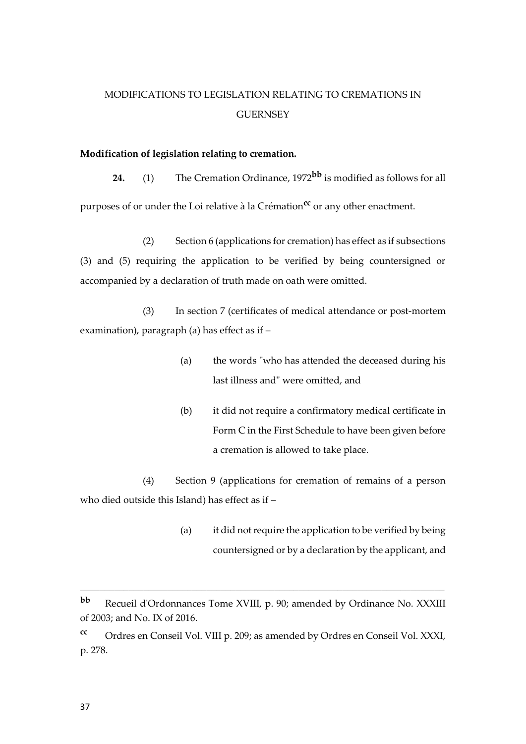# MODIFICATIONS TO LEGISLATION RELATING TO CREMATIONS IN **GUERNSEY**

#### **Modification of legislation relating to cremation.**

**24.** (1) The Cremation Ordinance, 1972**bb** is modified as follows for all purposes of or under the Loi relative à la Crémation**cc** or any other enactment.

(2) Section 6 (applications for cremation) has effect as if subsections (3) and (5) requiring the application to be verified by being countersigned or accompanied by a declaration of truth made on oath were omitted.

(3) In section 7 (certificates of medical attendance or post-mortem examination), paragraph (a) has effect as if –

- (a) the words "who has attended the deceased during his last illness and" were omitted, and
- (b) it did not require a confirmatory medical certificate in Form C in the First Schedule to have been given before a cremation is allowed to take place.

(4) Section 9 (applications for cremation of remains of a person who died outside this Island) has effect as if –

> (a) it did not require the application to be verified by being countersigned or by a declaration by the applicant, and

**bb** Recueil d'Ordonnances Tome XVIII, p. 90; amended by Ordinance No. XXXIII of 2003; and No. IX of 2016.

**cc** Ordres en Conseil Vol. VIII p. 209; as amended by Ordres en Conseil Vol. XXXI, p. 278.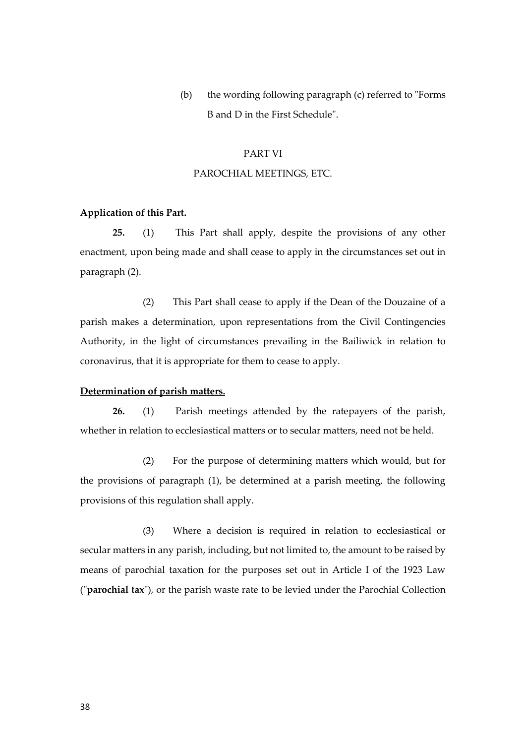(b) the wording following paragraph (c) referred to "Forms B and D in the First Schedule".

#### PART VI

#### PAROCHIAL MEETINGS, ETC.

# **Application of this Part.**

**25.** (1) This Part shall apply, despite the provisions of any other enactment, upon being made and shall cease to apply in the circumstances set out in paragraph (2).

(2) This Part shall cease to apply if the Dean of the Douzaine of a parish makes a determination, upon representations from the Civil Contingencies Authority, in the light of circumstances prevailing in the Bailiwick in relation to coronavirus, that it is appropriate for them to cease to apply.

### **Determination of parish matters.**

**26.** (1) Parish meetings attended by the ratepayers of the parish, whether in relation to ecclesiastical matters or to secular matters, need not be held.

(2) For the purpose of determining matters which would, but for the provisions of paragraph (1), be determined at a parish meeting, the following provisions of this regulation shall apply.

(3) Where a decision is required in relation to ecclesiastical or secular matters in any parish, including, but not limited to, the amount to be raised by means of parochial taxation for the purposes set out in Article I of the 1923 Law ("**parochial tax**"), or the parish waste rate to be levied under the Parochial Collection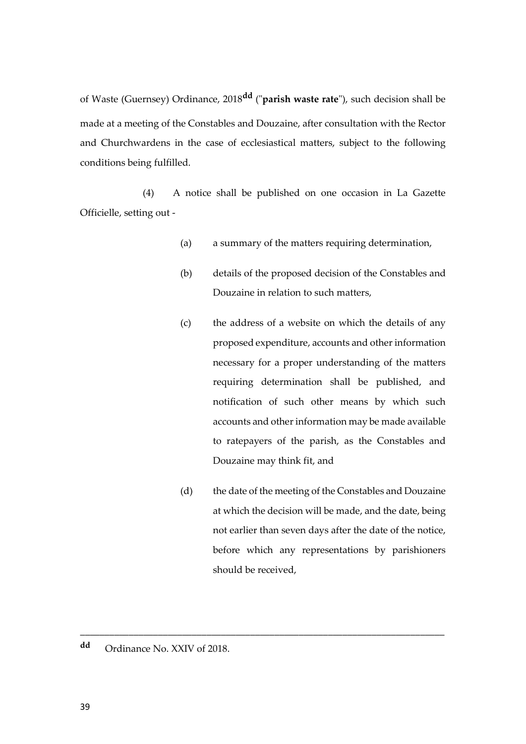of Waste (Guernsey) Ordinance, 2018**dd** ("**parish waste rate**"), such decision shall be made at a meeting of the Constables and Douzaine, after consultation with the Rector and Churchwardens in the case of ecclesiastical matters, subject to the following conditions being fulfilled.

(4) A notice shall be published on one occasion in La Gazette Officielle, setting out -

- (a) a summary of the matters requiring determination,
- (b) details of the proposed decision of the Constables and Douzaine in relation to such matters,
- (c) the address of a website on which the details of any proposed expenditure, accounts and other information necessary for a proper understanding of the matters requiring determination shall be published, and notification of such other means by which such accounts and other information may be made available to ratepayers of the parish, as the Constables and Douzaine may think fit, and
- (d) the date of the meeting of the Constables and Douzaine at which the decision will be made, and the date, being not earlier than seven days after the date of the notice, before which any representations by parishioners should be received,

\_\_\_\_\_\_\_\_\_\_\_\_\_\_\_\_\_\_\_\_\_\_\_\_\_\_\_\_\_\_\_\_\_\_\_\_\_\_\_\_\_\_\_\_\_\_\_\_\_\_\_\_\_\_\_\_\_\_\_\_\_\_\_\_\_\_\_\_\_\_\_\_\_\_\_

**dd** Ordinance No. XXIV of 2018.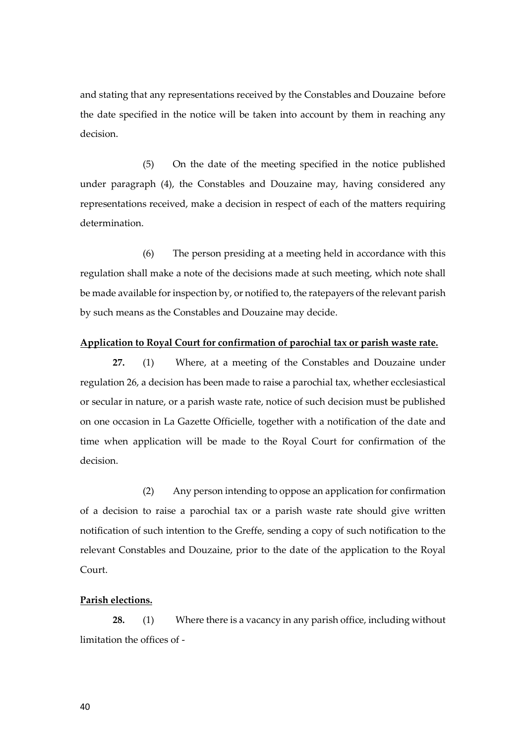and stating that any representations received by the Constables and Douzaine before the date specified in the notice will be taken into account by them in reaching any decision.

(5) On the date of the meeting specified in the notice published under paragraph (4), the Constables and Douzaine may, having considered any representations received, make a decision in respect of each of the matters requiring determination.

(6) The person presiding at a meeting held in accordance with this regulation shall make a note of the decisions made at such meeting, which note shall be made available for inspection by, or notified to, the ratepayers of the relevant parish by such means as the Constables and Douzaine may decide.

## **Application to Royal Court for confirmation of parochial tax or parish waste rate.**

**27.** (1) Where, at a meeting of the Constables and Douzaine under regulation 26, a decision has been made to raise a parochial tax, whether ecclesiastical or secular in nature, or a parish waste rate, notice of such decision must be published on one occasion in La Gazette Officielle, together with a notification of the date and time when application will be made to the Royal Court for confirmation of the decision.

(2) Any person intending to oppose an application for confirmation of a decision to raise a parochial tax or a parish waste rate should give written notification of such intention to the Greffe, sending a copy of such notification to the relevant Constables and Douzaine, prior to the date of the application to the Royal Court.

#### **Parish elections.**

**28.** (1) Where there is a vacancy in any parish office, including without limitation the offices of -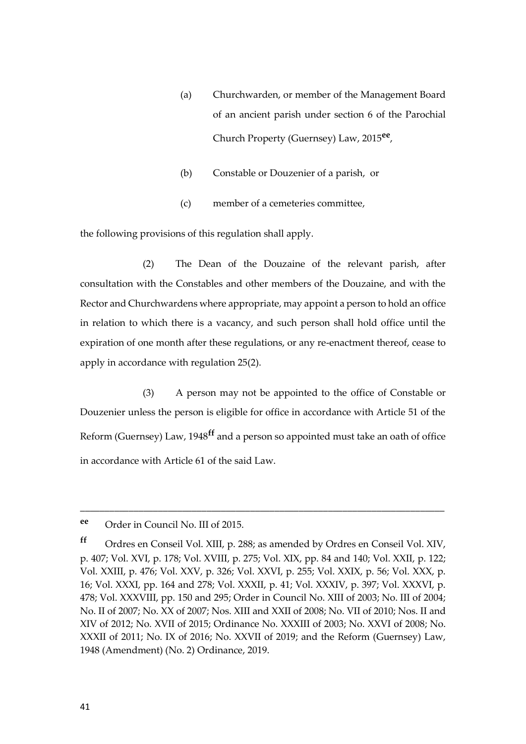- (a) Churchwarden, or member of the Management Board of an ancient parish under section 6 of the Parochial Church Property (Guernsey) Law, 2015**ee** ,
- (b) Constable or Douzenier of a parish, or
- (c) member of a cemeteries committee,

the following provisions of this regulation shall apply.

(2) The Dean of the Douzaine of the relevant parish, after consultation with the Constables and other members of the Douzaine, and with the Rector and Churchwardens where appropriate, may appoint a person to hold an office in relation to which there is a vacancy, and such person shall hold office until the expiration of one month after these regulations, or any re-enactment thereof, cease to apply in accordance with regulation 25(2).

(3) A person may not be appointed to the office of Constable or Douzenier unless the person is eligible for office in accordance with Article 51 of the Reform (Guernsey) Law, 1948**ff** and a person so appointed must take an oath of office in accordance with Article 61 of the said Law.

**ee** Order in Council No. III of 2015.

**ff** Ordres en Conseil Vol. XIII, p. 288; as amended by Ordres en Conseil Vol. XIV, p. 407; Vol. XVI, p. 178; Vol. XVIII, p. 275; Vol. XIX, pp. 84 and 140; Vol. XXII, p. 122; Vol. XXIII, p. 476; Vol. XXV, p. 326; Vol. XXVI, p. 255; Vol. XXIX, p. 56; Vol. XXX, p. 16; Vol. XXXI, pp. 164 and 278; Vol. XXXII, p. 41; Vol. XXXIV, p. 397; Vol. XXXVI, p. 478; Vol. XXXVIII, pp. 150 and 295; Order in Council No. XIII of 2003; No. III of 2004; No. II of 2007; No. XX of 2007; Nos. XIII and XXII of 2008; No. VII of 2010; Nos. II and XIV of 2012; No. XVII of 2015; Ordinance No. XXXIII of 2003; No. XXVI of 2008; No. XXXII of 2011; No. IX of 2016; No. XXVII of 2019; and the Reform (Guernsey) Law, 1948 (Amendment) (No. 2) Ordinance, 2019.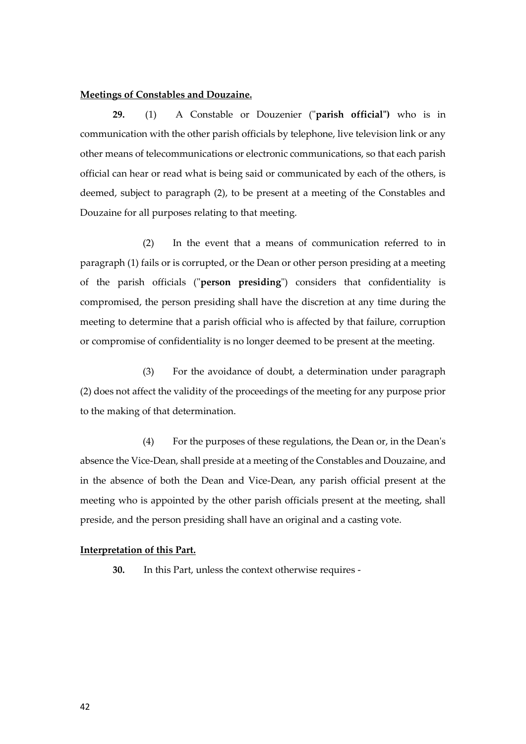## **Meetings of Constables and Douzaine.**

**29.** (1) A Constable or Douzenier ("**parish official")** who is in communication with the other parish officials by telephone, live television link or any other means of telecommunications or electronic communications, so that each parish official can hear or read what is being said or communicated by each of the others, is deemed, subject to paragraph (2), to be present at a meeting of the Constables and Douzaine for all purposes relating to that meeting.

(2) In the event that a means of communication referred to in paragraph (1) fails or is corrupted, or the Dean or other person presiding at a meeting of the parish officials ("**person presiding**") considers that confidentiality is compromised, the person presiding shall have the discretion at any time during the meeting to determine that a parish official who is affected by that failure, corruption or compromise of confidentiality is no longer deemed to be present at the meeting.

(3) For the avoidance of doubt, a determination under paragraph (2) does not affect the validity of the proceedings of the meeting for any purpose prior to the making of that determination.

(4) For the purposes of these regulations, the Dean or, in the Dean's absence the Vice-Dean, shall preside at a meeting of the Constables and Douzaine, and in the absence of both the Dean and Vice-Dean, any parish official present at the meeting who is appointed by the other parish officials present at the meeting, shall preside, and the person presiding shall have an original and a casting vote.

#### **Interpretation of this Part.**

**30.** In this Part, unless the context otherwise requires -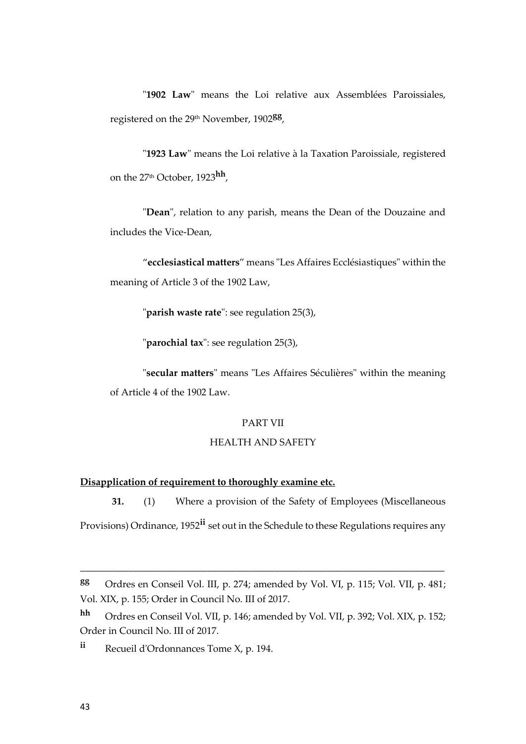"**1902 Law**" means the Loi relative aux Assemblées Paroissiales, registered on the 29th November, 1902**gg** ,

"**1923 Law**" means the Loi relative à la Taxation Paroissiale, registered on the 27th October, 1923**hh** ,

"**Dean**", relation to any parish, means the Dean of the Douzaine and includes the Vice-Dean,

"**ecclesiastical matters**" means "Les Affaires Ecclésiastiques" within the meaning of Article 3 of the 1902 Law,

"**parish waste rate**": see regulation 25(3),

"**parochial tax**": see regulation 25(3),

"**secular matters**" means "Les Affaires Séculières" within the meaning of Article 4 of the 1902 Law.

# PART VII

# HEALTH AND SAFETY

# **Disapplication of requirement to thoroughly examine etc.**

**31.** (1) Where a provision of the Safety of Employees (Miscellaneous Provisions) Ordinance, 1952**ii** set out in the Schedule to these Regulations requires any

**gg** Ordres en Conseil Vol. III, p. 274; amended by Vol. VI, p. 115; Vol. VII, p. 481; Vol. XIX, p. 155; Order in Council No. III of 2017.

**hh** Ordres en Conseil Vol. VII, p. 146; amended by Vol. VII, p. 392; Vol. XIX, p. 152; Order in Council No. III of 2017.

**ii** Recueil d'Ordonnances Tome X, p. 194.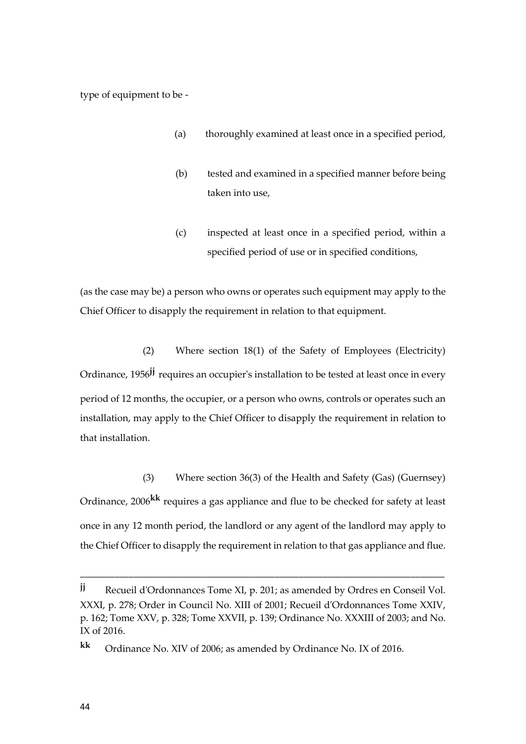type of equipment to be -

- (a) thoroughly examined at least once in a specified period,
- (b) tested and examined in a specified manner before being taken into use,
- (c) inspected at least once in a specified period, within a specified period of use or in specified conditions,

(as the case may be) a person who owns or operates such equipment may apply to the Chief Officer to disapply the requirement in relation to that equipment.

(2) Where section 18(1) of the Safety of Employees (Electricity) Ordinance, 1956**jj** requires an occupier's installation to be tested at least once in every period of 12 months, the occupier, or a person who owns, controls or operates such an installation, may apply to the Chief Officer to disapply the requirement in relation to that installation.

(3) Where section 36(3) of the Health and Safety (Gas) (Guernsey) Ordinance, 2006**kk** requires a gas appliance and flue to be checked for safety at least once in any 12 month period, the landlord or any agent of the landlord may apply to the Chief Officer to disapply the requirement in relation to that gas appliance and flue.

**jj** Recueil d'Ordonnances Tome XI, p. 201; as amended by Ordres en Conseil Vol. XXXI, p. 278; Order in Council No. XIII of 2001; Recueil d'Ordonnances Tome XXIV, p. 162; Tome XXV, p. 328; Tome XXVII, p. 139; Ordinance No. XXXIII of 2003; and No. IX of 2016.

**kk** Ordinance No. XIV of 2006; as amended by Ordinance No. IX of 2016.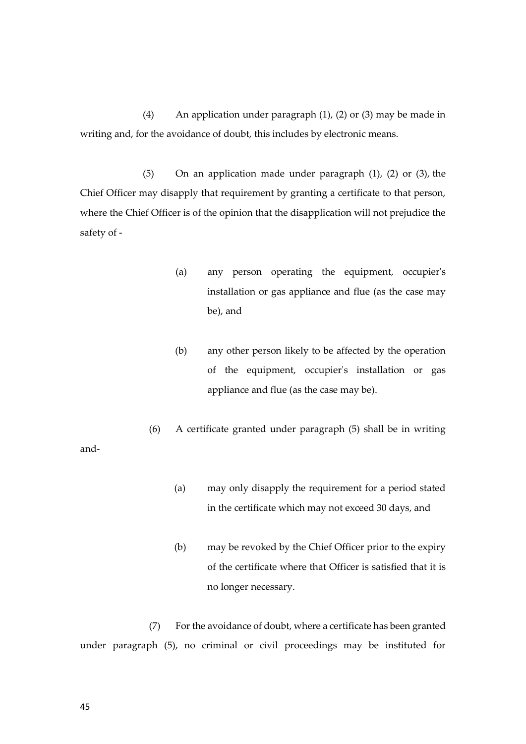(4) An application under paragraph (1), (2) or (3) may be made in writing and, for the avoidance of doubt, this includes by electronic means.

(5) On an application made under paragraph (1), (2) or (3), the Chief Officer may disapply that requirement by granting a certificate to that person, where the Chief Officer is of the opinion that the disapplication will not prejudice the safety of -

- (a) any person operating the equipment, occupier's installation or gas appliance and flue (as the case may be), and
- (b) any other person likely to be affected by the operation of the equipment, occupier's installation or gas appliance and flue (as the case may be).
- (6) A certificate granted under paragraph (5) shall be in writing
	- (a) may only disapply the requirement for a period stated in the certificate which may not exceed 30 days, and
	- (b) may be revoked by the Chief Officer prior to the expiry of the certificate where that Officer is satisfied that it is no longer necessary.

(7) For the avoidance of doubt, where a certificate has been granted under paragraph (5), no criminal or civil proceedings may be instituted for

and-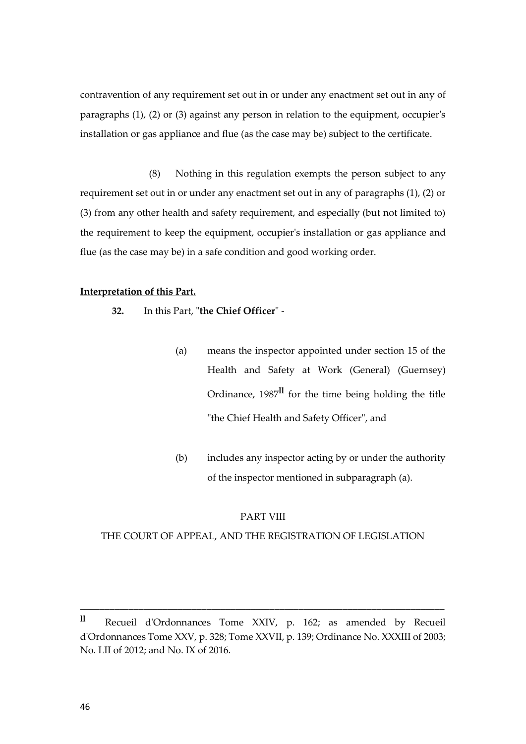contravention of any requirement set out in or under any enactment set out in any of paragraphs (1), (2) or (3) against any person in relation to the equipment, occupier's installation or gas appliance and flue (as the case may be) subject to the certificate.

(8) Nothing in this regulation exempts the person subject to any requirement set out in or under any enactment set out in any of paragraphs (1), (2) or (3) from any other health and safety requirement, and especially (but not limited to) the requirement to keep the equipment, occupier's installation or gas appliance and flue (as the case may be) in a safe condition and good working order.

#### **Interpretation of this Part.**

- **32.** In this Part, "**the Chief Officer**"
	- (a) means the inspector appointed under section 15 of the Health and Safety at Work (General) (Guernsey) Ordinance, 1987**ll** for the time being holding the title "the Chief Health and Safety Officer", and
	- (b) includes any inspector acting by or under the authority of the inspector mentioned in subparagraph (a).

## PART VIII

#### THE COURT OF APPEAL, AND THE REGISTRATION OF LEGISLATION

**ll** Recueil d'Ordonnances Tome XXIV, p. 162; as amended by Recueil d'Ordonnances Tome XXV, p. 328; Tome XXVII, p. 139; Ordinance No. XXXIII of 2003; No. LII of 2012; and No. IX of 2016.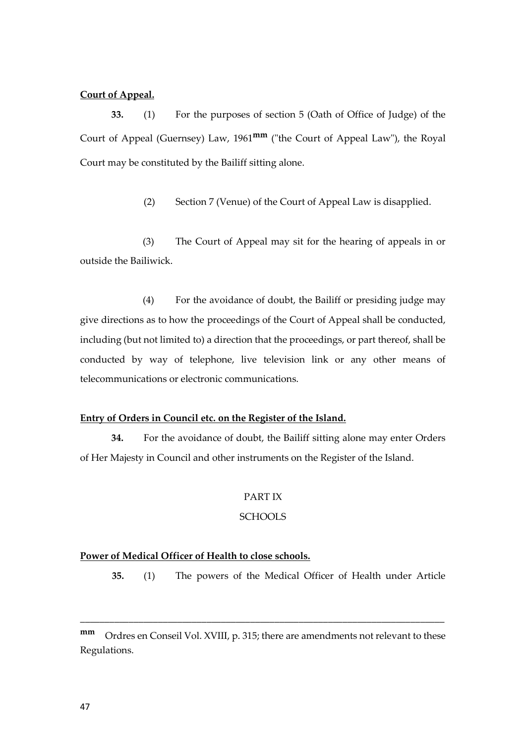## **Court of Appeal.**

**33.** (1) For the purposes of section 5 (Oath of Office of Judge) of the Court of Appeal (Guernsey) Law, 1961**mm** ("the Court of Appeal Law"), the Royal Court may be constituted by the Bailiff sitting alone.

(2) Section 7 (Venue) of the Court of Appeal Law is disapplied.

(3) The Court of Appeal may sit for the hearing of appeals in or outside the Bailiwick.

(4) For the avoidance of doubt, the Bailiff or presiding judge may give directions as to how the proceedings of the Court of Appeal shall be conducted, including (but not limited to) a direction that the proceedings, or part thereof, shall be conducted by way of telephone, live television link or any other means of telecommunications or electronic communications.

# **Entry of Orders in Council etc. on the Register of the Island.**

**34.** For the avoidance of doubt, the Bailiff sitting alone may enter Orders of Her Majesty in Council and other instruments on the Register of the Island.

#### PART IX

# **SCHOOLS**

#### **Power of Medical Officer of Health to close schools.**

**35.** (1) The powers of the Medical Officer of Health under Article

**mm** Ordres en Conseil Vol. XVIII, p. 315; there are amendments not relevant to these Regulations.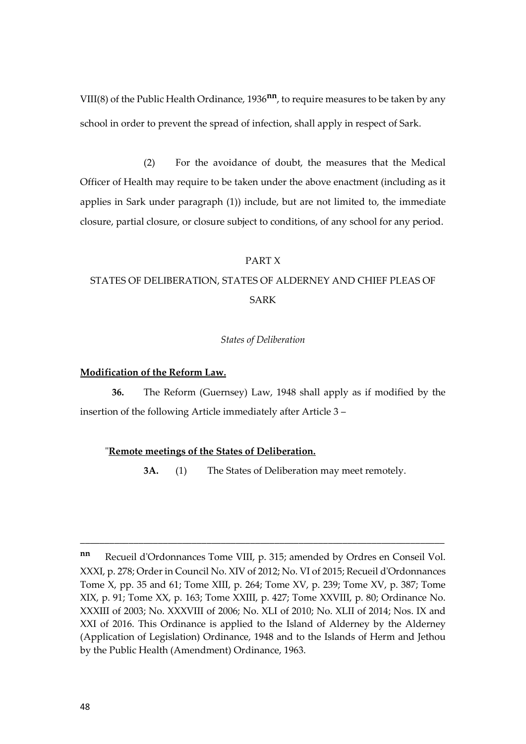VIII(8) of the Public Health Ordinance, 1936**nn**, to require measures to be taken by any school in order to prevent the spread of infection, shall apply in respect of Sark.

(2) For the avoidance of doubt, the measures that the Medical Officer of Health may require to be taken under the above enactment (including as it applies in Sark under paragraph (1)) include, but are not limited to, the immediate closure, partial closure, or closure subject to conditions, of any school for any period.

#### PART X

# STATES OF DELIBERATION, STATES OF ALDERNEY AND CHIEF PLEAS OF SARK

#### *States of Deliberation*

## **Modification of the Reform Law.**

**36.** The Reform (Guernsey) Law, 1948 shall apply as if modified by the insertion of the following Article immediately after Article 3 –

#### "**Remote meetings of the States of Deliberation.**

**3A.** (1) The States of Deliberation may meet remotely.

**nn** Recueil d'Ordonnances Tome VIII, p. 315; amended by Ordres en Conseil Vol. XXXI, p. 278; Order in Council No. XIV of 2012; No. VI of 2015; Recueil d'Ordonnances Tome X, pp. 35 and 61; Tome XIII, p. 264; Tome XV, p. 239; Tome XV, p. 387; Tome XIX, p. 91; Tome XX, p. 163; Tome XXIII, p. 427; Tome XXVIII, p. 80; Ordinance No. XXXIII of 2003; No. XXXVIII of 2006; No. XLI of 2010; No. XLII of 2014; Nos. IX and XXI of 2016. This Ordinance is applied to the Island of Alderney by the Alderney (Application of Legislation) Ordinance, 1948 and to the Islands of Herm and Jethou by the Public Health (Amendment) Ordinance, 1963.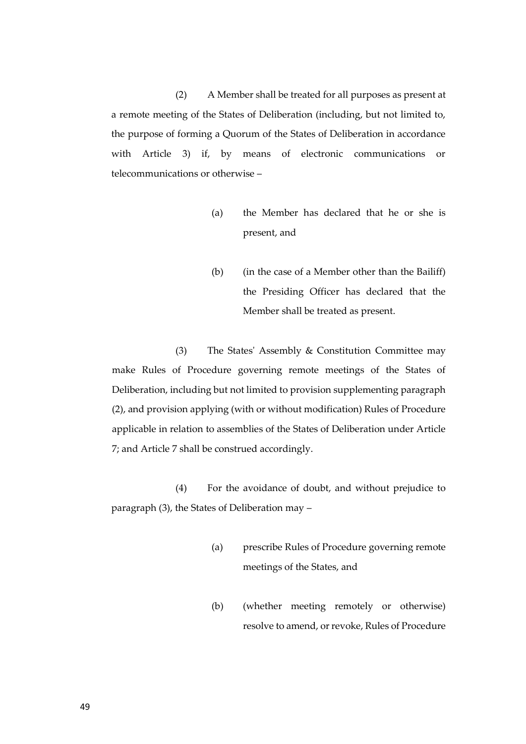(2) A Member shall be treated for all purposes as present at a remote meeting of the States of Deliberation (including, but not limited to, the purpose of forming a Quorum of the States of Deliberation in accordance with Article 3) if, by means of electronic communications or telecommunications or otherwise –

- (a) the Member has declared that he or she is present, and
- (b) (in the case of a Member other than the Bailiff) the Presiding Officer has declared that the Member shall be treated as present.

(3) The States' Assembly & Constitution Committee may make Rules of Procedure governing remote meetings of the States of Deliberation, including but not limited to provision supplementing paragraph (2), and provision applying (with or without modification) Rules of Procedure applicable in relation to assemblies of the States of Deliberation under Article 7; and Article 7 shall be construed accordingly.

(4) For the avoidance of doubt, and without prejudice to paragraph (3), the States of Deliberation may –

- (a) prescribe Rules of Procedure governing remote meetings of the States, and
- (b) (whether meeting remotely or otherwise) resolve to amend, or revoke, Rules of Procedure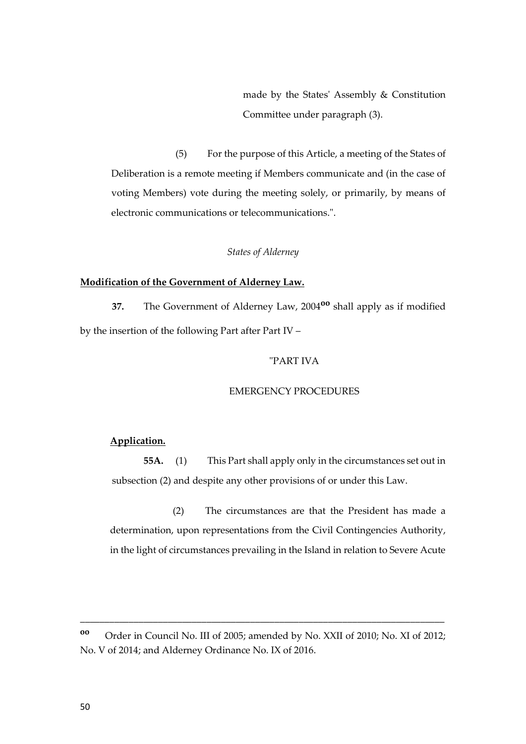made by the States' Assembly & Constitution Committee under paragraph (3).

(5) For the purpose of this Article, a meeting of the States of Deliberation is a remote meeting if Members communicate and (in the case of voting Members) vote during the meeting solely, or primarily, by means of electronic communications or telecommunications.".

# *States of Alderney*

## **Modification of the Government of Alderney Law.**

**37.** The Government of Alderney Law, 2004**oo** shall apply as if modified by the insertion of the following Part after Part IV –

#### "PART IVA

#### EMERGENCY PROCEDURES

# **Application.**

**55A.** (1) This Part shall apply only in the circumstances set out in subsection (2) and despite any other provisions of or under this Law.

(2) The circumstances are that the President has made a determination, upon representations from the Civil Contingencies Authority, in the light of circumstances prevailing in the Island in relation to Severe Acute

**oo** Order in Council No. III of 2005; amended by No. XXII of 2010; No. XI of 2012; No. V of 2014; and Alderney Ordinance No. IX of 2016.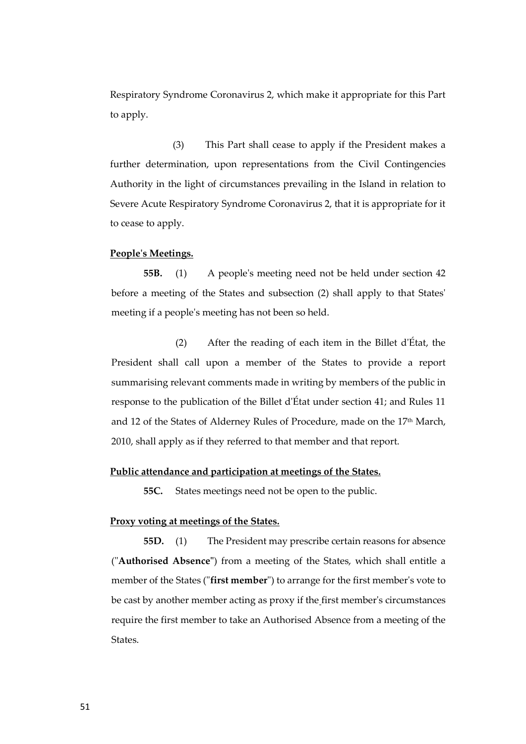Respiratory Syndrome Coronavirus 2, which make it appropriate for this Part to apply.

(3) This Part shall cease to apply if the President makes a further determination, upon representations from the Civil Contingencies Authority in the light of circumstances prevailing in the Island in relation to Severe Acute Respiratory Syndrome Coronavirus 2, that it is appropriate for it to cease to apply.

#### **People's Meetings.**

**55B.** (1) A people's meeting need not be held under section 42 before a meeting of the States and subsection (2) shall apply to that States' meeting if a people's meeting has not been so held.

(2) After the reading of each item in the Billet d'État, the President shall call upon a member of the States to provide a report summarising relevant comments made in writing by members of the public in response to the publication of the Billet d'État under section 41; and Rules 11 and 12 of the States of Alderney Rules of Procedure, made on the 17th March, 2010, shall apply as if they referred to that member and that report.

## **Public attendance and participation at meetings of the States.**

**55C.** States meetings need not be open to the public.

## **Proxy voting at meetings of the States.**

**55D.** (1) The President may prescribe certain reasons for absence ("**Authorised Absence"**) from a meeting of the States, which shall entitle a member of the States ("**first member**") to arrange for the first member's vote to be cast by another member acting as proxy if the first member's circumstances require the first member to take an Authorised Absence from a meeting of the States.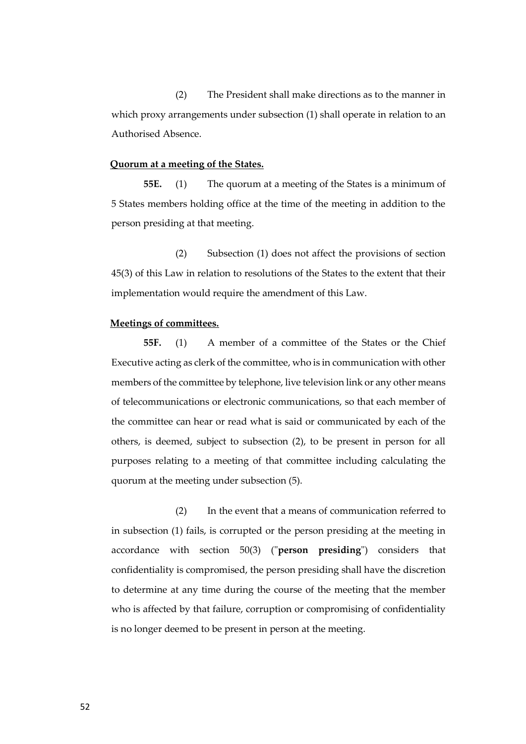(2) The President shall make directions as to the manner in which proxy arrangements under subsection (1) shall operate in relation to an Authorised Absence.

## **Quorum at a meeting of the States.**

**55E.** (1) The quorum at a meeting of the States is a minimum of 5 States members holding office at the time of the meeting in addition to the person presiding at that meeting.

(2) Subsection (1) does not affect the provisions of section 45(3) of this Law in relation to resolutions of the States to the extent that their implementation would require the amendment of this Law.

## **Meetings of committees.**

**55F.** (1) A member of a committee of the States or the Chief Executive acting as clerk of the committee, who is in communication with other members of the committee by telephone, live television link or any other means of telecommunications or electronic communications, so that each member of the committee can hear or read what is said or communicated by each of the others, is deemed, subject to subsection (2), to be present in person for all purposes relating to a meeting of that committee including calculating the quorum at the meeting under subsection (5).

(2) In the event that a means of communication referred to in subsection (1) fails, is corrupted or the person presiding at the meeting in accordance with section 50(3) ("**person presiding**") considers that confidentiality is compromised, the person presiding shall have the discretion to determine at any time during the course of the meeting that the member who is affected by that failure, corruption or compromising of confidentiality is no longer deemed to be present in person at the meeting.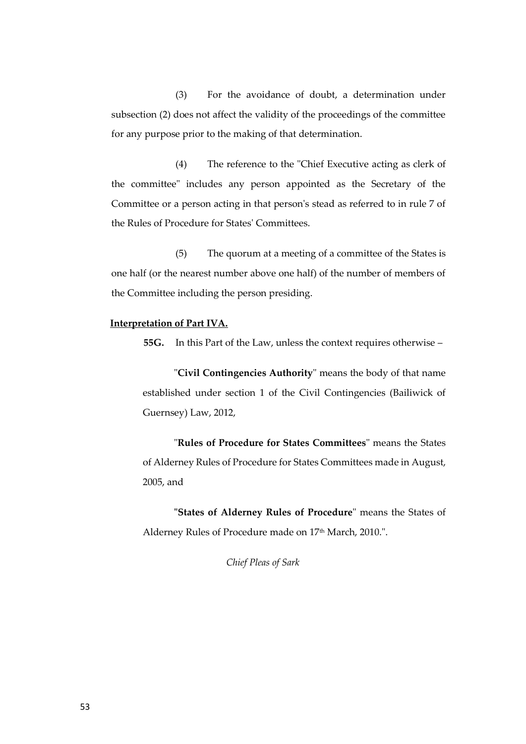(3) For the avoidance of doubt, a determination under subsection (2) does not affect the validity of the proceedings of the committee for any purpose prior to the making of that determination.

(4) The reference to the "Chief Executive acting as clerk of the committee" includes any person appointed as the Secretary of the Committee or a person acting in that person's stead as referred to in rule 7 of the Rules of Procedure for States' Committees.

(5) The quorum at a meeting of a committee of the States is one half (or the nearest number above one half) of the number of members of the Committee including the person presiding.

# **Interpretation of Part IVA.**

**55G.** In this Part of the Law, unless the context requires otherwise –

"**Civil Contingencies Authority**" means the body of that name established under section 1 of the Civil Contingencies (Bailiwick of Guernsey) Law, 2012,

"**Rules of Procedure for States Committees**" means the States of Alderney Rules of Procedure for States Committees made in August, 2005, and

**"States of Alderney Rules of Procedure**" means the States of Alderney Rules of Procedure made on 17<sup>th</sup> March, 2010.".

*Chief Pleas of Sark*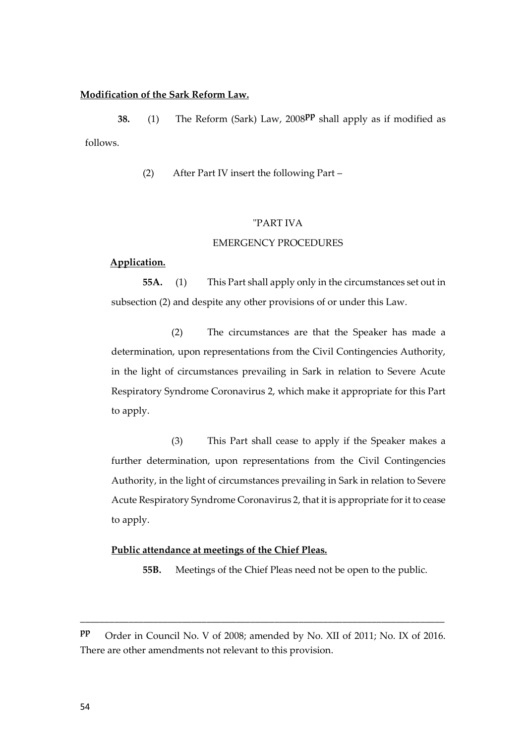## **Modification of the Sark Reform Law.**

**38.** (1) The Reform (Sark) Law, 2008<sup>PP</sup> shall apply as if modified as follows.

(2) After Part IV insert the following Part –

# "PART IVA

#### EMERGENCY PROCEDURES

#### **Application.**

**55A.** (1) This Part shall apply only in the circumstances set out in subsection (2) and despite any other provisions of or under this Law.

(2) The circumstances are that the Speaker has made a determination, upon representations from the Civil Contingencies Authority, in the light of circumstances prevailing in Sark in relation to Severe Acute Respiratory Syndrome Coronavirus 2, which make it appropriate for this Part to apply.

(3) This Part shall cease to apply if the Speaker makes a further determination, upon representations from the Civil Contingencies Authority, in the light of circumstances prevailing in Sark in relation to Severe Acute Respiratory Syndrome Coronavirus 2, that it is appropriate for it to cease to apply.

## **Public attendance at meetings of the Chief Pleas.**

**55B.** Meetings of the Chief Pleas need not be open to the public.

**pp** Order in Council No. V of 2008; amended by No. XII of 2011; No. IX of 2016. There are other amendments not relevant to this provision.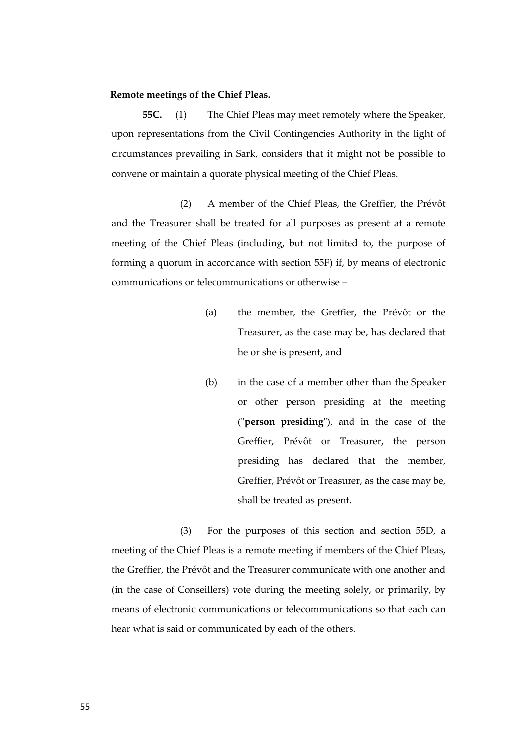## **Remote meetings of the Chief Pleas.**

**55C.** (1) The Chief Pleas may meet remotely where the Speaker, upon representations from the Civil Contingencies Authority in the light of circumstances prevailing in Sark, considers that it might not be possible to convene or maintain a quorate physical meeting of the Chief Pleas.

(2) A member of the Chief Pleas, the Greffier, the Prévôt and the Treasurer shall be treated for all purposes as present at a remote meeting of the Chief Pleas (including, but not limited to, the purpose of forming a quorum in accordance with section 55F) if, by means of electronic communications or telecommunications or otherwise –

- (a) the member, the Greffier, the Prévôt or the Treasurer, as the case may be, has declared that he or she is present, and
- (b) in the case of a member other than the Speaker or other person presiding at the meeting ("**person presiding**"), and in the case of the Greffier, Prévôt or Treasurer, the person presiding has declared that the member, Greffier, Prévôt or Treasurer, as the case may be, shall be treated as present.

(3) For the purposes of this section and section 55D, a meeting of the Chief Pleas is a remote meeting if members of the Chief Pleas, the Greffier, the Prévôt and the Treasurer communicate with one another and (in the case of Conseillers) vote during the meeting solely, or primarily, by means of electronic communications or telecommunications so that each can hear what is said or communicated by each of the others.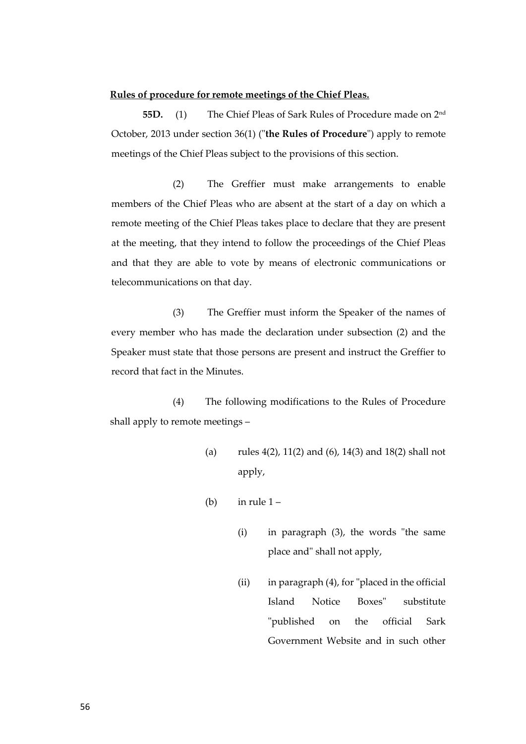#### **Rules of procedure for remote meetings of the Chief Pleas.**

**55D.** (1) The Chief Pleas of Sark Rules of Procedure made on 2nd October, 2013 under section 36(1) ("**the Rules of Procedure**") apply to remote meetings of the Chief Pleas subject to the provisions of this section.

(2) The Greffier must make arrangements to enable members of the Chief Pleas who are absent at the start of a day on which a remote meeting of the Chief Pleas takes place to declare that they are present at the meeting, that they intend to follow the proceedings of the Chief Pleas and that they are able to vote by means of electronic communications or telecommunications on that day.

(3) The Greffier must inform the Speaker of the names of every member who has made the declaration under subsection (2) and the Speaker must state that those persons are present and instruct the Greffier to record that fact in the Minutes.

(4) The following modifications to the Rules of Procedure shall apply to remote meetings –

- (a) rules 4(2), 11(2) and (6), 14(3) and 18(2) shall not apply,
- (b) in rule  $1 -$ 
	- (i) in paragraph (3), the words "the same place and" shall not apply,
	- (ii) in paragraph (4), for "placed in the official Island Notice Boxes" substitute "published on the official Sark Government Website and in such other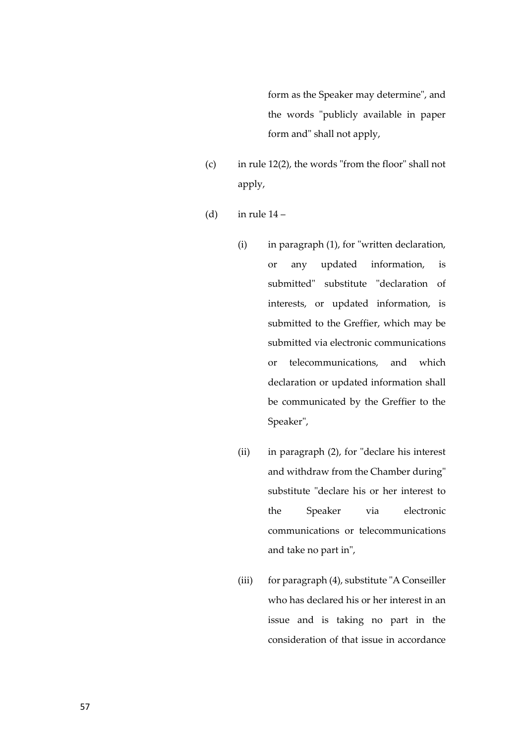form as the Speaker may determine", and the words "publicly available in paper form and" shall not apply,

- (c) in rule 12(2), the words "from the floor" shall not apply,
- (d) in rule  $14$ 
	- (i) in paragraph (1), for "written declaration, or any updated information, is submitted" substitute "declaration of interests, or updated information, is submitted to the Greffier, which may be submitted via electronic communications or telecommunications, and which declaration or updated information shall be communicated by the Greffier to the Speaker",
	- (ii) in paragraph (2), for "declare his interest and withdraw from the Chamber during" substitute "declare his or her interest to the Speaker via electronic communications or telecommunications and take no part in",
	- (iii) for paragraph (4), substitute "A Conseiller who has declared his or her interest in an issue and is taking no part in the consideration of that issue in accordance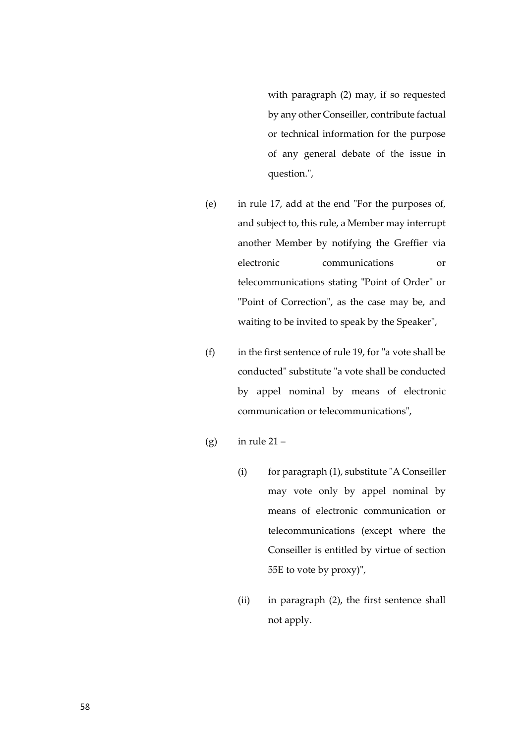with paragraph (2) may, if so requested by any other Conseiller, contribute factual or technical information for the purpose of any general debate of the issue in question.",

- (e) in rule 17, add at the end "For the purposes of, and subject to, this rule, a Member may interrupt another Member by notifying the Greffier via electronic communications or telecommunications stating "Point of Order" or "Point of Correction", as the case may be, and waiting to be invited to speak by the Speaker",
- (f) in the first sentence of rule 19, for "a vote shall be conducted" substitute "a vote shall be conducted by appel nominal by means of electronic communication or telecommunications",
- (g) in rule  $21 -$ 
	- (i) for paragraph (1), substitute "A Conseiller may vote only by appel nominal by means of electronic communication or telecommunications (except where the Conseiller is entitled by virtue of section 55E to vote by proxy)",
	- (ii) in paragraph (2), the first sentence shall not apply.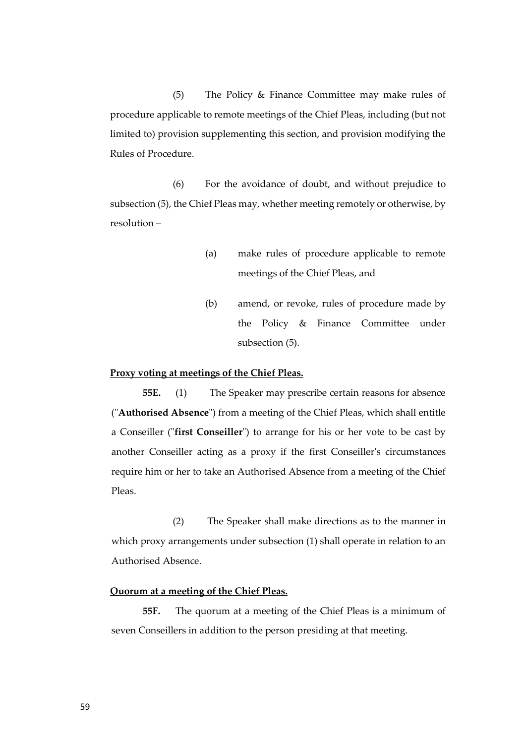(5) The Policy & Finance Committee may make rules of procedure applicable to remote meetings of the Chief Pleas, including (but not limited to) provision supplementing this section, and provision modifying the Rules of Procedure.

(6) For the avoidance of doubt, and without prejudice to subsection (5), the Chief Pleas may, whether meeting remotely or otherwise, by resolution –

- (a) make rules of procedure applicable to remote meetings of the Chief Pleas, and
- (b) amend, or revoke, rules of procedure made by the Policy & Finance Committee under subsection (5).

# **Proxy voting at meetings of the Chief Pleas.**

**55E.** (1) The Speaker may prescribe certain reasons for absence ("**Authorised Absence**") from a meeting of the Chief Pleas, which shall entitle a Conseiller ("**first Conseiller**") to arrange for his or her vote to be cast by another Conseiller acting as a proxy if the first Conseiller's circumstances require him or her to take an Authorised Absence from a meeting of the Chief Pleas.

(2) The Speaker shall make directions as to the manner in which proxy arrangements under subsection (1) shall operate in relation to an Authorised Absence.

#### **Quorum at a meeting of the Chief Pleas.**

**55F.** The quorum at a meeting of the Chief Pleas is a minimum of seven Conseillers in addition to the person presiding at that meeting.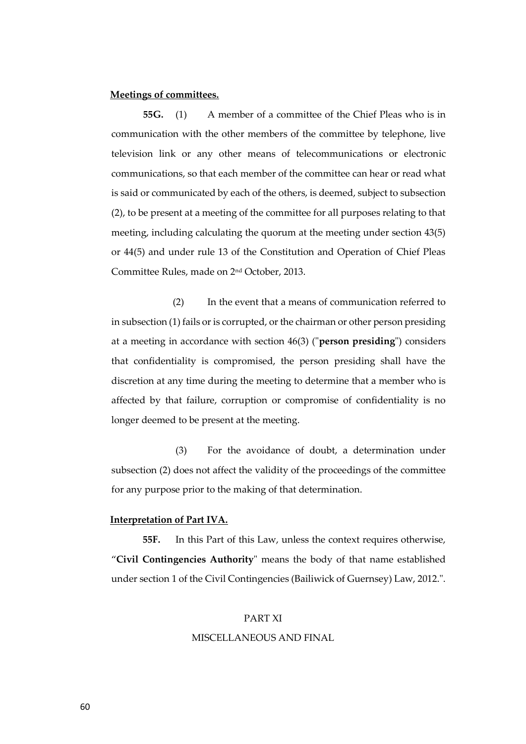### **Meetings of committees.**

**55G.** (1) A member of a committee of the Chief Pleas who is in communication with the other members of the committee by telephone, live television link or any other means of telecommunications or electronic communications, so that each member of the committee can hear or read what is said or communicated by each of the others, is deemed, subject to subsection (2), to be present at a meeting of the committee for all purposes relating to that meeting, including calculating the quorum at the meeting under section 43(5) or 44(5) and under rule 13 of the Constitution and Operation of Chief Pleas Committee Rules, made on 2nd October, 2013.

(2) In the event that a means of communication referred to in subsection (1) fails or is corrupted, or the chairman or other person presiding at a meeting in accordance with section 46(3) ("**person presiding**") considers that confidentiality is compromised, the person presiding shall have the discretion at any time during the meeting to determine that a member who is affected by that failure, corruption or compromise of confidentiality is no longer deemed to be present at the meeting.

(3) For the avoidance of doubt, a determination under subsection (2) does not affect the validity of the proceedings of the committee for any purpose prior to the making of that determination.

#### **Interpretation of Part IVA.**

**55F.** In this Part of this Law, unless the context requires otherwise, "**Civil Contingencies Authority**" means the body of that name established under section 1 of the Civil Contingencies (Bailiwick of Guernsey) Law, 2012.".

#### PART XI

#### MISCELLANEOUS AND FINAL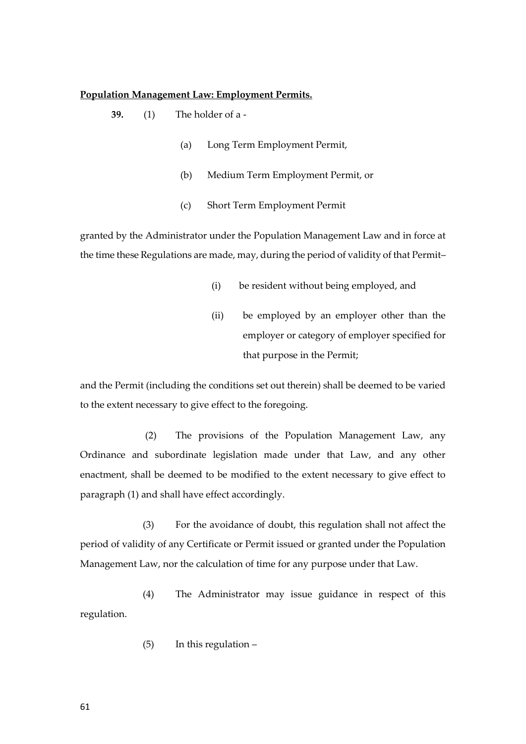#### **Population Management Law: Employment Permits.**

- **39.** (1) The holder of a
	- (a) Long Term Employment Permit,
	- (b) Medium Term Employment Permit, or
	- (c) Short Term Employment Permit

granted by the Administrator under the Population Management Law and in force at the time these Regulations are made, may, during the period of validity of that Permit–

- (i) be resident without being employed, and
- (ii) be employed by an employer other than the employer or category of employer specified for that purpose in the Permit;

and the Permit (including the conditions set out therein) shall be deemed to be varied to the extent necessary to give effect to the foregoing.

(2) The provisions of the Population Management Law, any Ordinance and subordinate legislation made under that Law, and any other enactment, shall be deemed to be modified to the extent necessary to give effect to paragraph (1) and shall have effect accordingly.

(3) For the avoidance of doubt, this regulation shall not affect the period of validity of any Certificate or Permit issued or granted under the Population Management Law, nor the calculation of time for any purpose under that Law.

(4) The Administrator may issue guidance in respect of this regulation.

(5) In this regulation –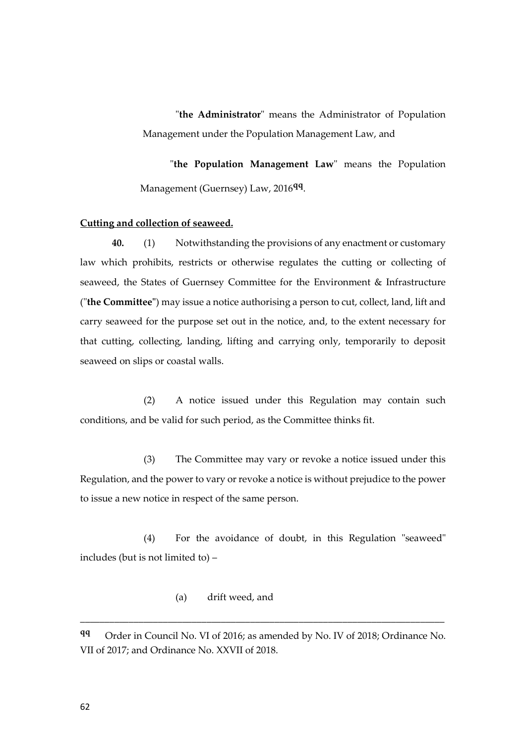"**the Administrator**" means the Administrator of Population Management under the Population Management Law, and

"**the Population Management Law**" means the Population Management (Guernsey) Law, 2016**qq** .

# **Cutting and collection of seaweed.**

**40.** (1) Notwithstanding the provisions of any enactment or customary law which prohibits, restricts or otherwise regulates the cutting or collecting of seaweed, the States of Guernsey Committee for the Environment & Infrastructure ("**the Committee"**) may issue a notice authorising a person to cut, collect, land, lift and carry seaweed for the purpose set out in the notice, and, to the extent necessary for that cutting, collecting, landing, lifting and carrying only, temporarily to deposit seaweed on slips or coastal walls.

(2) A notice issued under this Regulation may contain such conditions, and be valid for such period, as the Committee thinks fit.

(3) The Committee may vary or revoke a notice issued under this Regulation, and the power to vary or revoke a notice is without prejudice to the power to issue a new notice in respect of the same person.

(4) For the avoidance of doubt, in this Regulation "seaweed" includes (but is not limited to) –

(a) drift weed, and

**qq** Order in Council No. VI of 2016; as amended by No. IV of 2018; Ordinance No. VII of 2017; and Ordinance No. XXVII of 2018.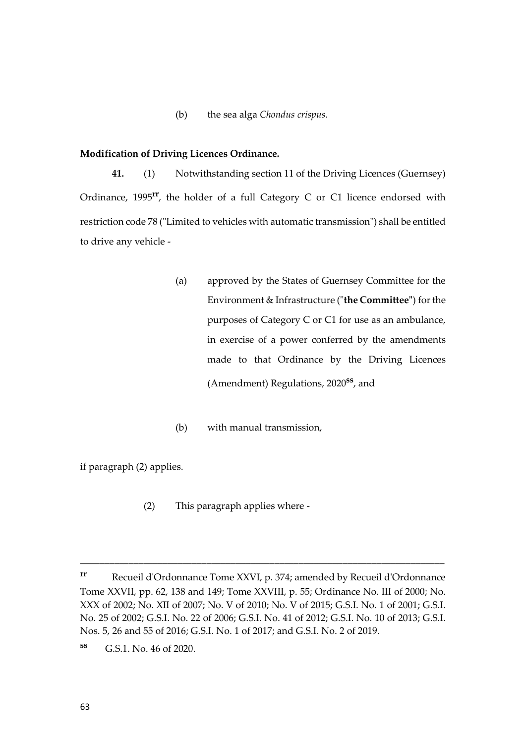(b) the sea alga *Chondus crispus*.

## **Modification of Driving Licences Ordinance.**

**41.** (1) Notwithstanding section 11 of the Driving Licences (Guernsey) Ordinance, 1995**rr**, the holder of a full Category C or C1 licence endorsed with restriction code 78 ("Limited to vehicles with automatic transmission") shall be entitled to drive any vehicle -

- (a) approved by the States of Guernsey Committee for the Environment & Infrastructure ("**the Committee"**) for the purposes of Category C or C1 for use as an ambulance, in exercise of a power conferred by the amendments made to that Ordinance by the Driving Licences (Amendment) Regulations, 2020**ss**, and
- (b) with manual transmission,

if paragraph (2) applies.

(2) This paragraph applies where -

**rr** Recueil d'Ordonnance Tome XXVI, p. 374; amended by Recueil d'Ordonnance Tome XXVII, pp. 62, 138 and 149; Tome XXVIII, p. 55; Ordinance No. III of 2000; No. XXX of 2002; No. XII of 2007; No. V of 2010; No. V of 2015; G.S.I. No. 1 of 2001; G.S.I. No. 25 of 2002; G.S.I. No. 22 of 2006; G.S.I. No. 41 of 2012; G.S.I. No. 10 of 2013; G.S.I. Nos. 5, 26 and 55 of 2016; G.S.I. No. 1 of 2017; and G.S.I. No. 2 of 2019.

**ss** G.S.1. No. 46 of 2020.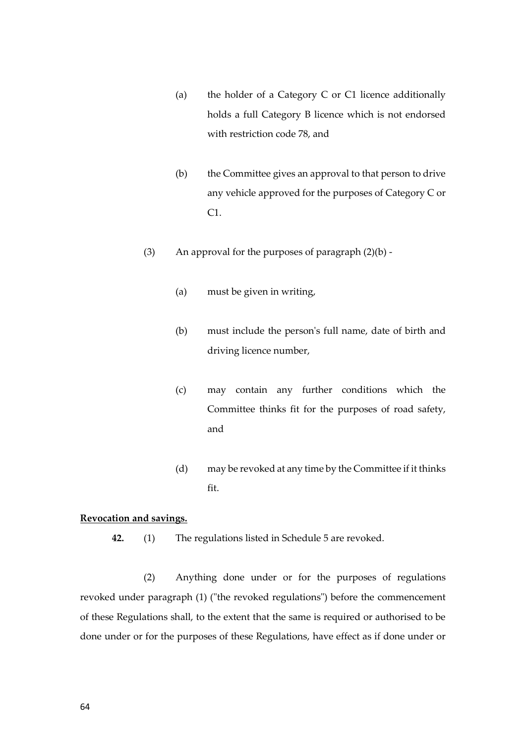- (a) the holder of a Category C or C1 licence additionally holds a full Category B licence which is not endorsed with restriction code 78, and
- (b) the Committee gives an approval to that person to drive any vehicle approved for the purposes of Category C or C1.
- (3) An approval for the purposes of paragraph  $(2)(b)$  -
	- (a) must be given in writing,
	- (b) must include the person's full name, date of birth and driving licence number,
	- (c) may contain any further conditions which the Committee thinks fit for the purposes of road safety, and
	- (d) may be revoked at any time by the Committee if it thinks fit.

## **Revocation and savings.**

**42.** (1) The regulations listed in Schedule 5 are revoked.

(2) Anything done under or for the purposes of regulations revoked under paragraph (1) ("the revoked regulations") before the commencement of these Regulations shall, to the extent that the same is required or authorised to be done under or for the purposes of these Regulations, have effect as if done under or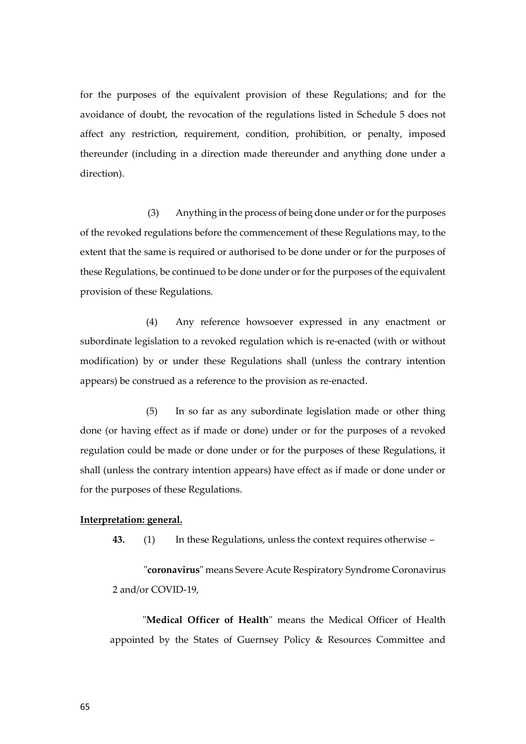for the purposes of the equivalent provision of these Regulations; and for the avoidance of doubt, the revocation of the regulations listed in Schedule 5 does not affect any restriction, requirement, condition, prohibition, or penalty, imposed thereunder (including in a direction made thereunder and anything done under a direction).

 (3) Anything in the process of being done under or for the purposes of the revoked regulations before the commencement of these Regulations may, to the extent that the same is required or authorised to be done under or for the purposes of these Regulations, be continued to be done under or for the purposes of the equivalent provision of these Regulations.

(4) Any reference howsoever expressed in any enactment or subordinate legislation to a revoked regulation which is re-enacted (with or without modification) by or under these Regulations shall (unless the contrary intention appears) be construed as a reference to the provision as re-enacted.

(5) In so far as any subordinate legislation made or other thing done (or having effect as if made or done) under or for the purposes of a revoked regulation could be made or done under or for the purposes of these Regulations, it shall (unless the contrary intention appears) have effect as if made or done under or for the purposes of these Regulations.

#### **Interpretation: general.**

**43.** (1) In these Regulations, unless the context requires otherwise –

"**coronavirus**" means Severe Acute Respiratory Syndrome Coronavirus 2 and/or COVID-19,

"**Medical Officer of Health**" means the Medical Officer of Health appointed by the States of Guernsey Policy & Resources Committee and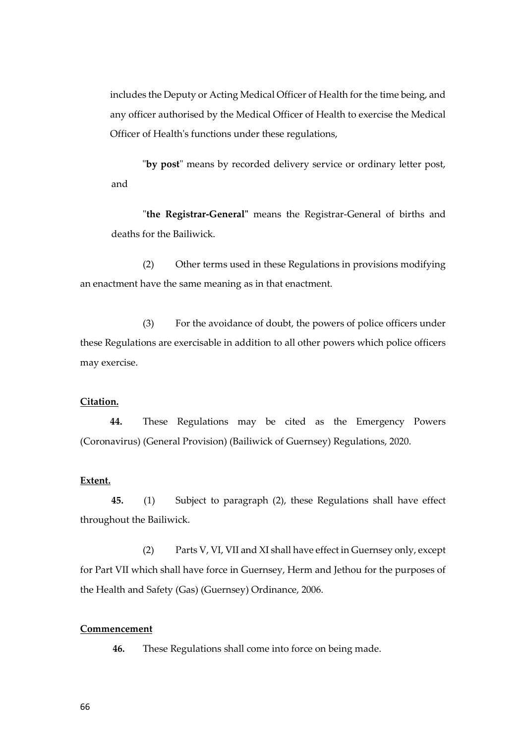includes the Deputy or Acting Medical Officer of Health for the time being, and any officer authorised by the Medical Officer of Health to exercise the Medical Officer of Health's functions under these regulations,

 "**by post**" means by recorded delivery service or ordinary letter post, and

"**the Registrar-General"** means the Registrar-General of births and deaths for the Bailiwick.

(2) Other terms used in these Regulations in provisions modifying an enactment have the same meaning as in that enactment.

(3) For the avoidance of doubt, the powers of police officers under these Regulations are exercisable in addition to all other powers which police officers may exercise.

# **Citation.**

**44.** These Regulations may be cited as the Emergency Powers (Coronavirus) (General Provision) (Bailiwick of Guernsey) Regulations, 2020.

#### **Extent.**

**45.** (1) Subject to paragraph (2), these Regulations shall have effect throughout the Bailiwick.

(2) Parts V, VI, VII and XI shall have effect in Guernsey only, except for Part VII which shall have force in Guernsey, Herm and Jethou for the purposes of the Health and Safety (Gas) (Guernsey) Ordinance, 2006.

#### **Commencement**

**46.** These Regulations shall come into force on being made.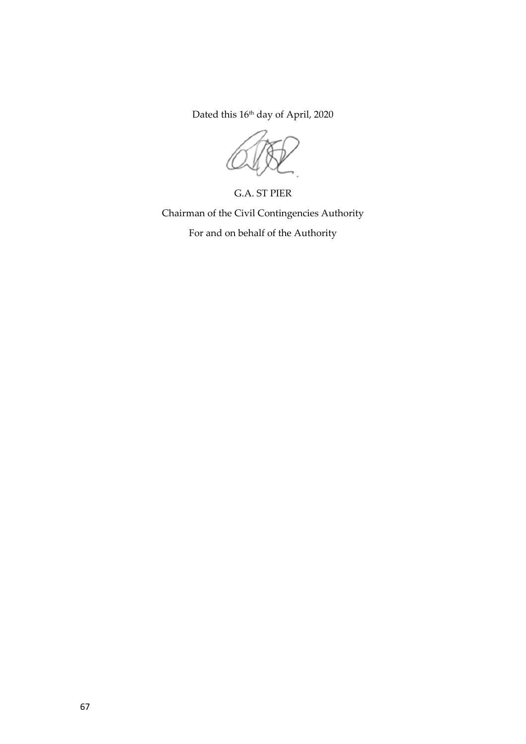Dated this 16<sup>th</sup> day of April, 2020

G.A. ST PIER Chairman of the Civil Contingencies Authority

For and on behalf of the Authority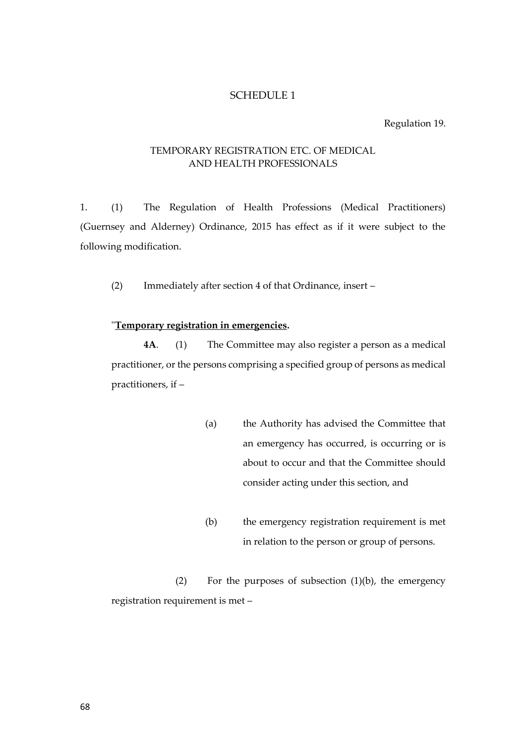# SCHEDULE 1

#### Regulation 19.

# TEMPORARY REGISTRATION ETC. OF MEDICAL AND HEALTH PROFESSIONALS

1. (1) The Regulation of Health Professions (Medical Practitioners) (Guernsey and Alderney) Ordinance, 2015 has effect as if it were subject to the following modification.

(2) Immediately after section 4 of that Ordinance, insert –

## "**Temporary registration in emergencies.**

**4A**. (1) The Committee may also register a person as a medical practitioner, or the persons comprising a specified group of persons as medical practitioners, if –

- (a) the Authority has advised the Committee that an emergency has occurred, is occurring or is about to occur and that the Committee should consider acting under this section, and
- (b) the emergency registration requirement is met in relation to the person or group of persons.

(2) For the purposes of subsection (1)(b), the emergency registration requirement is met –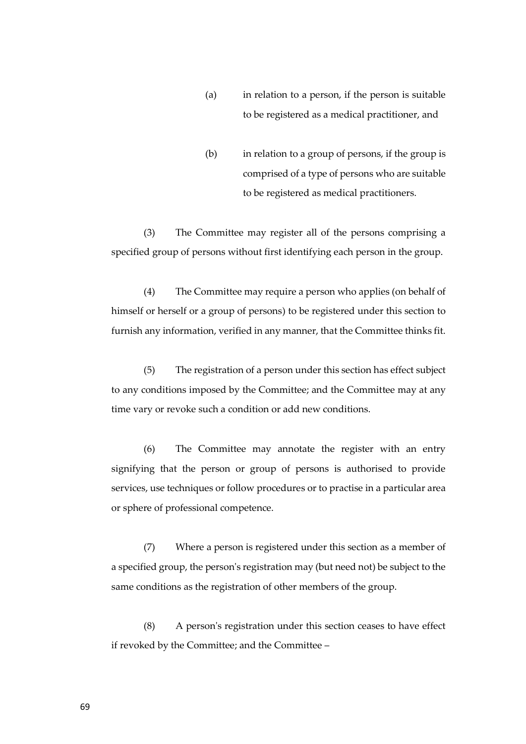- (a) in relation to a person, if the person is suitable to be registered as a medical practitioner, and
- (b) in relation to a group of persons, if the group is comprised of a type of persons who are suitable to be registered as medical practitioners.

(3) The Committee may register all of the persons comprising a specified group of persons without first identifying each person in the group.

(4) The Committee may require a person who applies (on behalf of himself or herself or a group of persons) to be registered under this section to furnish any information, verified in any manner, that the Committee thinks fit.

(5) The registration of a person under this section has effect subject to any conditions imposed by the Committee; and the Committee may at any time vary or revoke such a condition or add new conditions.

(6) The Committee may annotate the register with an entry signifying that the person or group of persons is authorised to provide services, use techniques or follow procedures or to practise in a particular area or sphere of professional competence.

(7) Where a person is registered under this section as a member of a specified group, the person's registration may (but need not) be subject to the same conditions as the registration of other members of the group.

(8) A person's registration under this section ceases to have effect if revoked by the Committee; and the Committee –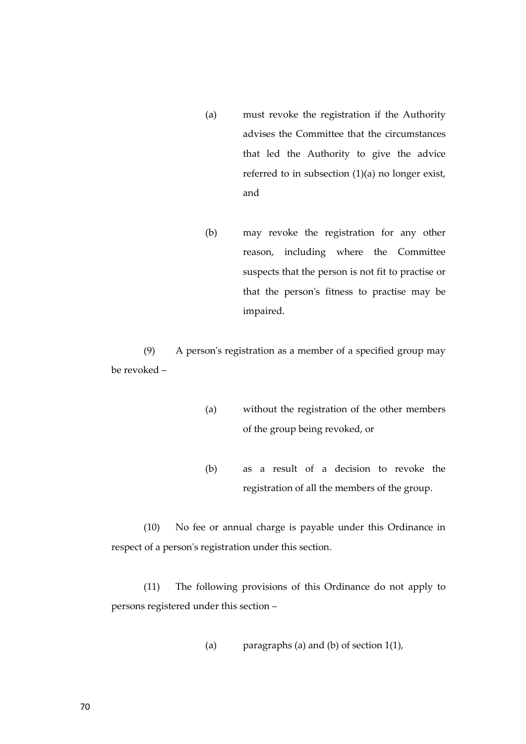- (a) must revoke the registration if the Authority advises the Committee that the circumstances that led the Authority to give the advice referred to in subsection (1)(a) no longer exist, and
- (b) may revoke the registration for any other reason, including where the Committee suspects that the person is not fit to practise or that the person's fitness to practise may be impaired.

(9) A person's registration as a member of a specified group may be revoked –

- (a) without the registration of the other members of the group being revoked, or
- (b) as a result of a decision to revoke the registration of all the members of the group.

(10) No fee or annual charge is payable under this Ordinance in respect of a person's registration under this section.

(11) The following provisions of this Ordinance do not apply to persons registered under this section –

(a) paragraphs (a) and (b) of section 1(1),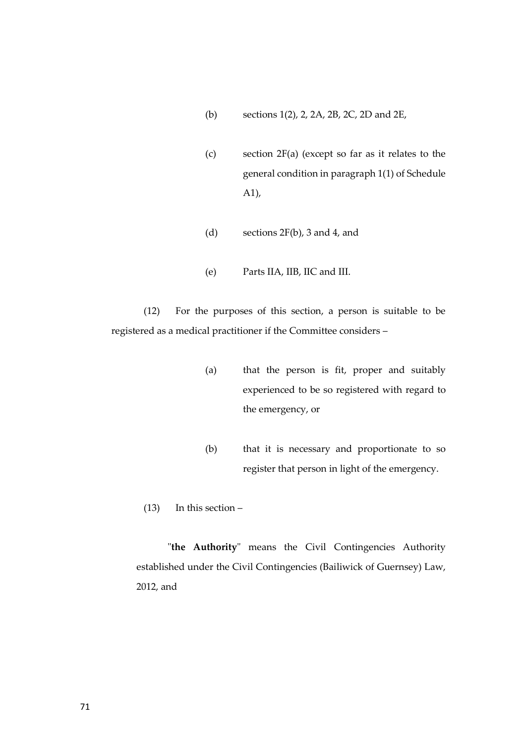- (b) sections 1(2), 2, 2A, 2B, 2C, 2D and 2E,
- (c) section 2F(a) (except so far as it relates to the general condition in paragraph 1(1) of Schedule A1),
- (d) sections 2F(b), 3 and 4, and
- (e) Parts IIA, IIB, IIC and III.

(12) For the purposes of this section, a person is suitable to be registered as a medical practitioner if the Committee considers –

- (a) that the person is fit, proper and suitably experienced to be so registered with regard to the emergency, or
- (b) that it is necessary and proportionate to so register that person in light of the emergency.
- (13) In this section –

"**the Authority**" means the Civil Contingencies Authority established under the Civil Contingencies (Bailiwick of Guernsey) Law, 2012, and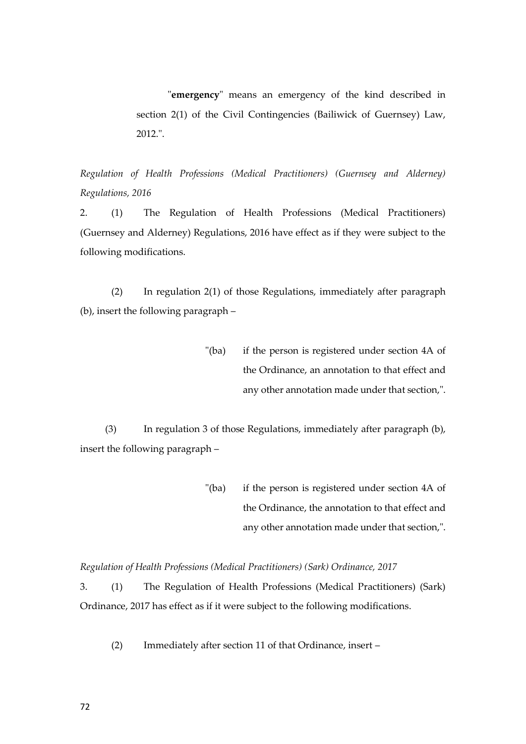"**emergency**" means an emergency of the kind described in section 2(1) of the Civil Contingencies (Bailiwick of Guernsey) Law, 2012.".

*Regulation of Health Professions (Medical Practitioners) (Guernsey and Alderney) Regulations, 2016*

2. (1) The Regulation of Health Professions (Medical Practitioners) (Guernsey and Alderney) Regulations, 2016 have effect as if they were subject to the following modifications.

(2) In regulation 2(1) of those Regulations, immediately after paragraph (b), insert the following paragraph –

> "(ba) if the person is registered under section 4A of the Ordinance, an annotation to that effect and any other annotation made under that section,".

(3) In regulation 3 of those Regulations, immediately after paragraph (b), insert the following paragraph –

> "(ba) if the person is registered under section 4A of the Ordinance, the annotation to that effect and any other annotation made under that section,".

*Regulation of Health Professions (Medical Practitioners) (Sark) Ordinance, 2017*

3. (1) The Regulation of Health Professions (Medical Practitioners) (Sark) Ordinance, 2017 has effect as if it were subject to the following modifications.

(2) Immediately after section 11 of that Ordinance, insert –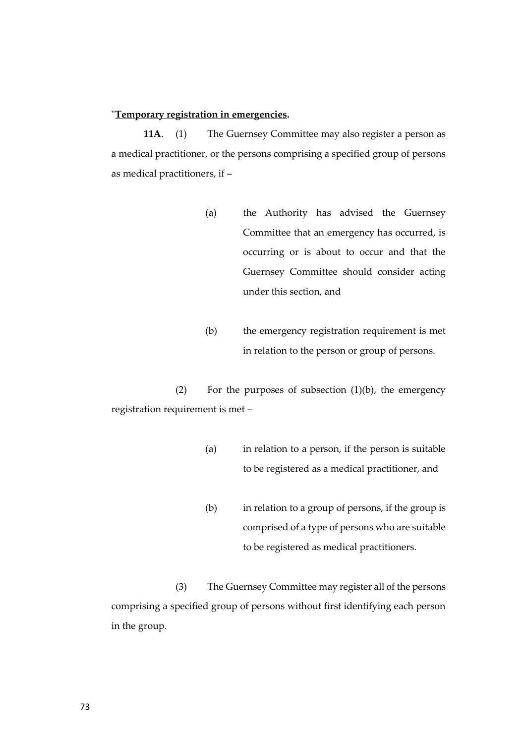## "**Temporary registration in emergencies.**

**11A**. (1) The Guernsey Committee may also register a person as a medical practitioner, or the persons comprising a specified group of persons as medical practitioners, if –

- (a) the Authority has advised the Guernsey Committee that an emergency has occurred, is occurring or is about to occur and that the Guernsey Committee should consider acting under this section, and
- (b) the emergency registration requirement is met in relation to the person or group of persons.

(2) For the purposes of subsection  $(1)(b)$ , the emergency registration requirement is met –

- (a) in relation to a person, if the person is suitable to be registered as a medical practitioner, and
- (b) in relation to a group of persons, if the group is comprised of a type of persons who are suitable to be registered as medical practitioners.

(3) The Guernsey Committee may register all of the persons comprising a specified group of persons without first identifying each person in the group.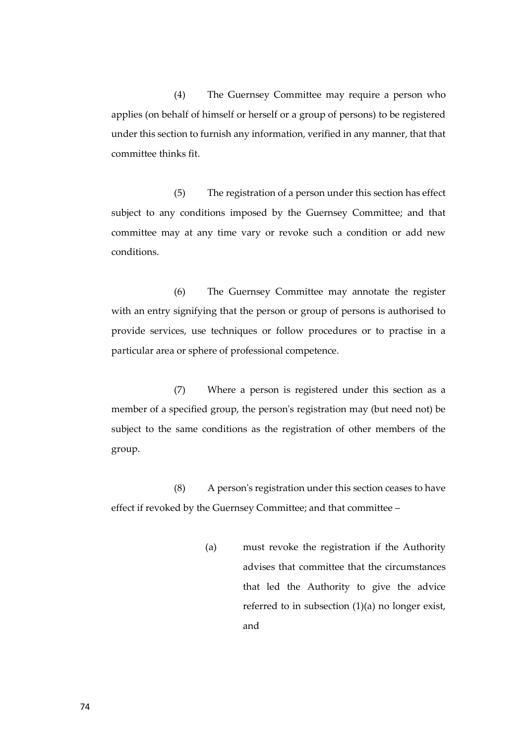(4) The Guernsey Committee may require a person who applies (on behalf of himself or herself or a group of persons) to be registered under this section to furnish any information, verified in any manner, that that committee thinks fit.

(5) The registration of a person under this section has effect subject to any conditions imposed by the Guernsey Committee; and that committee may at any time vary or revoke such a condition or add new conditions.

(6) The Guernsey Committee may annotate the register with an entry signifying that the person or group of persons is authorised to provide services, use techniques or follow procedures or to practise in a particular area or sphere of professional competence.

(7) Where a person is registered under this section as a member of a specified group, the person's registration may (but need not) be subject to the same conditions as the registration of other members of the group.

(8) A person's registration under this section ceases to have effect if revoked by the Guernsey Committee; and that committee –

> (a) must revoke the registration if the Authority advises that committee that the circumstances that led the Authority to give the advice referred to in subsection (1)(a) no longer exist, and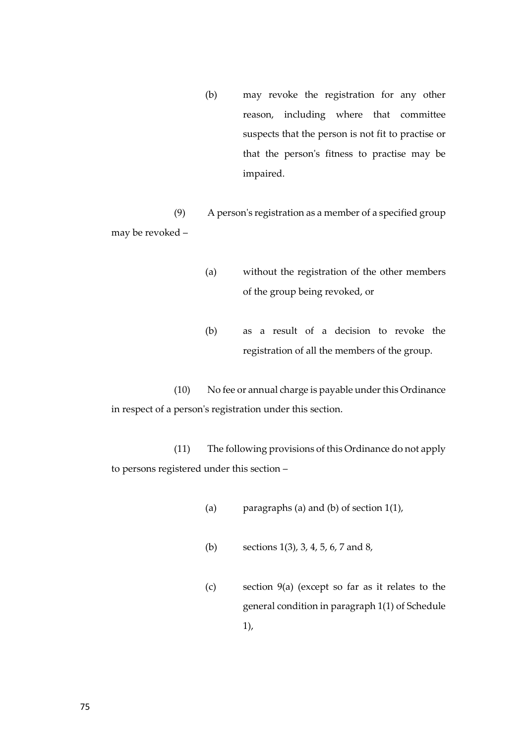(b) may revoke the registration for any other reason, including where that committee suspects that the person is not fit to practise or that the person's fitness to practise may be impaired.

(9) A person's registration as a member of a specified group may be revoked –

- (a) without the registration of the other members of the group being revoked, or
- (b) as a result of a decision to revoke the registration of all the members of the group.

(10) No fee or annual charge is payable under this Ordinance in respect of a person's registration under this section.

(11) The following provisions of this Ordinance do not apply to persons registered under this section –

- (a) paragraphs (a) and (b) of section 1(1),
- (b) sections 1(3), 3, 4, 5, 6, 7 and 8,
- (c) section 9(a) (except so far as it relates to the general condition in paragraph 1(1) of Schedule 1),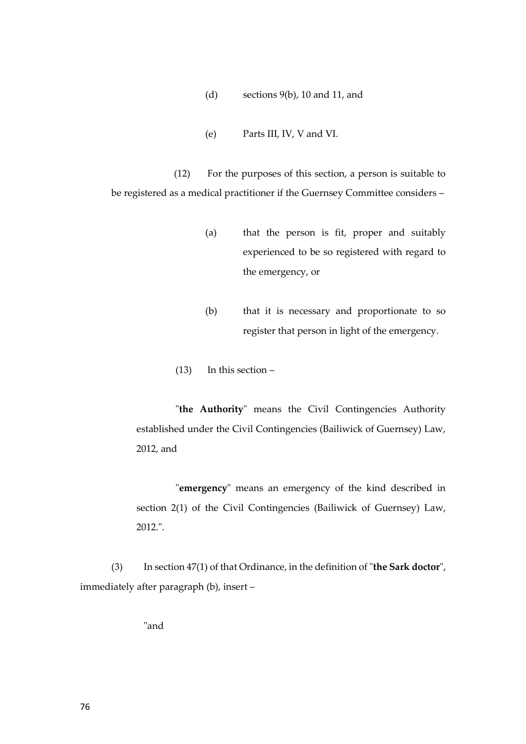- (d) sections 9(b), 10 and 11, and
- (e) Parts III, IV, V and VI.

(12) For the purposes of this section, a person is suitable to be registered as a medical practitioner if the Guernsey Committee considers –

- (a) that the person is fit, proper and suitably experienced to be so registered with regard to the emergency, or
- (b) that it is necessary and proportionate to so register that person in light of the emergency.
- (13) In this section –

"**the Authority**" means the Civil Contingencies Authority established under the Civil Contingencies (Bailiwick of Guernsey) Law, 2012, and

"**emergency**" means an emergency of the kind described in section 2(1) of the Civil Contingencies (Bailiwick of Guernsey) Law, 2012.".

(3) In section 47(1) of that Ordinance, in the definition of "**the Sark doctor**", immediately after paragraph (b), insert –

"and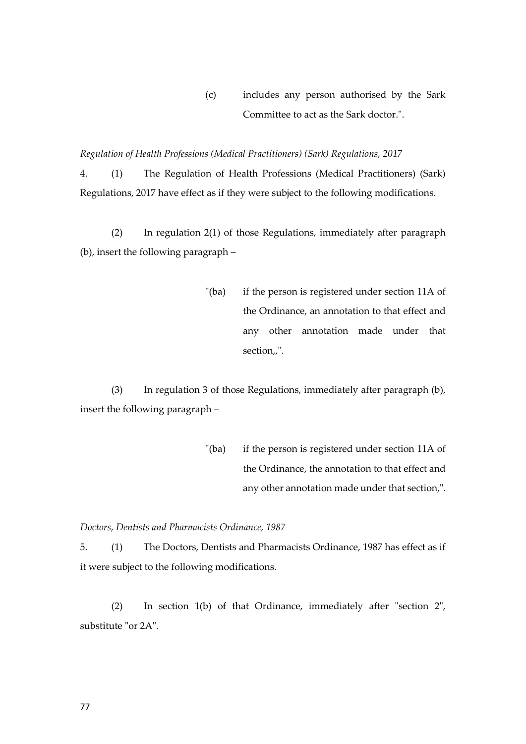(c) includes any person authorised by the Sark Committee to act as the Sark doctor.".

*Regulation of Health Professions (Medical Practitioners) (Sark) Regulations, 2017*

4. (1) The Regulation of Health Professions (Medical Practitioners) (Sark) Regulations, 2017 have effect as if they were subject to the following modifications.

(2) In regulation 2(1) of those Regulations, immediately after paragraph (b), insert the following paragraph –

> "(ba) if the person is registered under section 11A of the Ordinance, an annotation to that effect and any other annotation made under that section,,".

(3) In regulation 3 of those Regulations, immediately after paragraph (b), insert the following paragraph –

> "(ba) if the person is registered under section 11A of the Ordinance, the annotation to that effect and any other annotation made under that section,".

*Doctors, Dentists and Pharmacists Ordinance, 1987*

5. (1) The Doctors, Dentists and Pharmacists Ordinance, 1987 has effect as if it were subject to the following modifications.

(2) In section 1(b) of that Ordinance, immediately after "section 2", substitute "or 2A".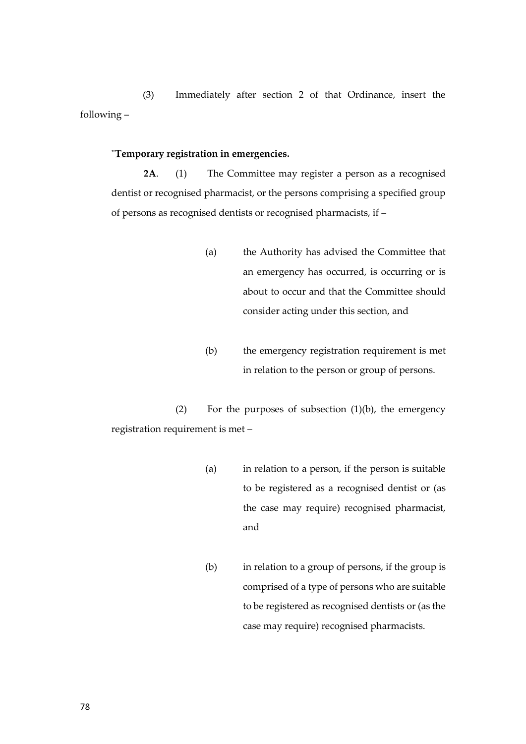(3) Immediately after section 2 of that Ordinance, insert the following –

#### "**Temporary registration in emergencies.**

**2A**. (1) The Committee may register a person as a recognised dentist or recognised pharmacist, or the persons comprising a specified group of persons as recognised dentists or recognised pharmacists, if –

- (a) the Authority has advised the Committee that an emergency has occurred, is occurring or is about to occur and that the Committee should consider acting under this section, and
- (b) the emergency registration requirement is met in relation to the person or group of persons.

(2) For the purposes of subsection (1)(b), the emergency registration requirement is met –

- (a) in relation to a person, if the person is suitable to be registered as a recognised dentist or (as the case may require) recognised pharmacist, and
- (b) in relation to a group of persons, if the group is comprised of a type of persons who are suitable to be registered as recognised dentists or (as the case may require) recognised pharmacists.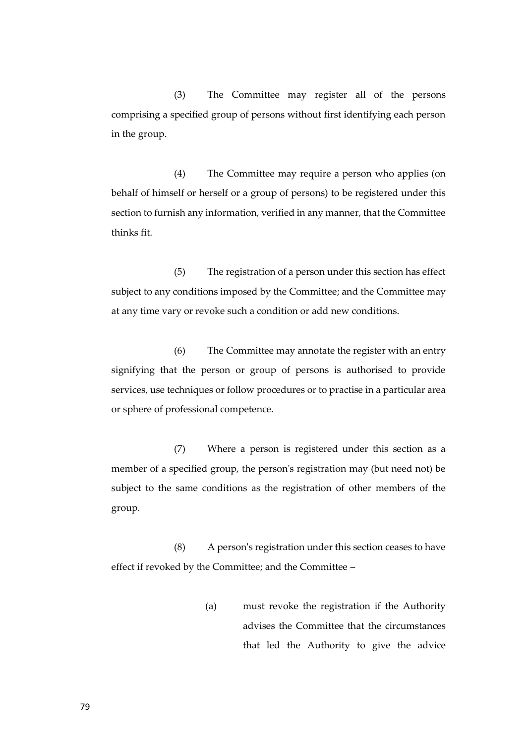(3) The Committee may register all of the persons comprising a specified group of persons without first identifying each person in the group.

(4) The Committee may require a person who applies (on behalf of himself or herself or a group of persons) to be registered under this section to furnish any information, verified in any manner, that the Committee thinks fit.

(5) The registration of a person under this section has effect subject to any conditions imposed by the Committee; and the Committee may at any time vary or revoke such a condition or add new conditions.

(6) The Committee may annotate the register with an entry signifying that the person or group of persons is authorised to provide services, use techniques or follow procedures or to practise in a particular area or sphere of professional competence.

(7) Where a person is registered under this section as a member of a specified group, the person's registration may (but need not) be subject to the same conditions as the registration of other members of the group.

(8) A person's registration under this section ceases to have effect if revoked by the Committee; and the Committee –

> (a) must revoke the registration if the Authority advises the Committee that the circumstances that led the Authority to give the advice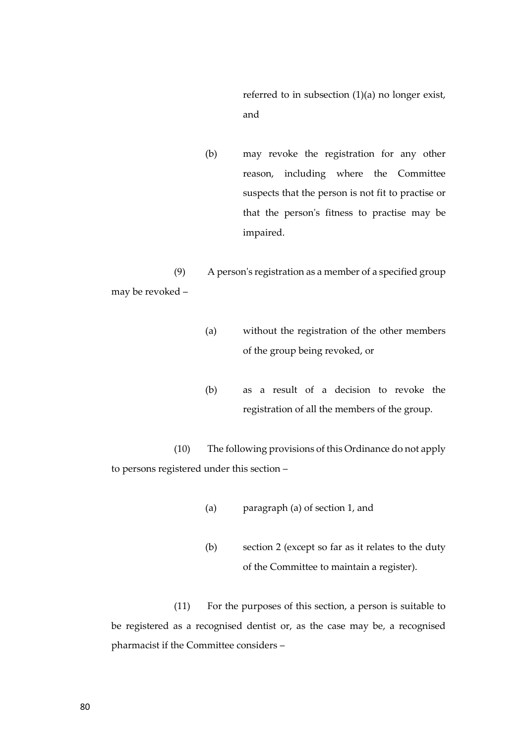referred to in subsection (1)(a) no longer exist, and

(b) may revoke the registration for any other reason, including where the Committee suspects that the person is not fit to practise or that the person's fitness to practise may be impaired.

(9) A person's registration as a member of a specified group may be revoked –

- (a) without the registration of the other members of the group being revoked, or
- (b) as a result of a decision to revoke the registration of all the members of the group.

(10) The following provisions of this Ordinance do not apply to persons registered under this section –

- (a) paragraph (a) of section 1, and
- (b) section 2 (except so far as it relates to the duty of the Committee to maintain a register).

(11) For the purposes of this section, a person is suitable to be registered as a recognised dentist or, as the case may be, a recognised pharmacist if the Committee considers –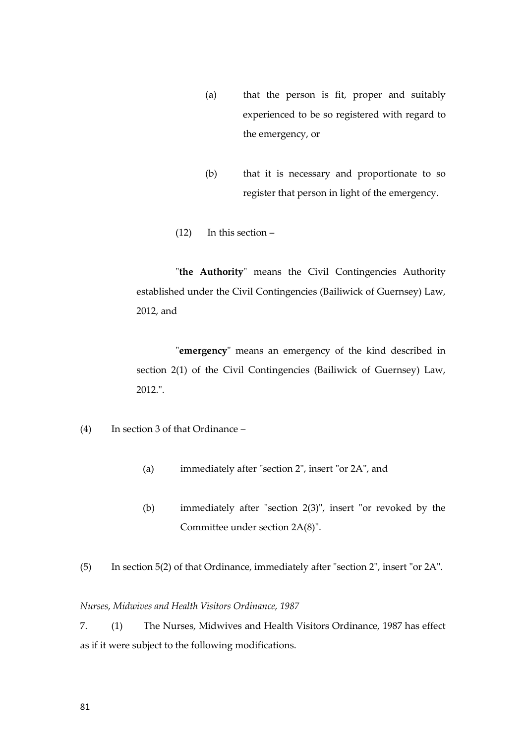- (a) that the person is fit, proper and suitably experienced to be so registered with regard to the emergency, or
- (b) that it is necessary and proportionate to so register that person in light of the emergency.
- (12) In this section –

"**the Authority**" means the Civil Contingencies Authority established under the Civil Contingencies (Bailiwick of Guernsey) Law, 2012, and

"**emergency**" means an emergency of the kind described in section 2(1) of the Civil Contingencies (Bailiwick of Guernsey) Law, 2012.".

- (4) In section 3 of that Ordinance
	- (a) immediately after "section 2", insert "or 2A", and
	- (b) immediately after "section 2(3)", insert "or revoked by the Committee under section 2A(8)".
- (5) In section 5(2) of that Ordinance, immediately after "section 2", insert "or 2A".

## *Nurses, Midwives and Health Visitors Ordinance, 1987*

7. (1) The Nurses, Midwives and Health Visitors Ordinance, 1987 has effect as if it were subject to the following modifications.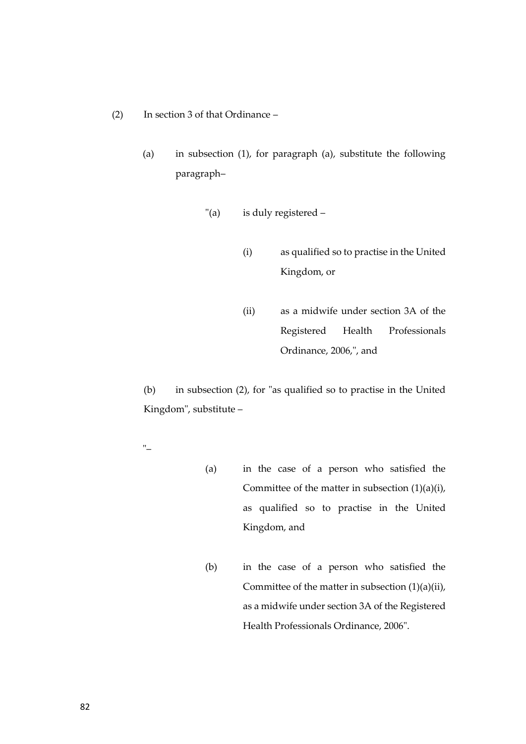- (2) In section 3 of that Ordinance
	- (a) in subsection (1), for paragraph (a), substitute the following paragraph–
		- "(a) is duly registered
			- (i) as qualified so to practise in the United Kingdom, or
			- (ii) as a midwife under section 3A of the Registered Health Professionals Ordinance, 2006,", and

(b) in subsection (2), for "as qualified so to practise in the United Kingdom", substitute –

- "–
- (a) in the case of a person who satisfied the Committee of the matter in subsection  $(1)(a)(i)$ , as qualified so to practise in the United Kingdom, and
- (b) in the case of a person who satisfied the Committee of the matter in subsection  $(1)(a)(ii)$ , as a midwife under section 3A of the Registered Health Professionals Ordinance, 2006".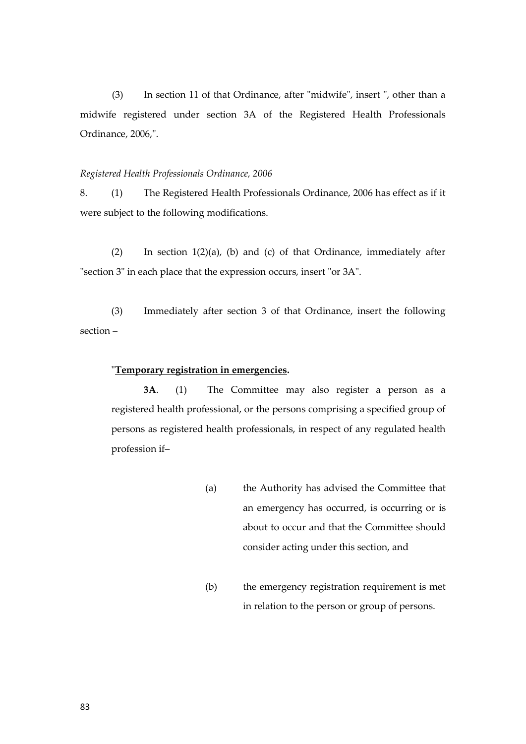(3) In section 11 of that Ordinance, after "midwife", insert ", other than a midwife registered under section 3A of the Registered Health Professionals Ordinance, 2006,".

#### *Registered Health Professionals Ordinance, 2006*

8. (1) The Registered Health Professionals Ordinance, 2006 has effect as if it were subject to the following modifications.

(2) In section 1(2)(a), (b) and (c) of that Ordinance, immediately after "section 3" in each place that the expression occurs, insert "or 3A".

(3) Immediately after section 3 of that Ordinance, insert the following section –

#### "**Temporary registration in emergencies.**

**3A**. (1) The Committee may also register a person as a registered health professional, or the persons comprising a specified group of persons as registered health professionals, in respect of any regulated health profession if–

- (a) the Authority has advised the Committee that an emergency has occurred, is occurring or is about to occur and that the Committee should consider acting under this section, and
- (b) the emergency registration requirement is met in relation to the person or group of persons.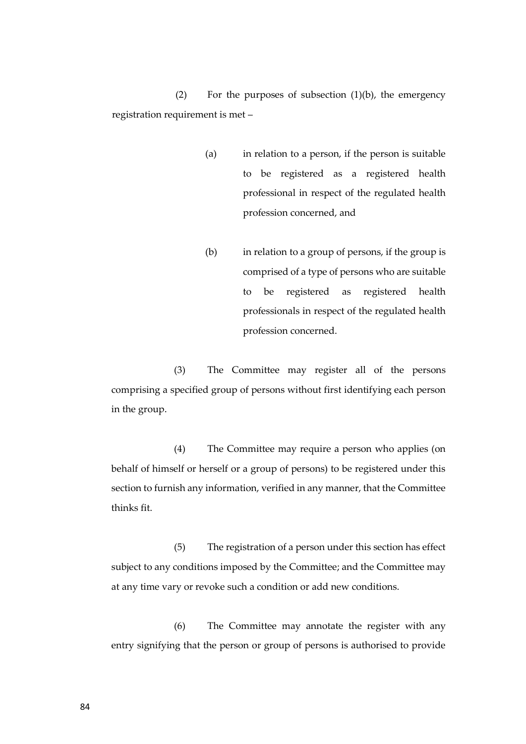(2) For the purposes of subsection (1)(b), the emergency registration requirement is met –

- (a) in relation to a person, if the person is suitable to be registered as a registered health professional in respect of the regulated health profession concerned, and
- (b) in relation to a group of persons, if the group is comprised of a type of persons who are suitable to be registered as registered health professionals in respect of the regulated health profession concerned.

(3) The Committee may register all of the persons comprising a specified group of persons without first identifying each person in the group.

(4) The Committee may require a person who applies (on behalf of himself or herself or a group of persons) to be registered under this section to furnish any information, verified in any manner, that the Committee thinks fit.

(5) The registration of a person under this section has effect subject to any conditions imposed by the Committee; and the Committee may at any time vary or revoke such a condition or add new conditions.

(6) The Committee may annotate the register with any entry signifying that the person or group of persons is authorised to provide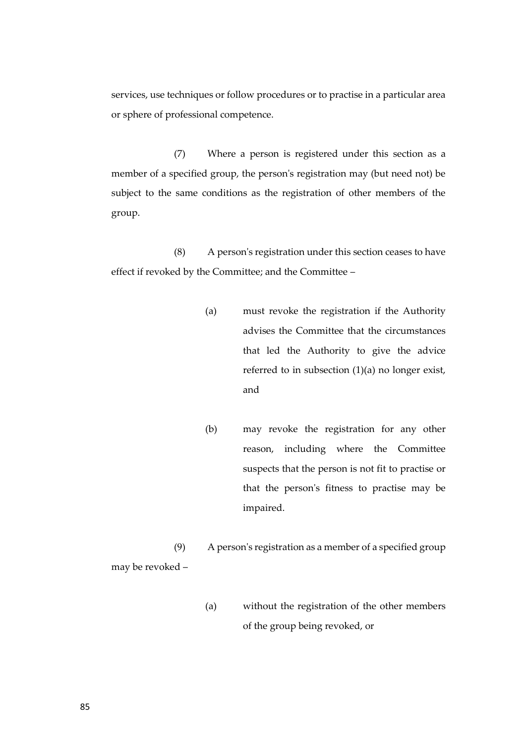services, use techniques or follow procedures or to practise in a particular area or sphere of professional competence.

(7) Where a person is registered under this section as a member of a specified group, the person's registration may (but need not) be subject to the same conditions as the registration of other members of the group.

(8) A person's registration under this section ceases to have effect if revoked by the Committee; and the Committee –

- (a) must revoke the registration if the Authority advises the Committee that the circumstances that led the Authority to give the advice referred to in subsection (1)(a) no longer exist, and
- (b) may revoke the registration for any other reason, including where the Committee suspects that the person is not fit to practise or that the person's fitness to practise may be impaired.

(9) A person's registration as a member of a specified group may be revoked –

> (a) without the registration of the other members of the group being revoked, or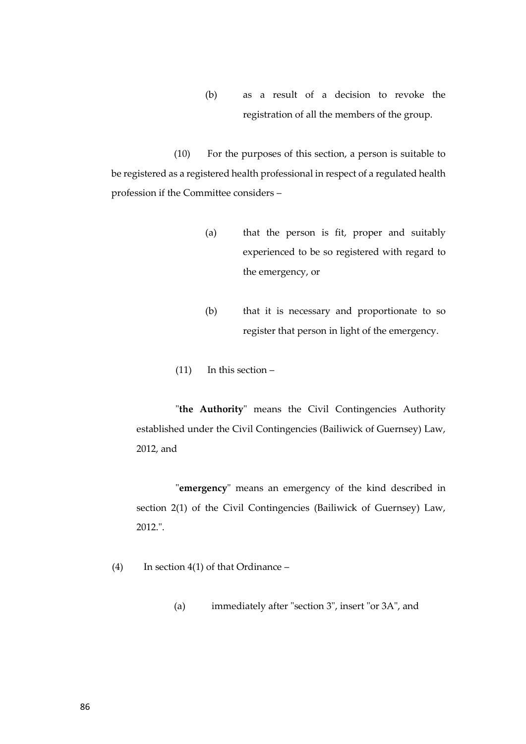(b) as a result of a decision to revoke the registration of all the members of the group.

(10) For the purposes of this section, a person is suitable to be registered as a registered health professional in respect of a regulated health profession if the Committee considers –

- (a) that the person is fit, proper and suitably experienced to be so registered with regard to the emergency, or
- (b) that it is necessary and proportionate to so register that person in light of the emergency.
- (11) In this section –

"**the Authority**" means the Civil Contingencies Authority established under the Civil Contingencies (Bailiwick of Guernsey) Law, 2012, and

"**emergency**" means an emergency of the kind described in section 2(1) of the Civil Contingencies (Bailiwick of Guernsey) Law, 2012.".

- (4) In section 4(1) of that Ordinance
	- (a) immediately after "section 3", insert "or 3A", and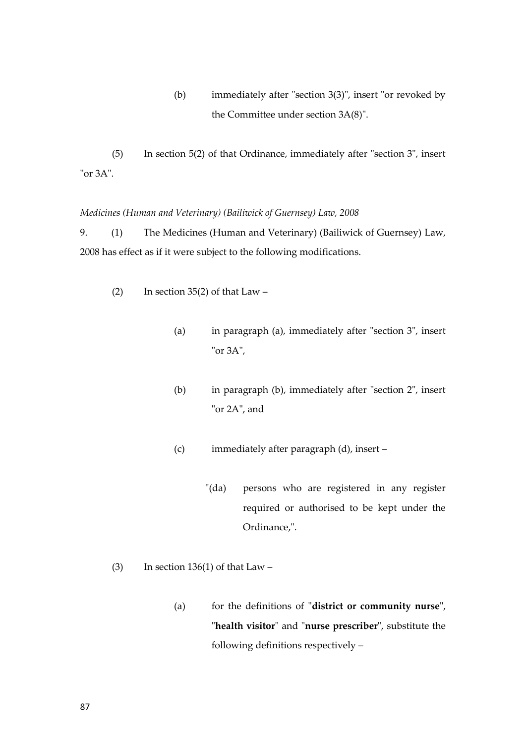(b) immediately after "section 3(3)", insert "or revoked by the Committee under section 3A(8)".

(5) In section 5(2) of that Ordinance, immediately after "section 3", insert "or 3A".

## *Medicines (Human and Veterinary) (Bailiwick of Guernsey) Law, 2008*

9. (1) The Medicines (Human and Veterinary) (Bailiwick of Guernsey) Law, 2008 has effect as if it were subject to the following modifications.

- (2) In section 35(2) of that  $Law -$ 
	- (a) in paragraph (a), immediately after "section 3", insert "or 3A",
	- (b) in paragraph (b), immediately after "section 2", insert "or 2A", and
	- (c) immediately after paragraph (d), insert
		- "(da) persons who are registered in any register required or authorised to be kept under the Ordinance,".
- (3) In section  $136(1)$  of that Law
	- (a) for the definitions of "**district or community nurse**", "**health visitor**" and "**nurse prescriber**", substitute the following definitions respectively –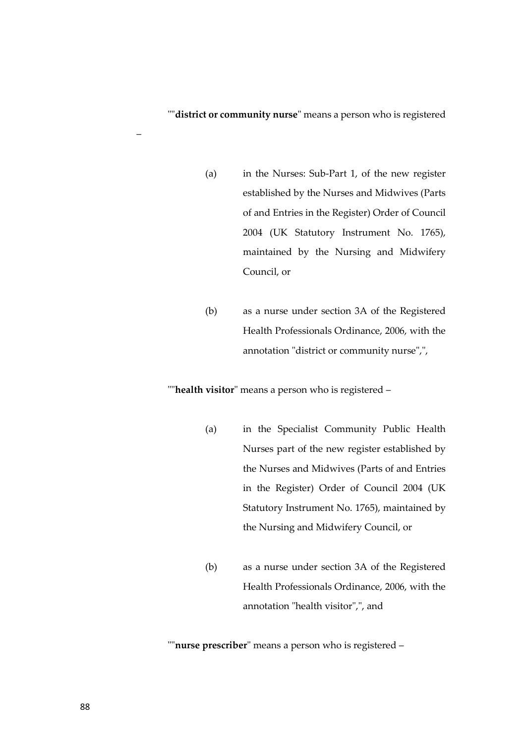""**district or community nurse**" means a person who is registered

- (a) in the Nurses: Sub-Part 1, of the new register established by the Nurses and Midwives (Parts of and Entries in the Register) Order of Council 2004 (UK Statutory Instrument No. 1765), maintained by the Nursing and Midwifery Council, or
- (b) as a nurse under section 3A of the Registered Health Professionals Ordinance, 2006, with the annotation "district or community nurse",",

""**health visitor**" means a person who is registered –

- (a) in the Specialist Community Public Health Nurses part of the new register established by the Nurses and Midwives (Parts of and Entries in the Register) Order of Council 2004 (UK Statutory Instrument No. 1765), maintained by the Nursing and Midwifery Council, or
- (b) as a nurse under section 3A of the Registered Health Professionals Ordinance, 2006, with the annotation "health visitor",", and

""**nurse prescriber**" means a person who is registered –

–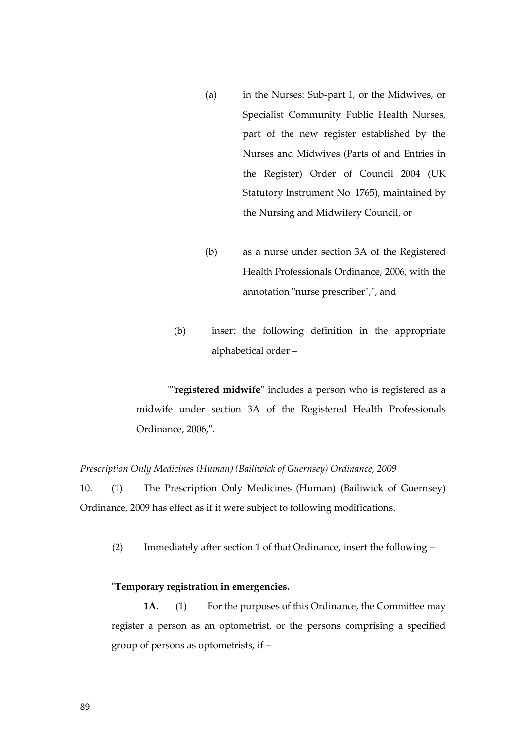- (a) in the Nurses: Sub-part 1, or the Midwives, or Specialist Community Public Health Nurses, part of the new register established by the Nurses and Midwives (Parts of and Entries in the Register) Order of Council 2004 (UK Statutory Instrument No. 1765), maintained by the Nursing and Midwifery Council, or
- (b) as a nurse under section 3A of the Registered Health Professionals Ordinance, 2006, with the annotation "nurse prescriber",", and
- (b) insert the following definition in the appropriate alphabetical order –

""**registered midwife**" includes a person who is registered as a midwife under section 3A of the Registered Health Professionals Ordinance, 2006,".

## *Prescription Only Medicines (Human) (Bailiwick of Guernsey) Ordinance, 2009*

10. (1) The Prescription Only Medicines (Human) (Bailiwick of Guernsey) Ordinance, 2009 has effect as if it were subject to following modifications.

(2) Immediately after section 1 of that Ordinance, insert the following –

# "**Temporary registration in emergencies.**

**1A.** (1) For the purposes of this Ordinance, the Committee may register a person as an optometrist, or the persons comprising a specified group of persons as optometrists, if –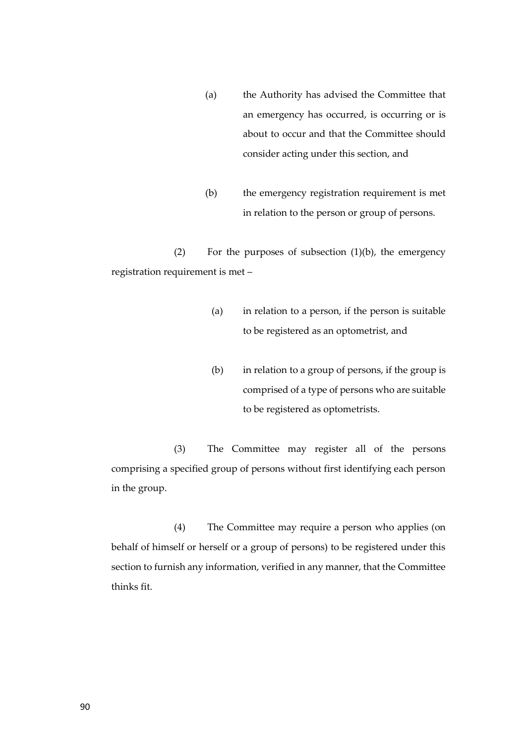- (a) the Authority has advised the Committee that an emergency has occurred, is occurring or is about to occur and that the Committee should consider acting under this section, and
- (b) the emergency registration requirement is met in relation to the person or group of persons.

(2) For the purposes of subsection (1)(b), the emergency registration requirement is met –

- (a) in relation to a person, if the person is suitable to be registered as an optometrist, and
- (b) in relation to a group of persons, if the group is comprised of a type of persons who are suitable to be registered as optometrists.

(3) The Committee may register all of the persons comprising a specified group of persons without first identifying each person in the group.

(4) The Committee may require a person who applies (on behalf of himself or herself or a group of persons) to be registered under this section to furnish any information, verified in any manner, that the Committee thinks fit.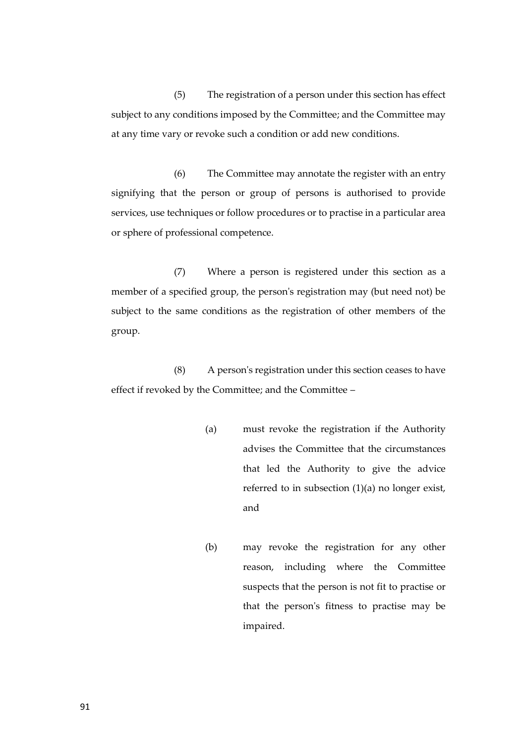(5) The registration of a person under this section has effect subject to any conditions imposed by the Committee; and the Committee may at any time vary or revoke such a condition or add new conditions.

(6) The Committee may annotate the register with an entry signifying that the person or group of persons is authorised to provide services, use techniques or follow procedures or to practise in a particular area or sphere of professional competence.

(7) Where a person is registered under this section as a member of a specified group, the person's registration may (but need not) be subject to the same conditions as the registration of other members of the group.

(8) A person's registration under this section ceases to have effect if revoked by the Committee; and the Committee –

- (a) must revoke the registration if the Authority advises the Committee that the circumstances that led the Authority to give the advice referred to in subsection (1)(a) no longer exist, and
- (b) may revoke the registration for any other reason, including where the Committee suspects that the person is not fit to practise or that the person's fitness to practise may be impaired.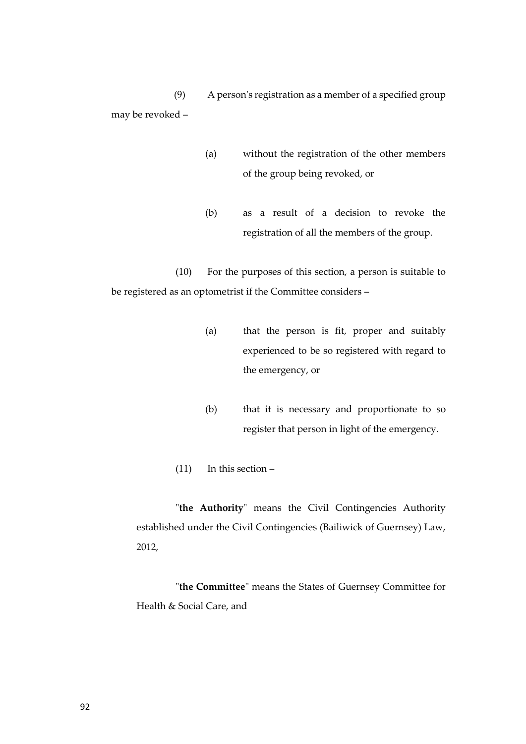(9) A person's registration as a member of a specified group may be revoked –

- (a) without the registration of the other members of the group being revoked, or
- (b) as a result of a decision to revoke the registration of all the members of the group.

(10) For the purposes of this section, a person is suitable to be registered as an optometrist if the Committee considers –

- (a) that the person is fit, proper and suitably experienced to be so registered with regard to the emergency, or
- (b) that it is necessary and proportionate to so register that person in light of the emergency.
- $(11)$  In this section –

"**the Authority**" means the Civil Contingencies Authority established under the Civil Contingencies (Bailiwick of Guernsey) Law, 2012,

"**the Committee**" means the States of Guernsey Committee for Health & Social Care, and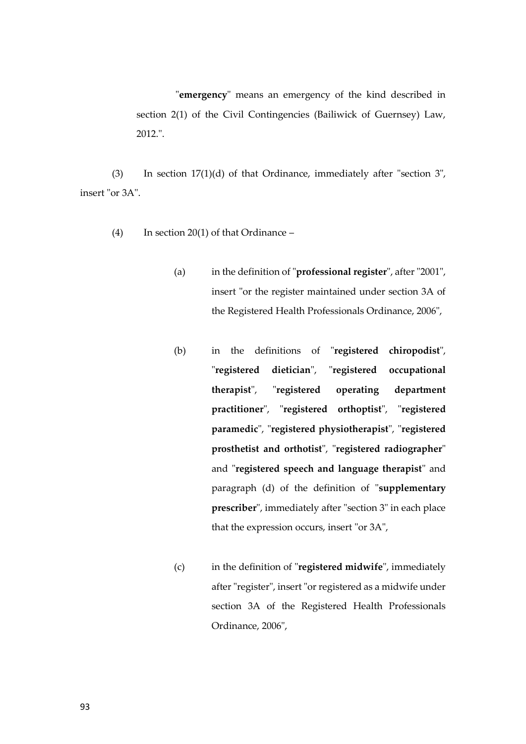"**emergency**" means an emergency of the kind described in section 2(1) of the Civil Contingencies (Bailiwick of Guernsey) Law, 2012.".

(3) In section 17(1)(d) of that Ordinance, immediately after "section 3", insert "or 3A".

- (4) In section 20(1) of that Ordinance
	- (a) in the definition of "**professional register**", after "2001", insert "or the register maintained under section 3A of the Registered Health Professionals Ordinance, 2006",
	- (b) in the definitions of "**registered chiropodist**", "**registered dietician**", "**registered occupational therapist**", "**registered operating department practitioner**", "**registered orthoptist**", "**registered paramedic**", "**registered physiotherapist**", "**registered prosthetist and orthotist**", "**registered radiographer**" and "**registered speech and language therapist**" and paragraph (d) of the definition of "**supplementary prescriber**", immediately after "section 3" in each place that the expression occurs, insert "or 3A",
	- (c) in the definition of "**registered midwife**", immediately after "register", insert "or registered as a midwife under section 3A of the Registered Health Professionals Ordinance, 2006",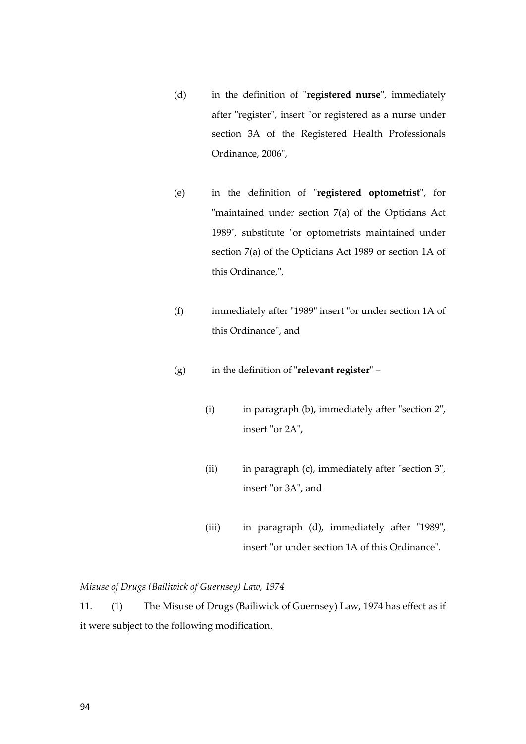- (d) in the definition of "**registered nurse**", immediately after "register", insert "or registered as a nurse under section 3A of the Registered Health Professionals Ordinance, 2006",
- (e) in the definition of "**registered optometrist**", for "maintained under section 7(a) of the Opticians Act 1989", substitute "or optometrists maintained under section 7(a) of the Opticians Act 1989 or section 1A of this Ordinance,",
- (f) immediately after "1989" insert "or under section 1A of this Ordinance", and
- (g) in the definition of "**relevant register**"
	- (i) in paragraph (b), immediately after "section 2", insert "or 2A",
	- (ii) in paragraph (c), immediately after "section 3", insert "or 3A", and
	- (iii) in paragraph (d), immediately after "1989", insert "or under section 1A of this Ordinance".

# *Misuse of Drugs (Bailiwick of Guernsey) Law, 1974*

11. (1) The Misuse of Drugs (Bailiwick of Guernsey) Law, 1974 has effect as if it were subject to the following modification.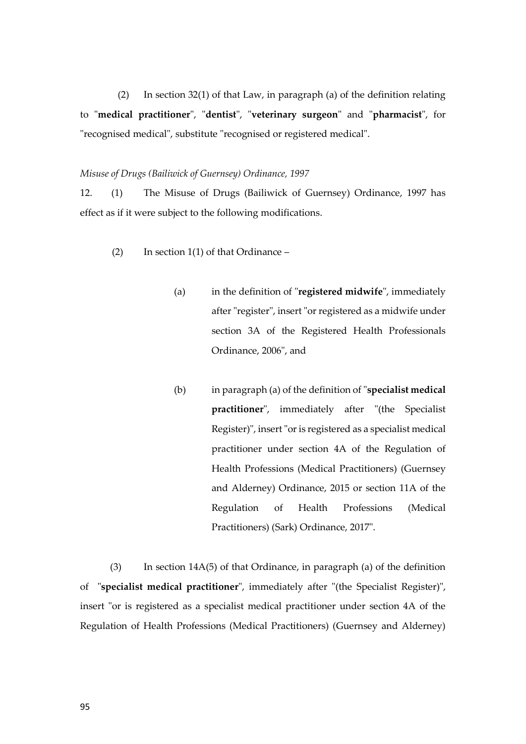(2) In section 32(1) of that Law, in paragraph (a) of the definition relating to "**medical practitioner**", "**dentist**", "**veterinary surgeon**" and "**pharmacist**", for "recognised medical", substitute "recognised or registered medical".

### *Misuse of Drugs (Bailiwick of Guernsey) Ordinance, 1997*

12. (1) The Misuse of Drugs (Bailiwick of Guernsey) Ordinance, 1997 has effect as if it were subject to the following modifications.

- (2) In section  $1(1)$  of that Ordinance
	- (a) in the definition of "**registered midwife**", immediately after "register", insert "or registered as a midwife under section 3A of the Registered Health Professionals Ordinance, 2006", and
	- (b) in paragraph (a) of the definition of "**specialist medical practitioner**", immediately after "(the Specialist Register)", insert "or is registered as a specialist medical practitioner under section 4A of the Regulation of Health Professions (Medical Practitioners) (Guernsey and Alderney) Ordinance, 2015 or section 11A of the Regulation of Health Professions (Medical Practitioners) (Sark) Ordinance, 2017".

(3) In section 14A(5) of that Ordinance, in paragraph (a) of the definition of "**specialist medical practitioner**", immediately after "(the Specialist Register)", insert "or is registered as a specialist medical practitioner under section 4A of the Regulation of Health Professions (Medical Practitioners) (Guernsey and Alderney)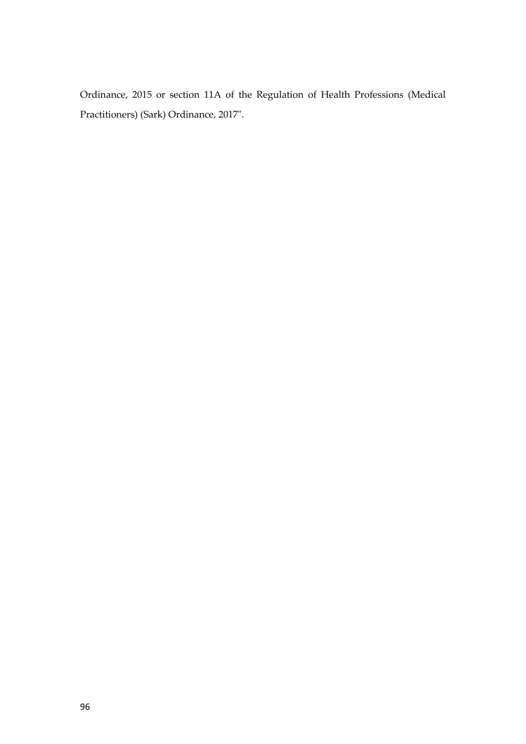Ordinance, 2015 or section 11A of the Regulation of Health Professions (Medical Practitioners) (Sark) Ordinance, 2017".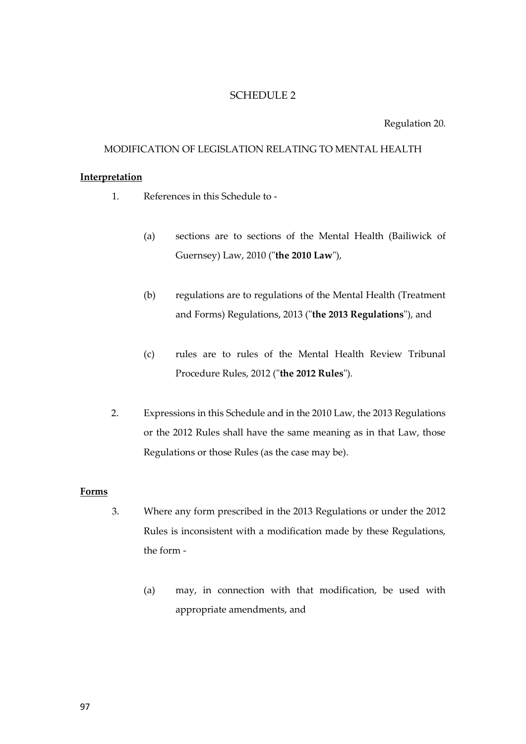# SCHEDULE 2

Regulation 20.

# MODIFICATION OF LEGISLATION RELATING TO MENTAL HEALTH

## **Interpretation**

- 1. References in this Schedule to
	- (a) sections are to sections of the Mental Health (Bailiwick of Guernsey) Law, 2010 ("**the 2010 Law**"),
	- (b) regulations are to regulations of the Mental Health (Treatment and Forms) Regulations, 2013 ("**the 2013 Regulations**"), and
	- (c) rules are to rules of the Mental Health Review Tribunal Procedure Rules, 2012 ("**the 2012 Rules**").
- 2. Expressions in this Schedule and in the 2010 Law, the 2013 Regulations or the 2012 Rules shall have the same meaning as in that Law, those Regulations or those Rules (as the case may be).

### **Forms**

- 3. Where any form prescribed in the 2013 Regulations or under the 2012 Rules is inconsistent with a modification made by these Regulations, the form -
	- (a) may, in connection with that modification, be used with appropriate amendments, and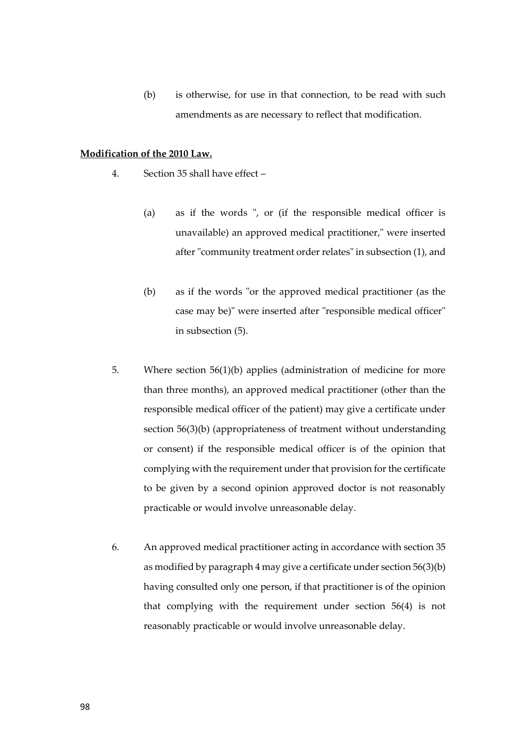(b) is otherwise, for use in that connection, to be read with such amendments as are necessary to reflect that modification.

## **Modification of the 2010 Law.**

- 4. Section 35 shall have effect
	- (a) as if the words ", or (if the responsible medical officer is unavailable) an approved medical practitioner," were inserted after "community treatment order relates" in subsection (1), and
	- (b) as if the words "or the approved medical practitioner (as the case may be)" were inserted after "responsible medical officer" in subsection (5).
- 5. Where section 56(1)(b) applies (administration of medicine for more than three months), an approved medical practitioner (other than the responsible medical officer of the patient) may give a certificate under section 56(3)(b) (appropriateness of treatment without understanding or consent) if the responsible medical officer is of the opinion that complying with the requirement under that provision for the certificate to be given by a second opinion approved doctor is not reasonably practicable or would involve unreasonable delay.
- 6. An approved medical practitioner acting in accordance with section 35 as modified by paragraph 4 may give a certificate under section 56(3)(b) having consulted only one person, if that practitioner is of the opinion that complying with the requirement under section 56(4) is not reasonably practicable or would involve unreasonable delay.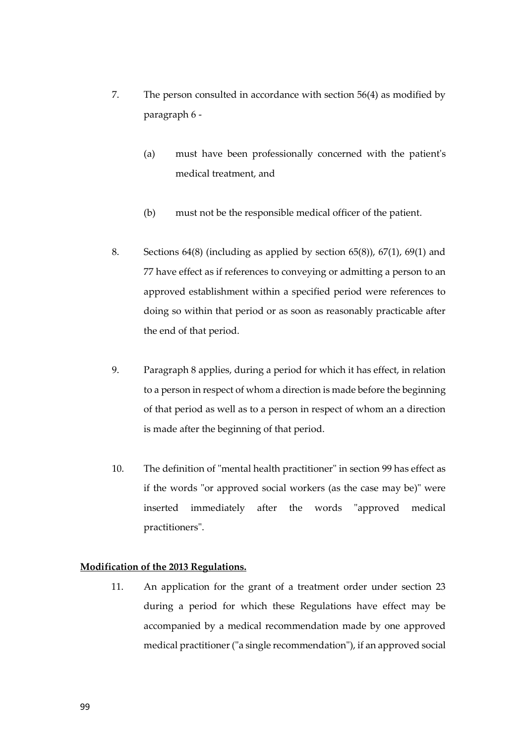- 7. The person consulted in accordance with section 56(4) as modified by paragraph 6 -
	- (a) must have been professionally concerned with the patient's medical treatment, and
	- (b) must not be the responsible medical officer of the patient.
- 8. Sections 64(8) (including as applied by section 65(8)), 67(1), 69(1) and 77 have effect as if references to conveying or admitting a person to an approved establishment within a specified period were references to doing so within that period or as soon as reasonably practicable after the end of that period.
- 9. Paragraph 8 applies, during a period for which it has effect, in relation to a person in respect of whom a direction is made before the beginning of that period as well as to a person in respect of whom an a direction is made after the beginning of that period.
- 10. The definition of "mental health practitioner" in section 99 has effect as if the words "or approved social workers (as the case may be)" were inserted immediately after the words "approved medical practitioners".

# **Modification of the 2013 Regulations.**

11. An application for the grant of a treatment order under section 23 during a period for which these Regulations have effect may be accompanied by a medical recommendation made by one approved medical practitioner ("a single recommendation"), if an approved social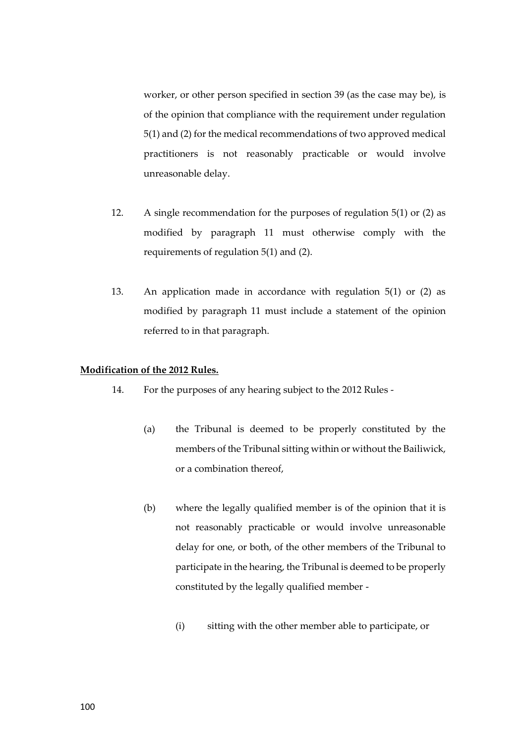worker, or other person specified in section 39 (as the case may be), is of the opinion that compliance with the requirement under regulation 5(1) and (2) for the medical recommendations of two approved medical practitioners is not reasonably practicable or would involve unreasonable delay.

- 12. A single recommendation for the purposes of regulation 5(1) or (2) as modified by paragraph 11 must otherwise comply with the requirements of regulation 5(1) and (2).
- 13. An application made in accordance with regulation 5(1) or (2) as modified by paragraph 11 must include a statement of the opinion referred to in that paragraph.

### **Modification of the 2012 Rules.**

- 14. For the purposes of any hearing subject to the 2012 Rules
	- (a) the Tribunal is deemed to be properly constituted by the members of the Tribunal sitting within or without the Bailiwick, or a combination thereof,
	- (b) where the legally qualified member is of the opinion that it is not reasonably practicable or would involve unreasonable delay for one, or both, of the other members of the Tribunal to participate in the hearing, the Tribunal is deemed to be properly constituted by the legally qualified member -
		- (i) sitting with the other member able to participate, or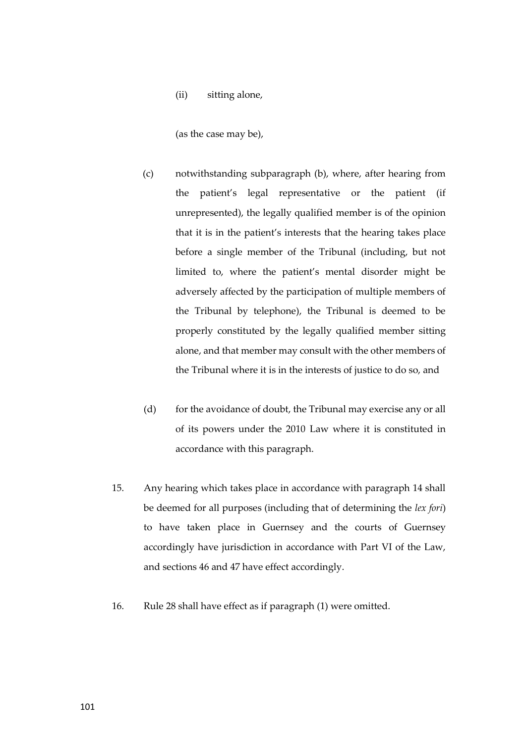(ii) sitting alone,

(as the case may be),

- (c) notwithstanding subparagraph (b), where, after hearing from the patient's legal representative or the patient (if unrepresented), the legally qualified member is of the opinion that it is in the patient's interests that the hearing takes place before a single member of the Tribunal (including, but not limited to, where the patient's mental disorder might be adversely affected by the participation of multiple members of the Tribunal by telephone), the Tribunal is deemed to be properly constituted by the legally qualified member sitting alone, and that member may consult with the other members of the Tribunal where it is in the interests of justice to do so, and
- (d) for the avoidance of doubt, the Tribunal may exercise any or all of its powers under the 2010 Law where it is constituted in accordance with this paragraph.
- 15. Any hearing which takes place in accordance with paragraph 14 shall be deemed for all purposes (including that of determining the *lex fori*) to have taken place in Guernsey and the courts of Guernsey accordingly have jurisdiction in accordance with Part VI of the Law, and sections 46 and 47 have effect accordingly.
- 16. Rule 28 shall have effect as if paragraph (1) were omitted.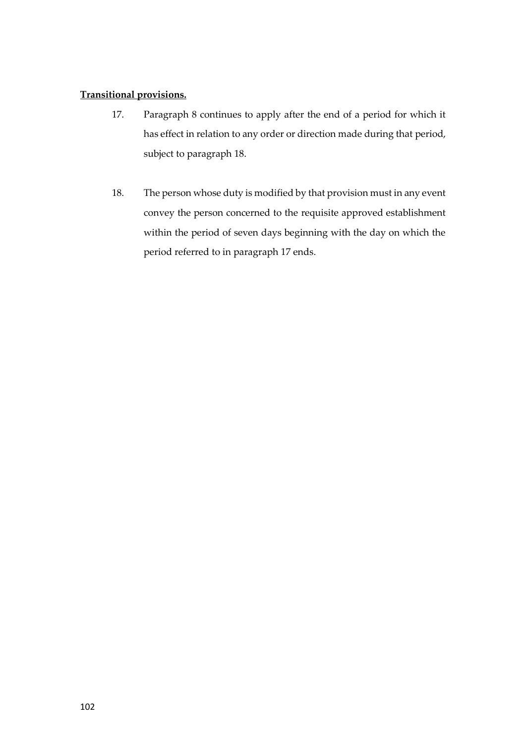# **Transitional provisions.**

- 17. Paragraph 8 continues to apply after the end of a period for which it has effect in relation to any order or direction made during that period, subject to paragraph 18.
- 18. The person whose duty is modified by that provision must in any event convey the person concerned to the requisite approved establishment within the period of seven days beginning with the day on which the period referred to in paragraph 17 ends.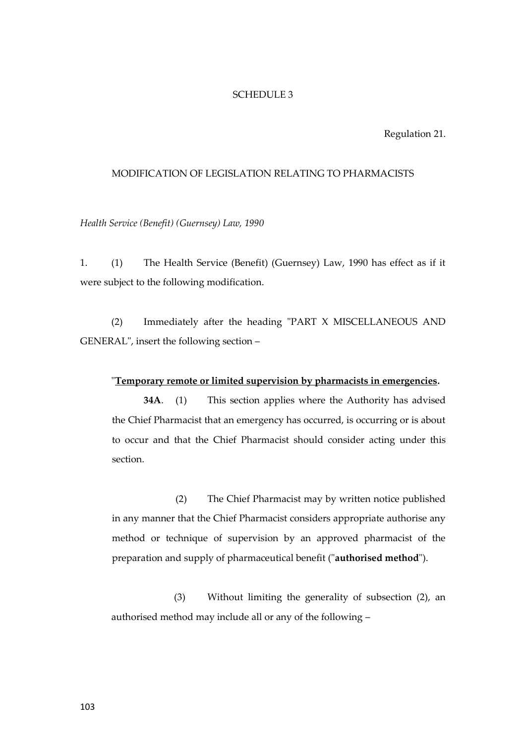#### SCHEDULE 3

Regulation 21.

### MODIFICATION OF LEGISLATION RELATING TO PHARMACISTS

*Health Service (Benefit) (Guernsey) Law, 1990*

1. (1) The Health Service (Benefit) (Guernsey) Law, 1990 has effect as if it were subject to the following modification.

(2) Immediately after the heading "PART X MISCELLANEOUS AND GENERAL", insert the following section –

#### "**Temporary remote or limited supervision by pharmacists in emergencies.**

**34A**. (1) This section applies where the Authority has advised the Chief Pharmacist that an emergency has occurred, is occurring or is about to occur and that the Chief Pharmacist should consider acting under this section.

(2) The Chief Pharmacist may by written notice published in any manner that the Chief Pharmacist considers appropriate authorise any method or technique of supervision by an approved pharmacist of the preparation and supply of pharmaceutical benefit ("**authorised method**").

(3) Without limiting the generality of subsection (2), an authorised method may include all or any of the following –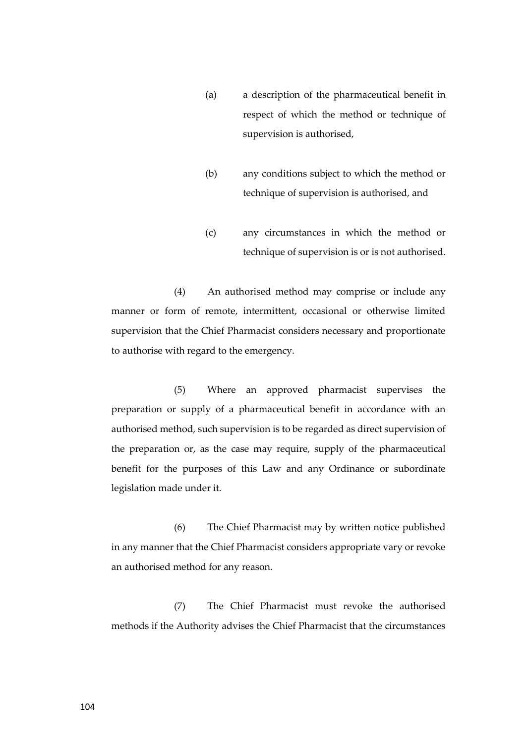- (a) a description of the pharmaceutical benefit in respect of which the method or technique of supervision is authorised,
- (b) any conditions subject to which the method or technique of supervision is authorised, and
- (c) any circumstances in which the method or technique of supervision is or is not authorised.

(4) An authorised method may comprise or include any manner or form of remote, intermittent, occasional or otherwise limited supervision that the Chief Pharmacist considers necessary and proportionate to authorise with regard to the emergency.

(5) Where an approved pharmacist supervises the preparation or supply of a pharmaceutical benefit in accordance with an authorised method, such supervision is to be regarded as direct supervision of the preparation or, as the case may require, supply of the pharmaceutical benefit for the purposes of this Law and any Ordinance or subordinate legislation made under it.

(6) The Chief Pharmacist may by written notice published in any manner that the Chief Pharmacist considers appropriate vary or revoke an authorised method for any reason.

(7) The Chief Pharmacist must revoke the authorised methods if the Authority advises the Chief Pharmacist that the circumstances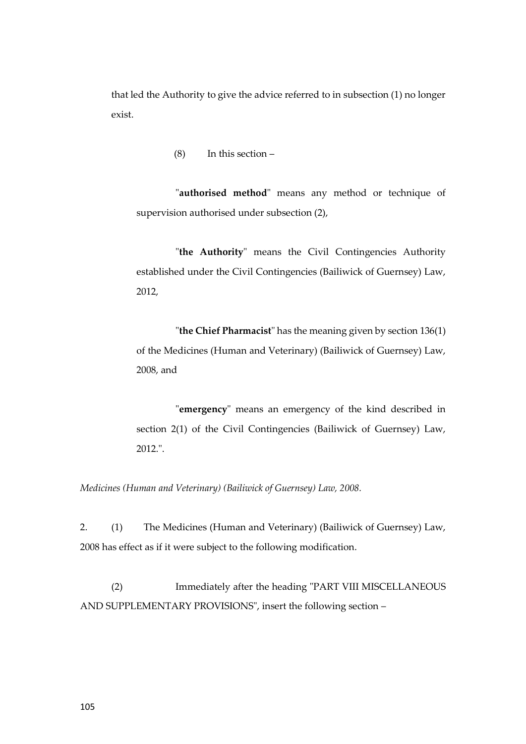that led the Authority to give the advice referred to in subsection (1) no longer exist.

(8) In this section –

"**authorised method**" means any method or technique of supervision authorised under subsection (2),

"**the Authority**" means the Civil Contingencies Authority established under the Civil Contingencies (Bailiwick of Guernsey) Law, 2012,

"**the Chief Pharmacist**" has the meaning given by section 136(1) of the Medicines (Human and Veterinary) (Bailiwick of Guernsey) Law, 2008, and

"**emergency**" means an emergency of the kind described in section 2(1) of the Civil Contingencies (Bailiwick of Guernsey) Law, 2012.".

*Medicines (Human and Veterinary) (Bailiwick of Guernsey) Law, 2008.*

2. (1) The Medicines (Human and Veterinary) (Bailiwick of Guernsey) Law, 2008 has effect as if it were subject to the following modification.

(2) Immediately after the heading "PART VIII MISCELLANEOUS AND SUPPLEMENTARY PROVISIONS", insert the following section –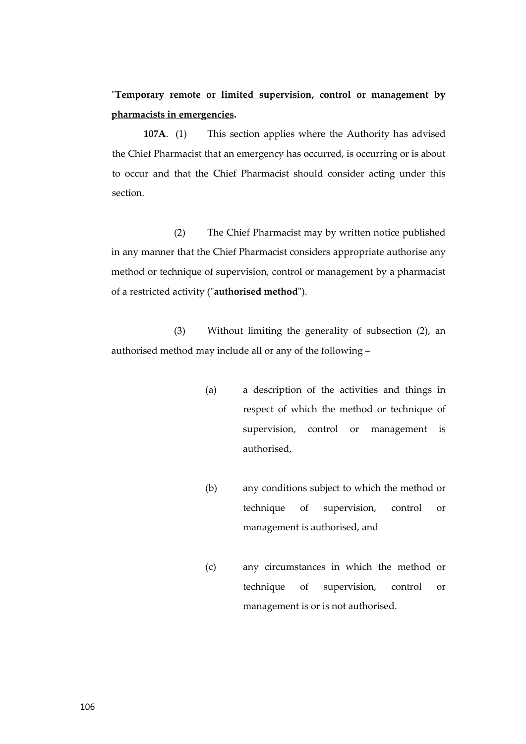"**Temporary remote or limited supervision, control or management by pharmacists in emergencies.**

**107A**. (1) This section applies where the Authority has advised the Chief Pharmacist that an emergency has occurred, is occurring or is about to occur and that the Chief Pharmacist should consider acting under this section.

(2) The Chief Pharmacist may by written notice published in any manner that the Chief Pharmacist considers appropriate authorise any method or technique of supervision, control or management by a pharmacist of a restricted activity ("**authorised method**").

(3) Without limiting the generality of subsection (2), an authorised method may include all or any of the following –

- (a) a description of the activities and things in respect of which the method or technique of supervision, control or management is authorised,
- (b) any conditions subject to which the method or technique of supervision, control or management is authorised, and
- (c) any circumstances in which the method or technique of supervision, control or management is or is not authorised.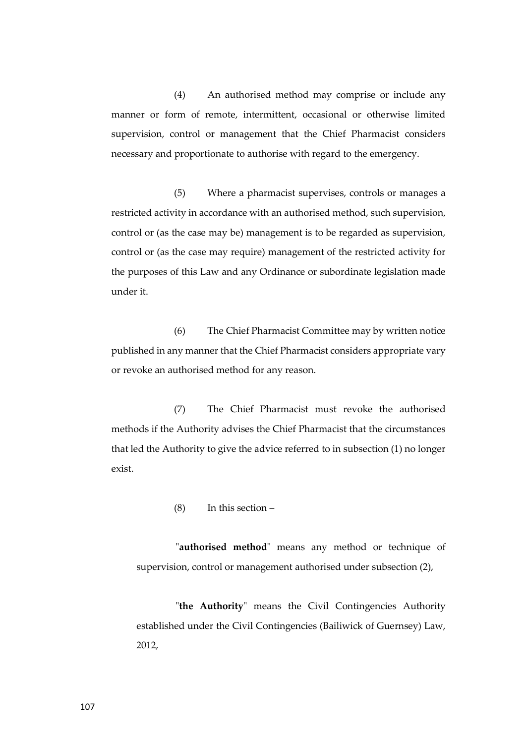(4) An authorised method may comprise or include any manner or form of remote, intermittent, occasional or otherwise limited supervision, control or management that the Chief Pharmacist considers necessary and proportionate to authorise with regard to the emergency.

(5) Where a pharmacist supervises, controls or manages a restricted activity in accordance with an authorised method, such supervision, control or (as the case may be) management is to be regarded as supervision, control or (as the case may require) management of the restricted activity for the purposes of this Law and any Ordinance or subordinate legislation made under it.

(6) The Chief Pharmacist Committee may by written notice published in any manner that the Chief Pharmacist considers appropriate vary or revoke an authorised method for any reason.

(7) The Chief Pharmacist must revoke the authorised methods if the Authority advises the Chief Pharmacist that the circumstances that led the Authority to give the advice referred to in subsection (1) no longer exist.

(8) In this section –

"**authorised method**" means any method or technique of supervision, control or management authorised under subsection (2),

"**the Authority**" means the Civil Contingencies Authority established under the Civil Contingencies (Bailiwick of Guernsey) Law, 2012,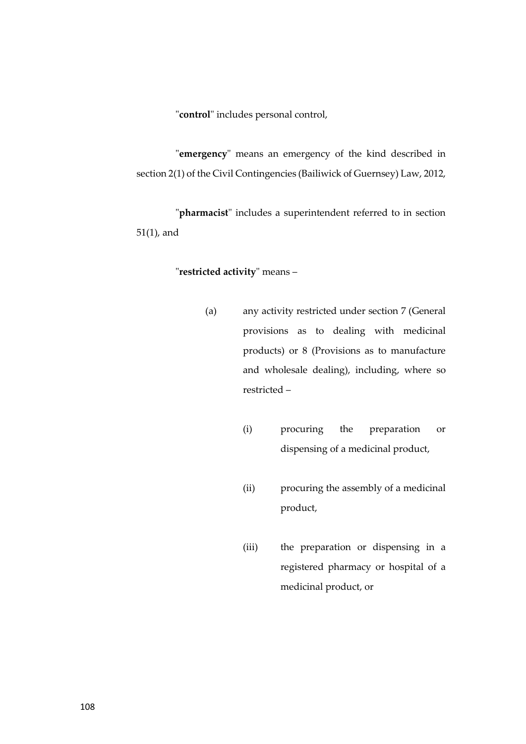"**control**" includes personal control,

"**emergency**" means an emergency of the kind described in section 2(1) of the Civil Contingencies (Bailiwick of Guernsey) Law, 2012,

"**pharmacist**" includes a superintendent referred to in section 51(1), and

## "**restricted activity**" means –

- (a) any activity restricted under section 7 (General provisions as to dealing with medicinal products) or 8 (Provisions as to manufacture and wholesale dealing), including, where so restricted –
	- (i) procuring the preparation or dispensing of a medicinal product,
	- (ii) procuring the assembly of a medicinal product,
	- (iii) the preparation or dispensing in a registered pharmacy or hospital of a medicinal product, or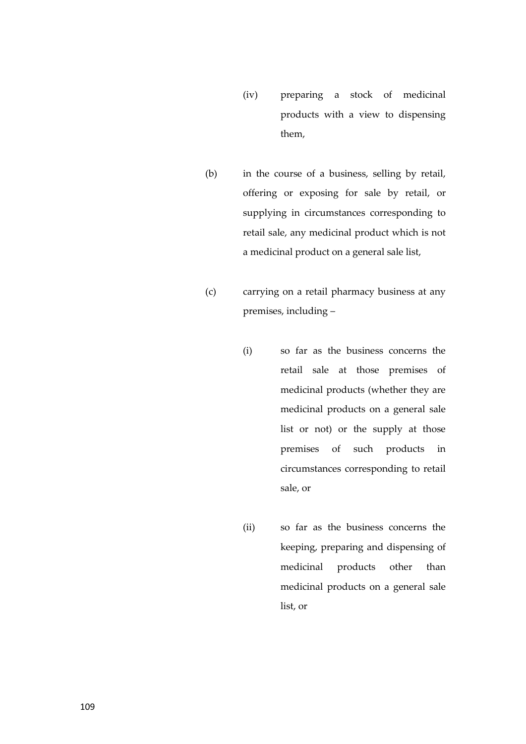- (iv) preparing a stock of medicinal products with a view to dispensing them,
- (b) in the course of a business, selling by retail, offering or exposing for sale by retail, or supplying in circumstances corresponding to retail sale, any medicinal product which is not a medicinal product on a general sale list,
- (c) carrying on a retail pharmacy business at any premises, including –
	- (i) so far as the business concerns the retail sale at those premises of medicinal products (whether they are medicinal products on a general sale list or not) or the supply at those premises of such products in circumstances corresponding to retail sale, or
	- (ii) so far as the business concerns the keeping, preparing and dispensing of medicinal products other than medicinal products on a general sale list, or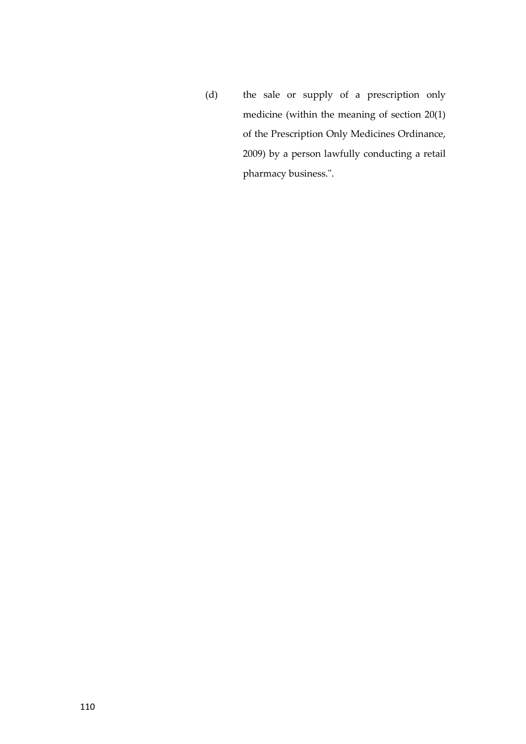(d) the sale or supply of a prescription only medicine (within the meaning of section 20(1) of the Prescription Only Medicines Ordinance, 2009) by a person lawfully conducting a retail pharmacy business.".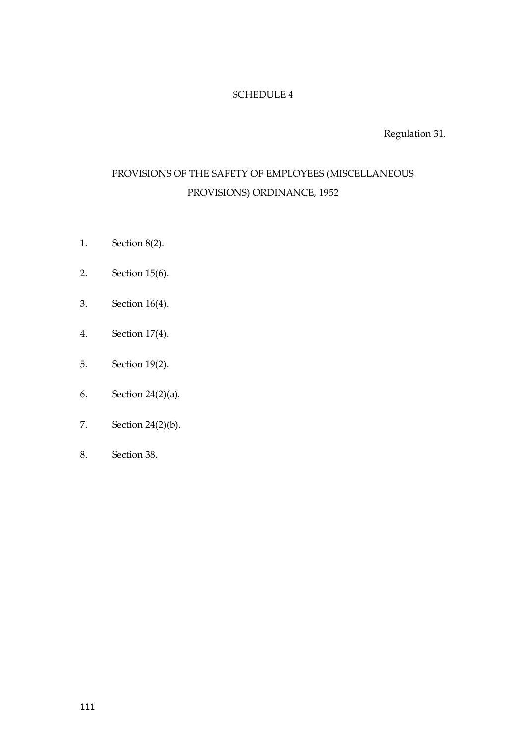# SCHEDULE 4

Regulation 31.

# PROVISIONS OF THE SAFETY OF EMPLOYEES (MISCELLANEOUS PROVISIONS) ORDINANCE, 1952

- 1. Section 8(2).
- 2. Section 15(6).
- 3. Section 16(4).
- 4. Section 17(4).
- 5. Section 19(2).
- 6. Section 24(2)(a).
- 7. Section 24(2)(b).
- 8. Section 38.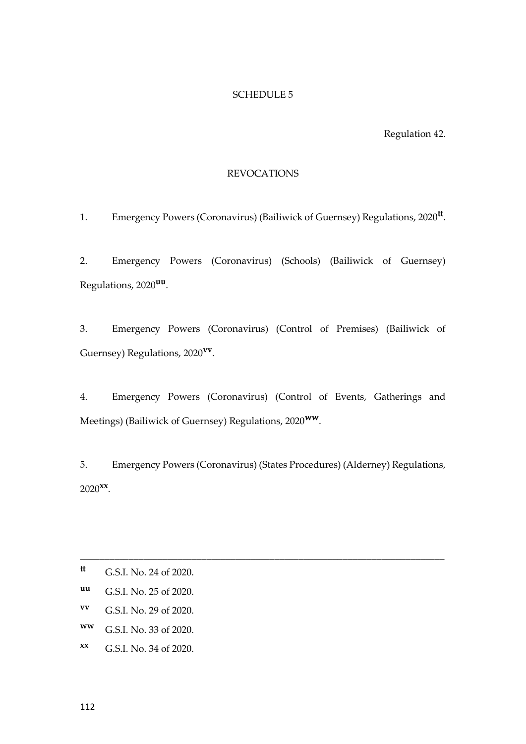# SCHEDULE 5

Regulation 42.

# REVOCATIONS

1. Emergency Powers (Coronavirus) (Bailiwick of Guernsey) Regulations, 2020**tt** .

2. Emergency Powers (Coronavirus) (Schools) (Bailiwick of Guernsey) Regulations, 2020**uu** .

3. Emergency Powers (Coronavirus) (Control of Premises) (Bailiwick of Guernsey) Regulations, 2020**vv** .

4. Emergency Powers (Coronavirus) (Control of Events, Gatherings and Meetings) (Bailiwick of Guernsey) Regulations, 2020**ww**.

5. Emergency Powers (Coronavirus) (States Procedures) (Alderney) Regulations, 2020**xx** .

\_\_\_\_\_\_\_\_\_\_\_\_\_\_\_\_\_\_\_\_\_\_\_\_\_\_\_\_\_\_\_\_\_\_\_\_\_\_\_\_\_\_\_\_\_\_\_\_\_\_\_\_\_\_\_\_\_\_\_\_\_\_\_\_\_\_\_\_\_\_\_\_\_\_\_

**tt** G.S.I. No. 24 of 2020.

**uu** G.S.I. No. 25 of 2020.

**vv** G.S.I. No. 29 of 2020.

**ww** G.S.I. No. 33 of 2020.

**xx** G.S.I. No. 34 of 2020.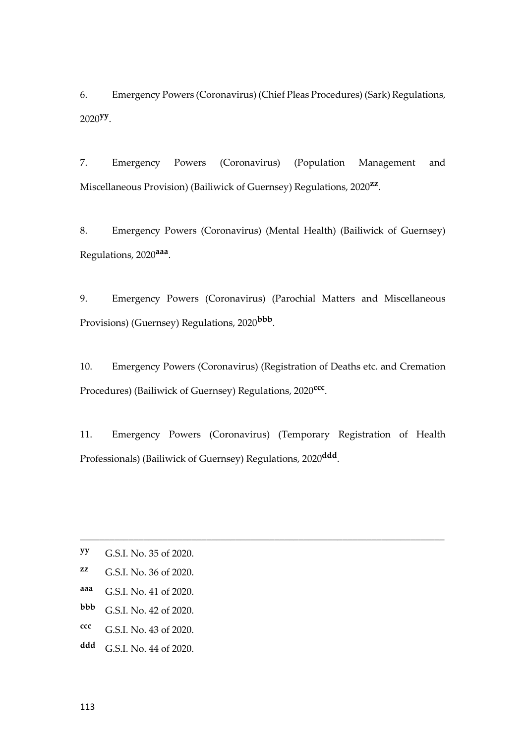6. Emergency Powers (Coronavirus) (Chief Pleas Procedures) (Sark) Regulations, 2020**yy** .

7. Emergency Powers (Coronavirus) (Population Management and Miscellaneous Provision) (Bailiwick of Guernsey) Regulations, 2020**zz** .

8. Emergency Powers (Coronavirus) (Mental Health) (Bailiwick of Guernsey) Regulations, 2020**aaa** .

9. Emergency Powers (Coronavirus) (Parochial Matters and Miscellaneous Provisions) (Guernsey) Regulations, 2020**bbb** .

10. Emergency Powers (Coronavirus) (Registration of Deaths etc. and Cremation Procedures) (Bailiwick of Guernsey) Regulations, 2020**ccc** .

11. Emergency Powers (Coronavirus) (Temporary Registration of Health Professionals) (Bailiwick of Guernsey) Regulations, 2020**ddd** .

\_\_\_\_\_\_\_\_\_\_\_\_\_\_\_\_\_\_\_\_\_\_\_\_\_\_\_\_\_\_\_\_\_\_\_\_\_\_\_\_\_\_\_\_\_\_\_\_\_\_\_\_\_\_\_\_\_\_\_\_\_\_\_\_\_\_\_\_\_\_\_\_\_\_\_

**yy** G.S.I. No. 35 of 2020.

**zz** G.S.I. No. 36 of 2020.

**aaa** G.S.I. No. 41 of 2020.

**bbb** G.S.I. No. 42 of 2020.

**ccc** G.S.I. No. 43 of 2020.

**ddd** G.S.I. No. 44 of 2020.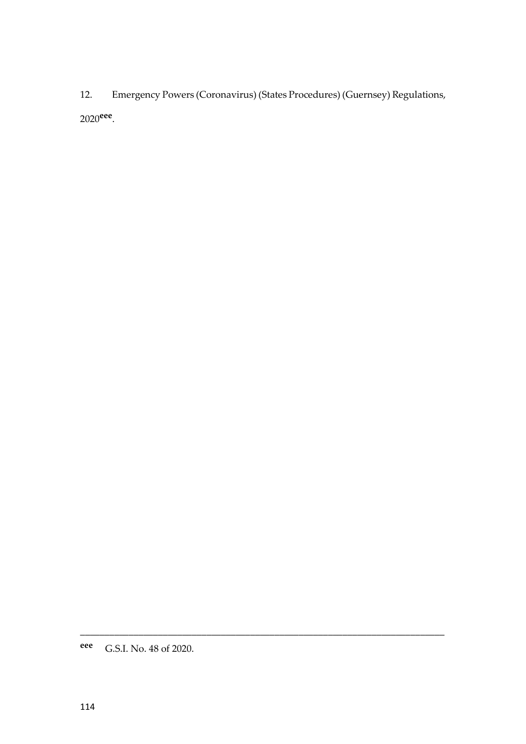12. Emergency Powers (Coronavirus) (States Procedures) (Guernsey) Regulations, 2020**eee** .

\_\_\_\_\_\_\_\_\_\_\_\_\_\_\_\_\_\_\_\_\_\_\_\_\_\_\_\_\_\_\_\_\_\_\_\_\_\_\_\_\_\_\_\_\_\_\_\_\_\_\_\_\_\_\_\_\_\_\_\_\_\_\_\_\_\_\_\_\_\_\_\_\_\_\_

**eee** G.S.I. No. 48 of 2020.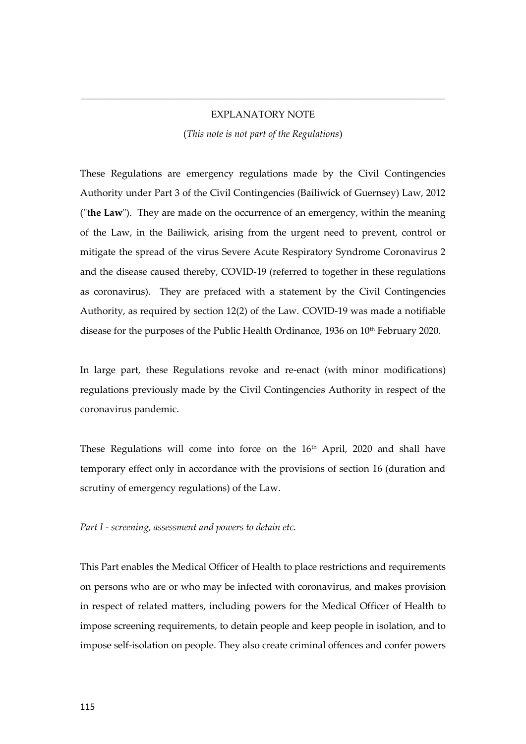# EXPLANATORY NOTE

\_\_\_\_\_\_\_\_\_\_\_\_\_\_\_\_\_\_\_\_\_\_\_\_\_\_\_\_\_\_\_\_\_\_\_\_\_\_\_\_\_\_\_\_\_\_\_\_\_\_\_\_\_\_\_\_\_\_\_\_\_\_\_\_\_\_\_\_\_\_\_\_\_\_\_

(*This note is not part of the Regulations*)

These Regulations are emergency regulations made by the Civil Contingencies Authority under Part 3 of the Civil Contingencies (Bailiwick of Guernsey) Law, 2012 ("**the Law**"). They are made on the occurrence of an emergency, within the meaning of the Law, in the Bailiwick, arising from the urgent need to prevent, control or mitigate the spread of the virus Severe Acute Respiratory Syndrome Coronavirus 2 and the disease caused thereby, COVID-19 (referred to together in these regulations as coronavirus). They are prefaced with a statement by the Civil Contingencies Authority, as required by section 12(2) of the Law. COVID-19 was made a notifiable disease for the purposes of the Public Health Ordinance, 1936 on 10<sup>th</sup> February 2020.

In large part, these Regulations revoke and re-enact (with minor modifications) regulations previously made by the Civil Contingencies Authority in respect of the coronavirus pandemic.

These Regulations will come into force on the 16<sup>th</sup> April, 2020 and shall have temporary effect only in accordance with the provisions of section 16 (duration and scrutiny of emergency regulations) of the Law.

#### *Part I - screening, assessment and powers to detain etc.*

This Part enables the Medical Officer of Health to place restrictions and requirements on persons who are or who may be infected with coronavirus, and makes provision in respect of related matters, including powers for the Medical Officer of Health to impose screening requirements, to detain people and keep people in isolation, and to impose self-isolation on people. They also create criminal offences and confer powers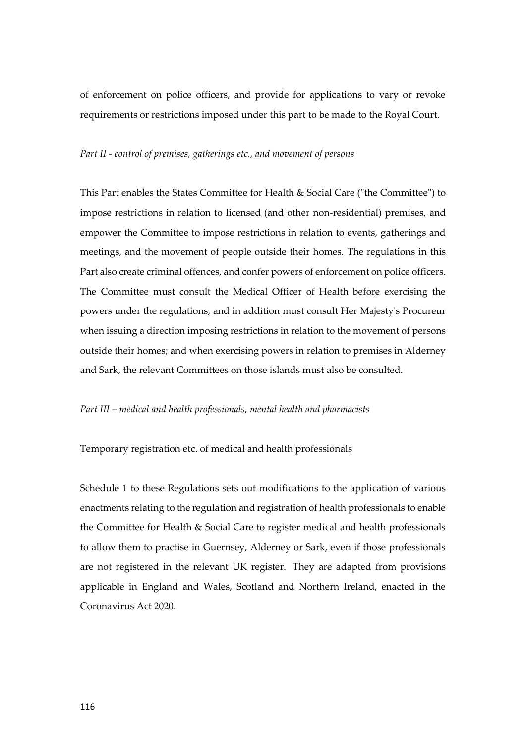of enforcement on police officers, and provide for applications to vary or revoke requirements or restrictions imposed under this part to be made to the Royal Court.

#### *Part II - control of premises, gatherings etc., and movement of persons*

This Part enables the States Committee for Health & Social Care ("the Committee") to impose restrictions in relation to licensed (and other non-residential) premises, and empower the Committee to impose restrictions in relation to events, gatherings and meetings, and the movement of people outside their homes. The regulations in this Part also create criminal offences, and confer powers of enforcement on police officers. The Committee must consult the Medical Officer of Health before exercising the powers under the regulations, and in addition must consult Her Majesty's Procureur when issuing a direction imposing restrictions in relation to the movement of persons outside their homes; and when exercising powers in relation to premises in Alderney and Sark, the relevant Committees on those islands must also be consulted.

#### *Part III – medical and health professionals, mental health and pharmacists*

## Temporary registration etc. of medical and health professionals

Schedule 1 to these Regulations sets out modifications to the application of various enactments relating to the regulation and registration of health professionals to enable the Committee for Health & Social Care to register medical and health professionals to allow them to practise in Guernsey, Alderney or Sark, even if those professionals are not registered in the relevant UK register. They are adapted from provisions applicable in England and Wales, Scotland and Northern Ireland, enacted in the Coronavirus Act 2020.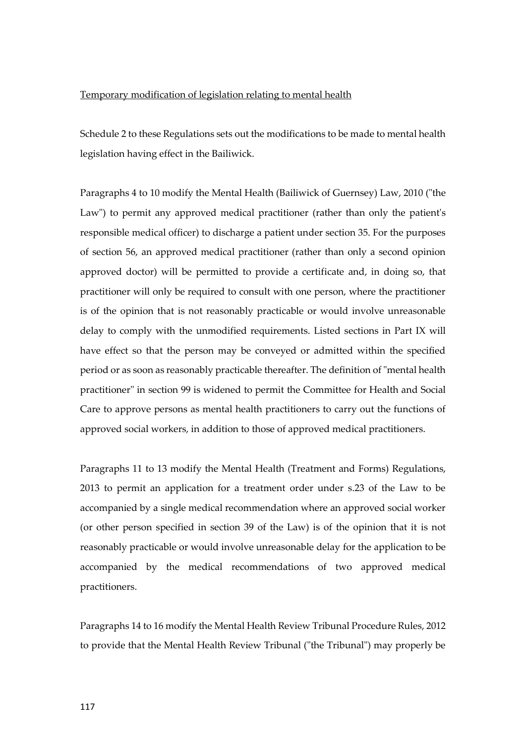#### Temporary modification of legislation relating to mental health

Schedule 2 to these Regulations sets out the modifications to be made to mental health legislation having effect in the Bailiwick.

Paragraphs 4 to 10 modify the Mental Health (Bailiwick of Guernsey) Law, 2010 ("the Law") to permit any approved medical practitioner (rather than only the patient's responsible medical officer) to discharge a patient under section 35. For the purposes of section 56, an approved medical practitioner (rather than only a second opinion approved doctor) will be permitted to provide a certificate and, in doing so, that practitioner will only be required to consult with one person, where the practitioner is of the opinion that is not reasonably practicable or would involve unreasonable delay to comply with the unmodified requirements. Listed sections in Part IX will have effect so that the person may be conveyed or admitted within the specified period or as soon as reasonably practicable thereafter. The definition of "mental health practitioner" in section 99 is widened to permit the Committee for Health and Social Care to approve persons as mental health practitioners to carry out the functions of approved social workers, in addition to those of approved medical practitioners.

Paragraphs 11 to 13 modify the Mental Health (Treatment and Forms) Regulations, 2013 to permit an application for a treatment order under s.23 of the Law to be accompanied by a single medical recommendation where an approved social worker (or other person specified in section 39 of the Law) is of the opinion that it is not reasonably practicable or would involve unreasonable delay for the application to be accompanied by the medical recommendations of two approved medical practitioners.

Paragraphs 14 to 16 modify the Mental Health Review Tribunal Procedure Rules, 2012 to provide that the Mental Health Review Tribunal ("the Tribunal") may properly be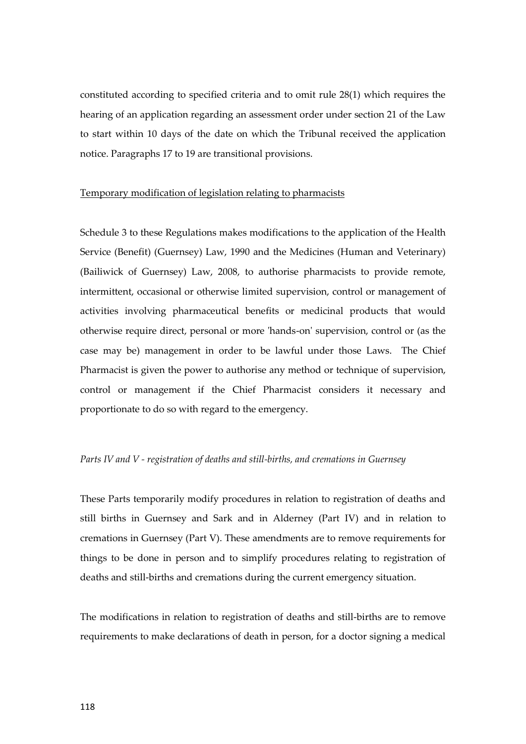constituted according to specified criteria and to omit rule 28(1) which requires the hearing of an application regarding an assessment order under section 21 of the Law to start within 10 days of the date on which the Tribunal received the application notice. Paragraphs 17 to 19 are transitional provisions.

#### Temporary modification of legislation relating to pharmacists

Schedule 3 to these Regulations makes modifications to the application of the Health Service (Benefit) (Guernsey) Law, 1990 and the Medicines (Human and Veterinary) (Bailiwick of Guernsey) Law, 2008, to authorise pharmacists to provide remote, intermittent, occasional or otherwise limited supervision, control or management of activities involving pharmaceutical benefits or medicinal products that would otherwise require direct, personal or more 'hands-on' supervision, control or (as the case may be) management in order to be lawful under those Laws. The Chief Pharmacist is given the power to authorise any method or technique of supervision, control or management if the Chief Pharmacist considers it necessary and proportionate to do so with regard to the emergency.

## *Parts IV and V - registration of deaths and still-births, and cremations in Guernsey*

These Parts temporarily modify procedures in relation to registration of deaths and still births in Guernsey and Sark and in Alderney (Part IV) and in relation to cremations in Guernsey (Part V). These amendments are to remove requirements for things to be done in person and to simplify procedures relating to registration of deaths and still-births and cremations during the current emergency situation.

The modifications in relation to registration of deaths and still-births are to remove requirements to make declarations of death in person, for a doctor signing a medical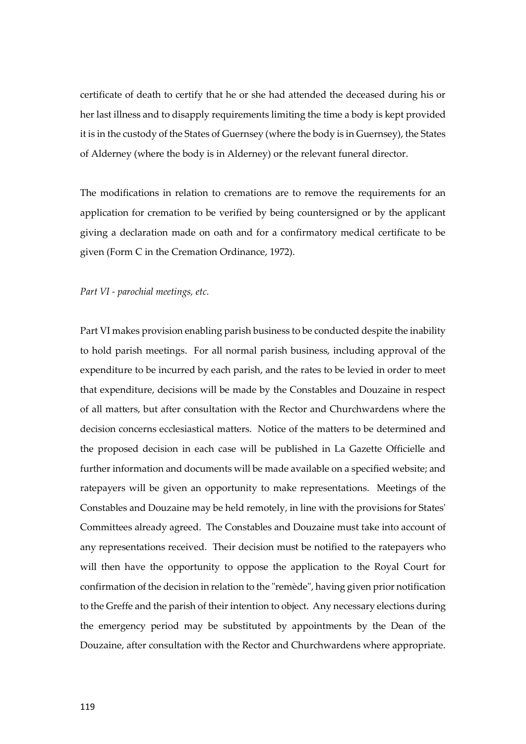certificate of death to certify that he or she had attended the deceased during his or her last illness and to disapply requirements limiting the time a body is kept provided it is in the custody of the States of Guernsey (where the body is in Guernsey), the States of Alderney (where the body is in Alderney) or the relevant funeral director.

The modifications in relation to cremations are to remove the requirements for an application for cremation to be verified by being countersigned or by the applicant giving a declaration made on oath and for a confirmatory medical certificate to be given (Form C in the Cremation Ordinance, 1972).

#### *Part VI - parochial meetings, etc.*

Part VI makes provision enabling parish business to be conducted despite the inability to hold parish meetings. For all normal parish business, including approval of the expenditure to be incurred by each parish, and the rates to be levied in order to meet that expenditure, decisions will be made by the Constables and Douzaine in respect of all matters, but after consultation with the Rector and Churchwardens where the decision concerns ecclesiastical matters. Notice of the matters to be determined and the proposed decision in each case will be published in La Gazette Officielle and further information and documents will be made available on a specified website; and ratepayers will be given an opportunity to make representations. Meetings of the Constables and Douzaine may be held remotely, in line with the provisions for States' Committees already agreed. The Constables and Douzaine must take into account of any representations received. Their decision must be notified to the ratepayers who will then have the opportunity to oppose the application to the Royal Court for confirmation of the decision in relation to the "remède", having given prior notification to the Greffe and the parish of their intention to object. Any necessary elections during the emergency period may be substituted by appointments by the Dean of the Douzaine, after consultation with the Rector and Churchwardens where appropriate.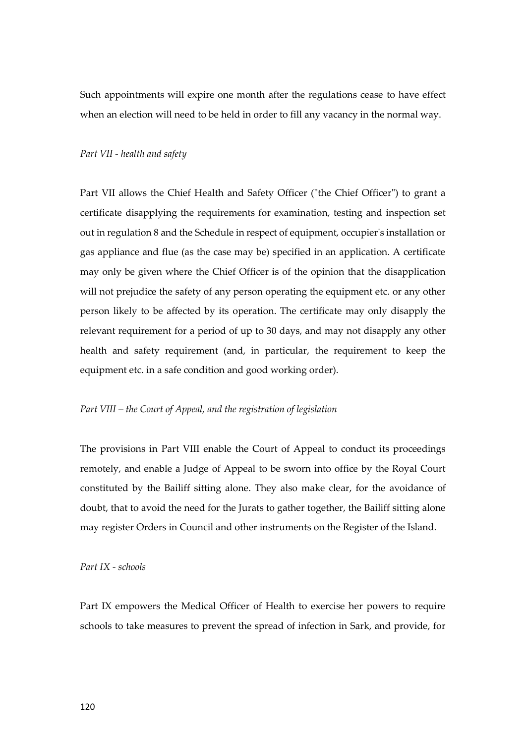Such appointments will expire one month after the regulations cease to have effect when an election will need to be held in order to fill any vacancy in the normal way.

#### *Part VII - health and safety*

Part VII allows the Chief Health and Safety Officer ("the Chief Officer") to grant a certificate disapplying the requirements for examination, testing and inspection set out in regulation 8 and the Schedule in respect of equipment, occupier's installation or gas appliance and flue (as the case may be) specified in an application. A certificate may only be given where the Chief Officer is of the opinion that the disapplication will not prejudice the safety of any person operating the equipment etc. or any other person likely to be affected by its operation. The certificate may only disapply the relevant requirement for a period of up to 30 days, and may not disapply any other health and safety requirement (and, in particular, the requirement to keep the equipment etc. in a safe condition and good working order).

#### *Part VIII – the Court of Appeal, and the registration of legislation*

The provisions in Part VIII enable the Court of Appeal to conduct its proceedings remotely, and enable a Judge of Appeal to be sworn into office by the Royal Court constituted by the Bailiff sitting alone. They also make clear, for the avoidance of doubt, that to avoid the need for the Jurats to gather together, the Bailiff sitting alone may register Orders in Council and other instruments on the Register of the Island.

#### *Part IX - schools*

Part IX empowers the Medical Officer of Health to exercise her powers to require schools to take measures to prevent the spread of infection in Sark, and provide, for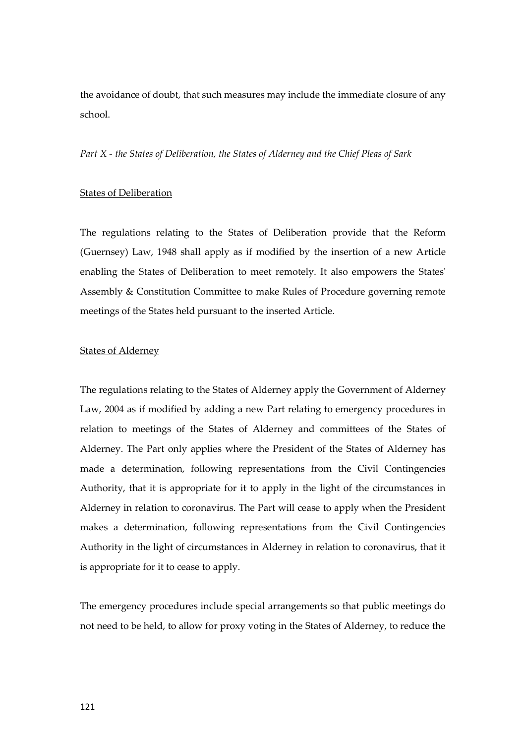the avoidance of doubt, that such measures may include the immediate closure of any school.

*Part X - the States of Deliberation, the States of Alderney and the Chief Pleas of Sark*

#### States of Deliberation

The regulations relating to the States of Deliberation provide that the Reform (Guernsey) Law, 1948 shall apply as if modified by the insertion of a new Article enabling the States of Deliberation to meet remotely. It also empowers the States' Assembly & Constitution Committee to make Rules of Procedure governing remote meetings of the States held pursuant to the inserted Article.

# **States of Alderney**

The regulations relating to the States of Alderney apply the Government of Alderney Law, 2004 as if modified by adding a new Part relating to emergency procedures in relation to meetings of the States of Alderney and committees of the States of Alderney. The Part only applies where the President of the States of Alderney has made a determination, following representations from the Civil Contingencies Authority, that it is appropriate for it to apply in the light of the circumstances in Alderney in relation to coronavirus. The Part will cease to apply when the President makes a determination, following representations from the Civil Contingencies Authority in the light of circumstances in Alderney in relation to coronavirus, that it is appropriate for it to cease to apply.

The emergency procedures include special arrangements so that public meetings do not need to be held, to allow for proxy voting in the States of Alderney, to reduce the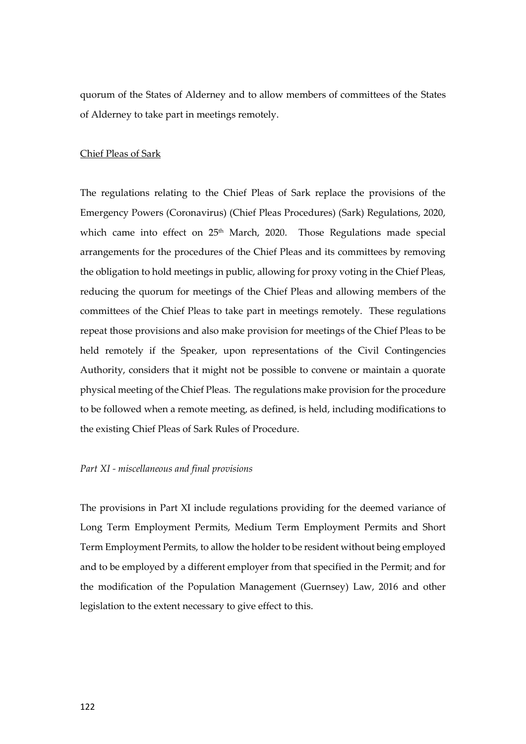quorum of the States of Alderney and to allow members of committees of the States of Alderney to take part in meetings remotely.

# Chief Pleas of Sark

The regulations relating to the Chief Pleas of Sark replace the provisions of the Emergency Powers (Coronavirus) (Chief Pleas Procedures) (Sark) Regulations, 2020, which came into effect on 25<sup>th</sup> March, 2020. Those Regulations made special arrangements for the procedures of the Chief Pleas and its committees by removing the obligation to hold meetings in public, allowing for proxy voting in the Chief Pleas, reducing the quorum for meetings of the Chief Pleas and allowing members of the committees of the Chief Pleas to take part in meetings remotely. These regulations repeat those provisions and also make provision for meetings of the Chief Pleas to be held remotely if the Speaker, upon representations of the Civil Contingencies Authority, considers that it might not be possible to convene or maintain a quorate physical meeting of the Chief Pleas. The regulations make provision for the procedure to be followed when a remote meeting, as defined, is held, including modifications to the existing Chief Pleas of Sark Rules of Procedure.

#### *Part XI - miscellaneous and final provisions*

The provisions in Part XI include regulations providing for the deemed variance of Long Term Employment Permits, Medium Term Employment Permits and Short Term Employment Permits, to allow the holder to be resident without being employed and to be employed by a different employer from that specified in the Permit; and for the modification of the Population Management (Guernsey) Law, 2016 and other legislation to the extent necessary to give effect to this.